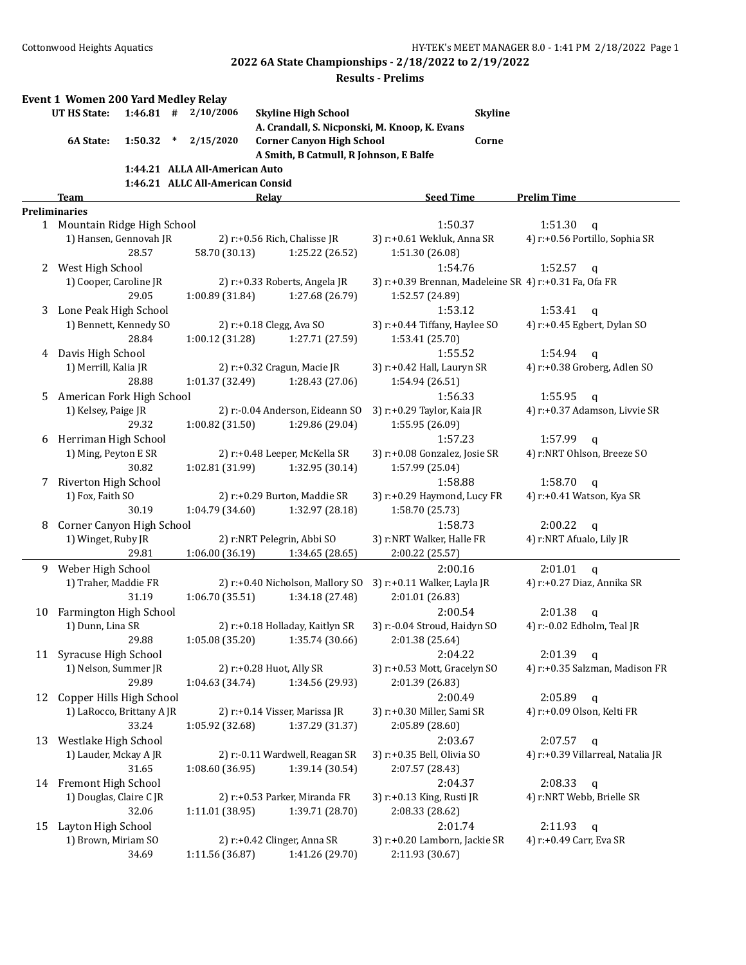|    | <b>Event 1 Women 200 Yard Medley Relay</b>            |             |        |                                                                    |                                               |                                       |                |                                                        |
|----|-------------------------------------------------------|-------------|--------|--------------------------------------------------------------------|-----------------------------------------------|---------------------------------------|----------------|--------------------------------------------------------|
|    | <b>UT HS State:</b>                                   | $1:46.81$ # |        | 2/10/2006                                                          | <b>Skyline High School</b>                    |                                       | <b>Skyline</b> |                                                        |
|    |                                                       |             |        |                                                                    | A. Crandall, S. Nicponski, M. Knoop, K. Evans |                                       |                |                                                        |
|    | 6A State:                                             | 1:50.32     | $\ast$ | 2/15/2020                                                          | <b>Corner Canyon High School</b>              |                                       | Corne          |                                                        |
|    |                                                       |             |        |                                                                    | A Smith, B Catmull, R Johnson, E Balfe        |                                       |                |                                                        |
|    |                                                       |             |        | 1:44.21 ALLA All-American Auto<br>1:46.21 ALLC All-American Consid |                                               |                                       |                |                                                        |
|    | Team                                                  |             |        |                                                                    | Relay                                         | <b>Seed Time</b>                      |                | <b>Prelim Time</b>                                     |
|    | <b>Preliminaries</b>                                  |             |        |                                                                    |                                               |                                       |                |                                                        |
|    | 1 Mountain Ridge High School                          |             |        |                                                                    |                                               | 1:50.37                               |                | 1:51.30<br>$\mathbf q$                                 |
|    | 1) Hansen, Gennovah JR                                |             |        |                                                                    | 2) r:+0.56 Rich, Chalisse JR                  | 3) r:+0.61 Wekluk, Anna SR            |                | 4) r:+0.56 Portillo, Sophia SR                         |
|    |                                                       | 28.57       |        | 58.70 (30.13)                                                      | 1:25.22 (26.52)                               | 1:51.30 (26.08)                       |                |                                                        |
| 2  | West High School                                      |             |        |                                                                    |                                               | 1:54.76                               |                | 1:52.57<br>$\mathbf q$                                 |
|    | 1) Cooper, Caroline JR                                |             |        |                                                                    | 2) r:+0.33 Roberts, Angela JR                 |                                       |                | 3) r:+0.39 Brennan, Madeleine SR 4) r:+0.31 Fa, Ofa FR |
|    |                                                       | 29.05       |        | 1:00.89 (31.84)                                                    | 1:27.68 (26.79)                               | 1:52.57 (24.89)                       |                |                                                        |
| 3  | Lone Peak High School                                 |             |        |                                                                    |                                               | 1:53.12                               |                | 1:53.41<br>$\mathbf q$                                 |
|    | 1) Bennett, Kennedy SO                                | 28.84       |        |                                                                    | 2) r:+0.18 Clegg, Ava SO<br>1:27.71 (27.59)   | 3) r:+0.44 Tiffany, Haylee SO         |                | 4) r:+0.45 Egbert, Dylan SO                            |
|    | Davis High School                                     |             |        | 1:00.12 (31.28)                                                    |                                               | 1:53.41 (25.70)<br>1:55.52            |                | 1:54.94                                                |
| 4  | 1) Merrill, Kalia JR                                  |             |        |                                                                    | 2) r:+0.32 Cragun, Macie JR                   | 3) r:+0.42 Hall, Lauryn SR            |                | $\mathbf{q}$<br>4) r:+0.38 Groberg, Adlen SO           |
|    |                                                       | 28.88       |        | 1:01.37 (32.49)                                                    | 1:28.43 (27.06)                               | 1:54.94 (26.51)                       |                |                                                        |
| 5. | American Fork High School                             |             |        |                                                                    |                                               | 1:56.33                               |                | 1:55.95<br>$\mathbf{q}$                                |
|    | 1) Kelsey, Paige JR                                   |             |        |                                                                    | 2) r:-0.04 Anderson, Eideann SO               | 3) r:+0.29 Taylor, Kaia JR            |                | 4) r:+0.37 Adamson, Livvie SR                          |
|    |                                                       | 29.32       |        | 1:00.82 (31.50)                                                    | 1:29.86 (29.04)                               | 1:55.95 (26.09)                       |                |                                                        |
| 6  | Herriman High School                                  |             |        |                                                                    |                                               | 1:57.23                               |                | 1:57.99<br>$\mathsf{q}$                                |
|    | 1) Ming, Peyton E SR                                  |             |        |                                                                    | 2) r:+0.48 Leeper, McKella SR                 | 3) r:+0.08 Gonzalez, Josie SR         |                | 4) r:NRT Ohlson, Breeze SO                             |
|    |                                                       | 30.82       |        | 1:02.81 (31.99)                                                    | 1:32.95 (30.14)                               | 1:57.99 (25.04)                       |                |                                                        |
| 7  | Riverton High School                                  |             |        |                                                                    |                                               | 1:58.88                               |                | 1:58.70<br>$\mathbf q$                                 |
|    | 1) Fox, Faith SO                                      |             |        |                                                                    | 2) r:+0.29 Burton, Maddie SR                  | 3) r:+0.29 Haymond, Lucy FR           |                | 4) r:+0.41 Watson, Kya SR                              |
|    |                                                       | 30.19       |        | 1:04.79 (34.60)                                                    | 1:32.97 (28.18)                               | 1:58.70 (25.73)<br>1:58.73            |                |                                                        |
| 8  | Corner Canyon High School<br>1) Winget, Ruby JR       |             |        |                                                                    | 2) r:NRT Pelegrin, Abbi SO                    | 3) r:NRT Walker, Halle FR             |                | 2:00.22<br>$\mathbf q$<br>4) r:NRT Afualo, Lily JR     |
|    |                                                       | 29.81       |        | 1:06.00 (36.19)                                                    | 1:34.65 (28.65)                               | 2:00.22 (25.57)                       |                |                                                        |
| 9  | Weber High School                                     |             |        |                                                                    |                                               | 2:00.16                               |                | 2:01.01<br>$\mathbf q$                                 |
|    | 1) Traher, Maddie FR                                  |             |        |                                                                    | 2) r:+0.40 Nicholson, Mallory SO              | 3) r:+0.11 Walker, Layla JR           |                | 4) r:+0.27 Diaz, Annika SR                             |
|    |                                                       | 31.19       |        | 1:06.70 (35.51)                                                    | 1:34.18 (27.48)                               | 2:01.01 (26.83)                       |                |                                                        |
| 10 | Farmington High School                                |             |        |                                                                    |                                               | 2:00.54                               |                | 2:01.38<br>q                                           |
|    | 1) Dunn, Lina SR                                      |             |        |                                                                    | 2) r:+0.18 Holladay, Kaitlyn SR               | 3) r:-0.04 Stroud, Haidyn SO          |                | 4) r:-0.02 Edholm, Teal JR                             |
|    |                                                       | 29.88       |        | 1:05.08 (35.20)                                                    | 1:35.74 (30.66)                               | 2:01.38 (25.64)                       |                |                                                        |
|    | 11 Syracuse High School                               |             |        |                                                                    |                                               | 2:04.22                               |                | 2:01.39<br>q                                           |
|    | 1) Nelson, Summer JR                                  |             |        |                                                                    | 2) r:+0.28 Huot, Ally SR                      | 3) r:+0.53 Mott, Gracelyn SO          |                | 4) r:+0.35 Salzman, Madison FR                         |
|    |                                                       | 29.89       |        | 1:04.63 (34.74)                                                    | 1:34.56 (29.93)                               | 2:01.39 (26.83)                       |                |                                                        |
| 12 | Copper Hills High School<br>1) LaRocco, Brittany A JR |             |        |                                                                    | 2) r:+0.14 Visser, Marissa JR                 | 2:00.49<br>3) r:+0.30 Miller, Sami SR |                | 2:05.89<br>q<br>4) r:+0.09 Olson, Kelti FR             |
|    |                                                       | 33.24       |        | 1:05.92 (32.68)                                                    | 1:37.29 (31.37)                               | 2:05.89 (28.60)                       |                |                                                        |
| 13 | Westlake High School                                  |             |        |                                                                    |                                               | 2:03.67                               |                | $2:07.57$ q                                            |
|    | 1) Lauder, Mckay A JR                                 |             |        |                                                                    | 2) r:-0.11 Wardwell, Reagan SR                | 3) r:+0.35 Bell, Olivia SO            |                | 4) r:+0.39 Villarreal, Natalia JR                      |
|    |                                                       | 31.65       |        | 1:08.60(36.95)                                                     | 1:39.14 (30.54)                               | 2:07.57 (28.43)                       |                |                                                        |
|    | 14 Fremont High School                                |             |        |                                                                    |                                               | 2:04.37                               |                | 2:08.33<br>$\mathbf{q}$                                |
|    | 1) Douglas, Claire C JR                               |             |        |                                                                    | 2) r:+0.53 Parker, Miranda FR                 | 3) r:+0.13 King, Rusti JR             |                | 4) r:NRT Webb, Brielle SR                              |
|    |                                                       | 32.06       |        | 1:11.01 (38.95)                                                    | 1:39.71 (28.70)                               | 2:08.33 (28.62)                       |                |                                                        |
| 15 | Layton High School                                    |             |        |                                                                    |                                               | 2:01.74                               |                | $2:11.93$ q                                            |
|    | 1) Brown, Miriam SO                                   |             |        |                                                                    | 2) r:+0.42 Clinger, Anna SR                   | 3) r:+0.20 Lamborn, Jackie SR         |                | 4) r:+0.49 Carr, Eva SR                                |
|    |                                                       | 34.69       |        | 1:11.56 (36.87)                                                    | 1:41.26 (29.70)                               | 2:11.93 (30.67)                       |                |                                                        |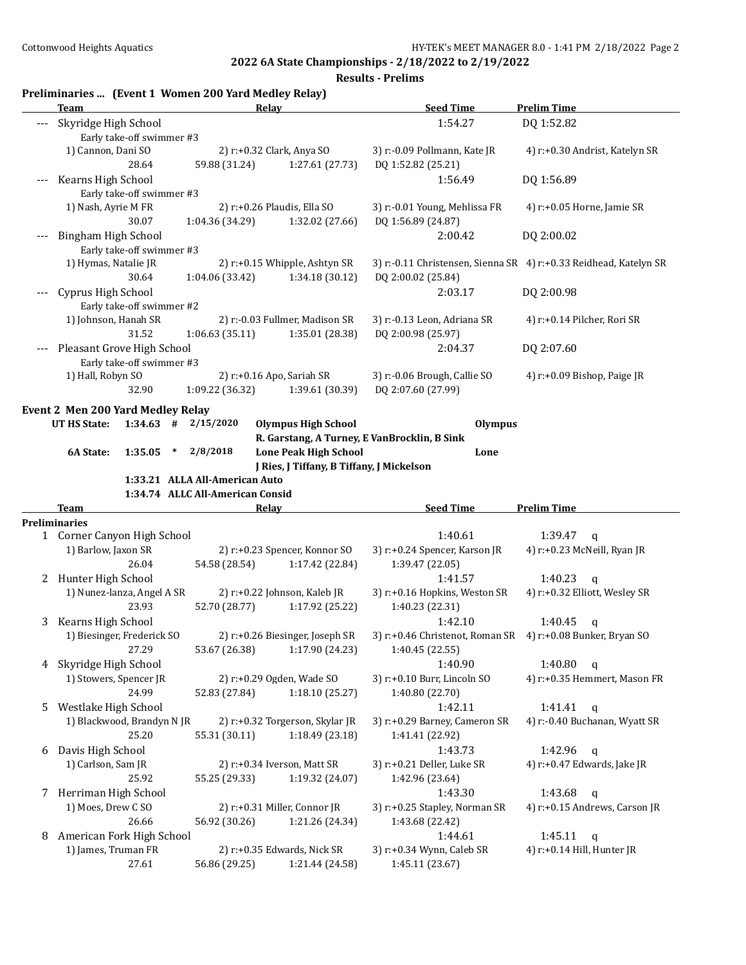**Results - Prelims**

### **Preliminaries ... (Event 1 Women 200 Yard Medley Relay)**

|       | Team                                                                           | Relay                                          |                                                    | <b>Seed Time</b>                                                       | <b>Prelim Time</b>                                                |
|-------|--------------------------------------------------------------------------------|------------------------------------------------|----------------------------------------------------|------------------------------------------------------------------------|-------------------------------------------------------------------|
|       | Skyridge High School<br>Early take-off swimmer #3                              |                                                |                                                    | 1:54.27                                                                | DQ 1:52.82                                                        |
|       | 1) Cannon, Dani SO<br>28.64                                                    | 2) r:+0.32 Clark, Anya SO<br>59.88 (31.24)     | 1:27.61 (27.73)                                    | 3) r:-0.09 Pollmann, Kate JR<br>DQ 1:52.82 (25.21)                     | 4) r:+0.30 Andrist, Katelyn SR                                    |
|       | Kearns High School<br>Early take-off swimmer #3                                |                                                |                                                    | 1:56.49                                                                | DQ 1:56.89                                                        |
|       | 1) Nash, Ayrie M FR<br>30.07                                                   | 2) r:+0.26 Plaudis, Ella SO<br>1:04.36 (34.29) | 1:32.02 (27.66)                                    | 3) r:-0.01 Young, Mehlissa FR<br>DQ 1:56.89 (24.87)                    | 4) r:+0.05 Horne, Jamie SR                                        |
| $---$ | <b>Bingham High School</b><br>Early take-off swimmer #3                        |                                                |                                                    | 2:00.42                                                                | DQ 2:00.02                                                        |
|       | 1) Hymas, Natalie JR<br>30.64                                                  | 1:04.06 (33.42)                                | 2) r:+0.15 Whipple, Ashtyn SR<br>1:34.18 (30.12)   | DQ 2:00.02 (25.84)                                                     | 3) r:-0.11 Christensen, Sienna SR 4) r:+0.33 Reidhead, Katelyn SR |
|       | Cyprus High School<br>Early take-off swimmer #2                                |                                                |                                                    | 2:03.17                                                                | DQ 2:00.98                                                        |
|       | 1) Johnson, Hanah SR<br>31.52                                                  | 1:06.63(35.11)                                 | 2) r:-0.03 Fullmer, Madison SR<br>1:35.01 (28.38)  | 3) r:-0.13 Leon, Adriana SR<br>DQ 2:00.98 (25.97)                      | 4) r:+0.14 Pilcher, Rori SR                                       |
| ---   | Pleasant Grove High School<br>Early take-off swimmer #3                        |                                                |                                                    | 2:04.37                                                                | DQ 2:07.60                                                        |
|       | 1) Hall, Robyn SO<br>32.90                                                     | 2) r:+0.16 Apo, Sariah SR<br>1:09.22 (36.32)   | 1:39.61 (30.39)                                    | 3) r:-0.06 Brough, Callie SO<br>DQ 2:07.60 (27.99)                     | 4) r:+0.09 Bishop, Paige JR                                       |
|       | <b>Event 2 Men 200 Yard Medley Relay</b><br><b>UT HS State:</b><br>$1:34.63$ # | 2/15/2020                                      | <b>Olympus High School</b>                         | <b>Olympus</b>                                                         |                                                                   |
|       |                                                                                |                                                |                                                    | R. Garstang, A Turney, E VanBrocklin, B Sink                           |                                                                   |
|       | 6A State:<br>1:35.05<br>$\ast$                                                 | 2/8/2018                                       | <b>Lone Peak High School</b>                       | Lone                                                                   |                                                                   |
|       |                                                                                |                                                | J Ries, J Tiffany, B Tiffany, J Mickelson          |                                                                        |                                                                   |
|       |                                                                                | 1:33.21 ALLA All-American Auto                 |                                                    |                                                                        |                                                                   |
|       |                                                                                |                                                |                                                    |                                                                        |                                                                   |
|       |                                                                                | 1:34.74 ALLC All-American Consid               |                                                    |                                                                        |                                                                   |
|       | Team                                                                           | <b>Relay</b>                                   |                                                    | <b>Seed Time</b>                                                       | <b>Prelim Time</b>                                                |
|       | <b>Preliminaries</b>                                                           |                                                |                                                    |                                                                        |                                                                   |
|       | 1 Corner Canyon High School                                                    |                                                |                                                    | 1:40.61                                                                | 1:39.47<br>q                                                      |
|       | 1) Barlow, Jaxon SR                                                            |                                                | 2) r:+0.23 Spencer, Konnor SO                      | 3) r:+0.24 Spencer, Karson JR                                          | 4) r:+0.23 McNeill, Ryan JR                                       |
|       | 26.04                                                                          | 54.58 (28.54)                                  | 1:17.42 (22.84)                                    | 1:39.47 (22.05)                                                        |                                                                   |
| 2     | Hunter High School                                                             |                                                |                                                    | 1:41.57                                                                | 1:40.23<br>$\mathbf q$                                            |
|       | 1) Nunez-lanza, Angel A SR<br>23.93                                            | 52.70 (28.77)                                  | 2) r:+0.22 Johnson, Kaleb JR<br>1:17.92 (25.22)    | 3) r:+0.16 Hopkins, Weston SR<br>1:40.23 (22.31)                       | 4) r:+0.32 Elliott, Wesley SR                                     |
| 3     | Kearns High School<br>1) Biesinger, Frederick SO                               |                                                | 2) r:+0.26 Biesinger, Joseph SR                    | 1:42.10<br>3) r:+0.46 Christenot, Roman SR 4) r:+0.08 Bunker, Bryan SO | 1:40.45<br>$\mathbf q$                                            |
| 4     | 27.29                                                                          | 53.67 (26.38)                                  | 1:17.90 (24.23)                                    | 1:40.45 (22.55)                                                        |                                                                   |
|       | Skyridge High School<br>1) Stowers, Spencer JR<br>24.99                        | 2) r:+0.29 Ogden, Wade SO<br>52.83 (27.84)     | 1:18.10 (25.27)                                    | 1:40.90<br>3) r:+0.10 Burr, Lincoln SO<br>1:40.80 (22.70)              | 1:40.80<br>$\mathbf q$<br>4) r:+0.35 Hemmert, Mason FR            |
| 5.    | Westlake High School                                                           |                                                |                                                    | 1:42.11                                                                | 1:41.41<br>$\mathbf q$                                            |
|       | 1) Blackwood, Brandyn N JR<br>25.20                                            | 55.31 (30.11)                                  | 2) r:+0.32 Torgerson, Skylar JR<br>1:18.49 (23.18) | 3) r:+0.29 Barney, Cameron SR<br>1:41.41 (22.92)                       | 4) r:-0.40 Buchanan, Wyatt SR                                     |
| 6     | Davis High School                                                              |                                                |                                                    | 1:43.73                                                                | 1:42.96<br>$\mathbf q$                                            |
|       | 1) Carlson, Sam JR<br>25.92                                                    | 2) r:+0.34 Iverson, Matt SR<br>55.25 (29.33)   | 1:19.32 (24.07)                                    | 3) r:+0.21 Deller, Luke SR<br>1:42.96 (23.64)                          | 4) r:+0.47 Edwards, Jake JR                                       |
|       | 7 Herriman High School                                                         |                                                |                                                    | 1:43.30                                                                | 1:43.68<br>$\mathbf q$                                            |
|       | 1) Moes, Drew C SO                                                             | 2) r:+0.31 Miller, Connor JR                   |                                                    | 3) r:+0.25 Stapley, Norman SR                                          | 4) r:+0.15 Andrews, Carson JR                                     |
|       | 26.66                                                                          | 56.92 (30.26)                                  | 1:21.26 (24.34)                                    | 1:43.68 (22.42)                                                        |                                                                   |
| 8     | American Fork High School<br>1) James, Truman FR                               |                                                | 2) r:+0.35 Edwards, Nick SR                        | 1:44.61<br>3) r:+0.34 Wynn, Caleb SR                                   | 1:45.11<br>q<br>4) r:+0.14 Hill, Hunter JR                        |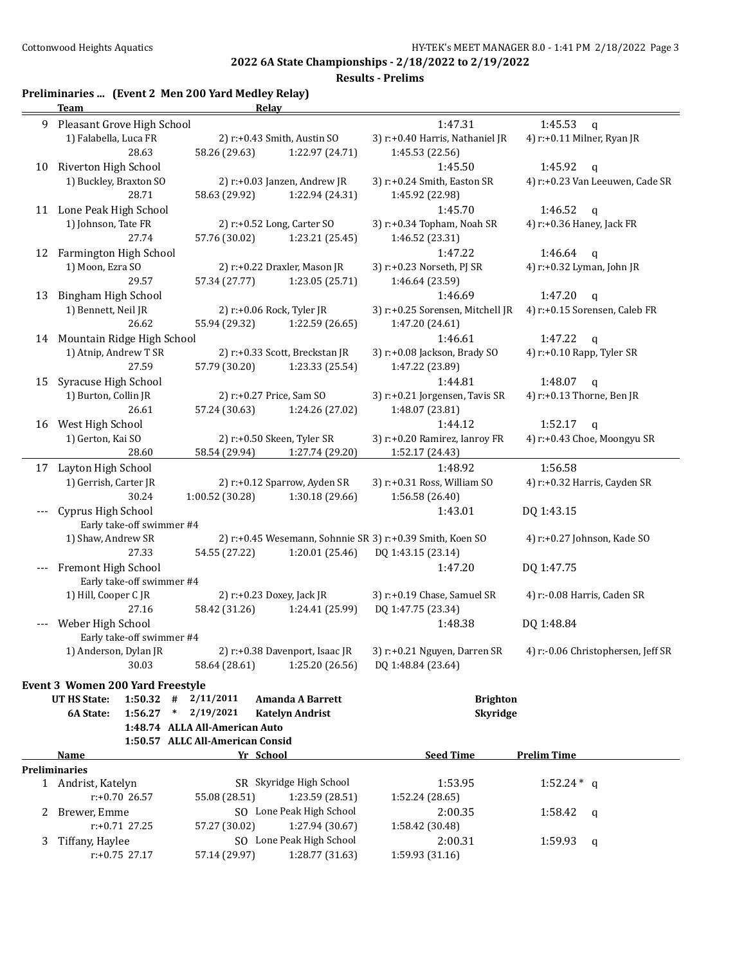**Results - Prelims**

# **Preliminaries ... (Event 2 Men 200 Yard Medley Relay)**

|    | <b>Team</b>                                        | <b>Relay</b>                     |                                |                                                           |                                    |
|----|----------------------------------------------------|----------------------------------|--------------------------------|-----------------------------------------------------------|------------------------------------|
| 9  | Pleasant Grove High School                         |                                  |                                | 1:47.31                                                   | 1:45.53<br>$\mathbf{q}$            |
|    | 1) Falabella, Luca FR                              |                                  | 2) r:+0.43 Smith, Austin SO    | 3) r:+0.40 Harris, Nathaniel JR                           | 4) r:+0.11 Milner, Ryan JR         |
|    | 28.63                                              | 58.26 (29.63)                    | 1:22.97 (24.71)                | 1:45.53 (22.56)                                           |                                    |
| 10 | Riverton High School                               |                                  |                                | 1:45.50                                                   | 1:45.92<br>$\mathsf{q}$            |
|    | 1) Buckley, Braxton SO                             |                                  | 2) r:+0.03 Janzen, Andrew JR   | 3) r:+0.24 Smith, Easton SR                               | 4) r:+0.23 Van Leeuwen, Cade SR    |
|    | 28.71                                              | 58.63 (29.92)                    | 1:22.94 (24.31)                | 1:45.92 (22.98)                                           |                                    |
|    | 11 Lone Peak High School                           |                                  |                                | 1:45.70                                                   | 1:46.52<br>$\mathsf{q}$            |
|    | 1) Johnson, Tate FR                                |                                  | 2) r:+0.52 Long, Carter SO     | 3) r:+0.34 Topham, Noah SR                                | 4) r:+0.36 Haney, Jack FR          |
|    | 27.74                                              | 57.76 (30.02)                    | 1:23.21(25.45)                 | 1:46.52 (23.31)                                           |                                    |
| 12 | Farmington High School                             |                                  |                                | 1:47.22                                                   | 1:46.64<br>$\mathsf{q}$            |
|    | 1) Moon, Ezra SO                                   |                                  | 2) r:+0.22 Draxler, Mason JR   | 3) r:+0.23 Norseth, PJ SR                                 | 4) r:+0.32 Lyman, John JR          |
|    | 29.57                                              | 57.34 (27.77)                    | 1:23.05 (25.71)                | 1:46.64 (23.59)                                           |                                    |
| 13 | Bingham High School                                |                                  |                                | 1:46.69                                                   | 1:47.20<br>$\mathsf{q}$            |
|    | 1) Bennett, Neil JR                                |                                  | 2) r:+0.06 Rock, Tyler JR      | 3) r:+0.25 Sorensen, Mitchell JR                          | 4) r:+0.15 Sorensen, Caleb FR      |
|    | 26.62                                              | 55.94 (29.32)                    | 1:22.59 (26.65)                | 1:47.20 (24.61)                                           |                                    |
| 14 | Mountain Ridge High School                         |                                  |                                | 1:46.61                                                   | 1:47.22<br>$\mathsf{q}$            |
|    | 1) Atnip, Andrew T SR                              |                                  | 2) r:+0.33 Scott, Breckstan JR | 3) r:+0.08 Jackson, Brady SO                              | 4) r:+0.10 Rapp, Tyler SR          |
|    | 27.59                                              | 57.79 (30.20)                    | 1:23.33 (25.54)                | 1:47.22 (23.89)                                           |                                    |
| 15 | Syracuse High School                               |                                  |                                | 1:44.81                                                   | 1:48.07<br>$\mathbf q$             |
|    | 1) Burton, Collin JR                               |                                  | 2) r:+0.27 Price, Sam SO       | 3) r:+0.21 Jorgensen, Tavis SR                            | 4) r:+0.13 Thorne, Ben JR          |
|    | 26.61                                              | 57.24 (30.63)                    | 1:24.26 (27.02)                | 1:48.07 (23.81)                                           |                                    |
| 16 | West High School                                   |                                  |                                | 1:44.12                                                   | 1:52.17<br>$\mathbf{q}$            |
|    | 1) Gerton, Kai SO                                  |                                  | 2) r:+0.50 Skeen, Tyler SR     | 3) r:+0.20 Ramirez, Ianroy FR                             | 4) r:+0.43 Choe, Moongyu SR        |
|    | 28.60                                              | 58.54 (29.94)                    | 1:27.74 (29.20)                | 1:52.17 (24.43)                                           |                                    |
| 17 | Layton High School                                 |                                  |                                | 1:48.92                                                   | 1:56.58                            |
|    | 1) Gerrish, Carter JR                              |                                  | 2) r:+0.12 Sparrow, Ayden SR   | 3) r:+0.31 Ross, William SO                               | 4) r:+0.32 Harris, Cayden SR       |
|    | 30.24                                              | 1:00.52 (30.28)                  | 1:30.18 (29.66)                | 1:56.58 (26.40)                                           |                                    |
|    | Cyprus High School                                 |                                  |                                | 1:43.01                                                   | DQ 1:43.15                         |
|    | Early take-off swimmer #4                          |                                  |                                |                                                           |                                    |
|    | 1) Shaw, Andrew SR                                 |                                  |                                | 2) r:+0.45 Wesemann, Sohnnie SR 3) r:+0.39 Smith, Koen SO | 4) r:+0.27 Johnson, Kade SO        |
|    | 27.33                                              | 54.55 (27.22)                    | 1:20.01 (25.46)                | DQ 1:43.15 (23.14)                                        |                                    |
|    | Fremont High School                                |                                  |                                | 1:47.20                                                   | DQ 1:47.75                         |
|    | Early take-off swimmer #4                          |                                  |                                |                                                           |                                    |
|    | 1) Hill, Cooper CJR                                |                                  | 2) r:+0.23 Doxey, Jack JR      | 3) r:+0.19 Chase, Samuel SR                               | 4) r:-0.08 Harris, Caden SR        |
|    | 27.16                                              | 58.42 (31.26)                    | 1:24.41 (25.99)                | DQ 1:47.75 (23.34)                                        |                                    |
|    | Weber High School                                  |                                  |                                | 1:48.38                                                   | DQ 1:48.84                         |
|    | Early take-off swimmer #4<br>1) Anderson, Dylan JR |                                  | 2) r:+0.38 Davenport, Isaac JR | 3) r:+0.21 Nguyen, Darren SR                              | 4) r:-0.06 Christophersen, Jeff SR |
|    | 30.03                                              | 58.64 (28.61)                    | 1:25.20 (26.56)                | DQ 1:48.84 (23.64)                                        |                                    |
|    |                                                    |                                  |                                |                                                           |                                    |
|    | <b>Event 3 Women 200 Yard Freestyle</b>            |                                  |                                |                                                           |                                    |
|    | <b>UT HS State:</b><br>$1:50.32$ #                 | 2/11/2011                        | <b>Amanda A Barrett</b>        | <b>Brighton</b>                                           |                                    |
|    | $1:56.27$ *<br>6A State:                           | 2/19/2021                        | <b>Katelyn Andrist</b>         | <b>Skyridge</b>                                           |                                    |
|    |                                                    | 1:48.74 ALLA All-American Auto   |                                |                                                           |                                    |
|    | Name                                               | 1:50.57 ALLC All-American Consid |                                | <b>Seed Time</b>                                          | <b>Prelim Time</b>                 |
|    | <b>Preliminaries</b>                               | Yr School                        |                                |                                                           |                                    |
|    | 1 Andrist, Katelyn                                 |                                  | SR Skyridge High School        | 1:53.95                                                   | $1:52.24*$ q                       |
|    | $r: +0.70$ 26.57                                   | 55.08 (28.51)                    | 1:23.59 (28.51)                | 1:52.24 (28.65)                                           |                                    |
| 2. | Brewer, Emme                                       |                                  | SO Lone Peak High School       | 2:00.35                                                   | 1:58.42<br>q                       |
|    | $r: +0.71$ 27.25                                   | 57.27 (30.02)                    | 1:27.94 (30.67)                | 1:58.42 (30.48)                                           |                                    |
| 3  | Tiffany, Haylee                                    |                                  | SO Lone Peak High School       | 2:00.31                                                   | 1:59.93<br>q                       |
|    | $r: +0.75$ 27.17                                   | 57.14 (29.97)                    | 1:28.77 (31.63)                | 1:59.93 (31.16)                                           |                                    |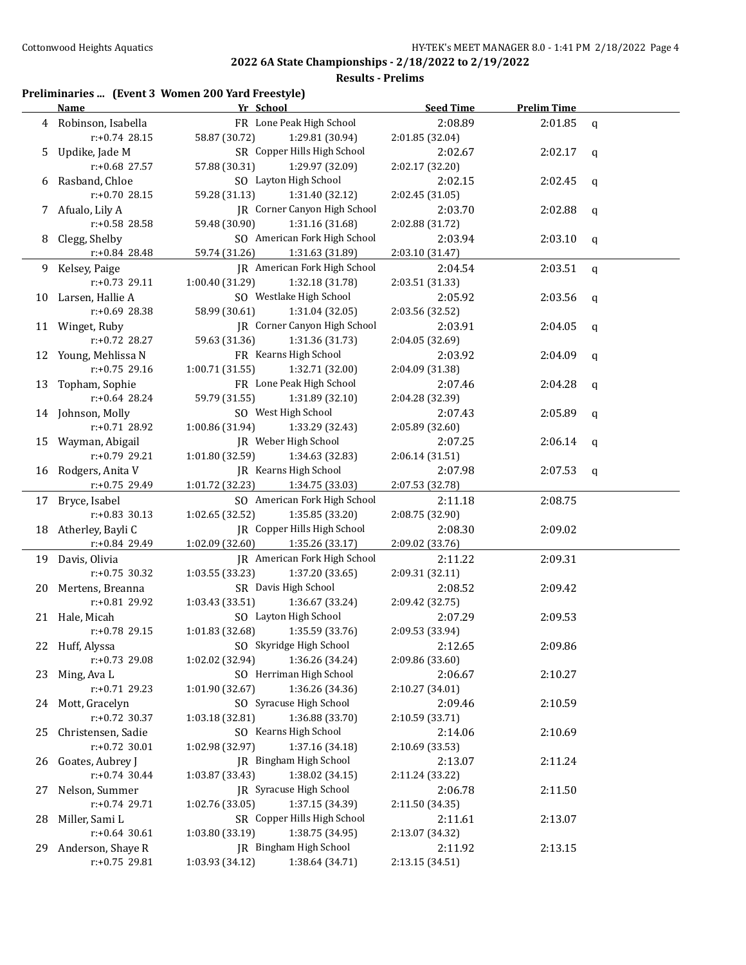#### **Results - Prelims**

## **Preliminaries ... (Event 3 Women 200 Yard Freestyle)**

|     | <u>Name</u>          | Yr School                           | <b>Seed Time</b> | <b>Prelim Time</b> |             |
|-----|----------------------|-------------------------------------|------------------|--------------------|-------------|
|     | 4 Robinson, Isabella | FR Lone Peak High School            | 2:08.89          | 2:01.85            | q           |
|     | $r: +0.74$ 28.15     | 58.87 (30.72)<br>1:29.81 (30.94)    | 2:01.85 (32.04)  |                    |             |
| 5   | Updike, Jade M       | SR Copper Hills High School         | 2:02.67          | 2:02.17            | q           |
|     | $r: +0.68$ 27.57     | 57.88 (30.31)<br>1:29.97 (32.09)    | 2:02.17 (32.20)  |                    |             |
| 6   | Rasband, Chloe       | SO Layton High School               | 2:02.15          | 2:02.45            | $\mathbf q$ |
|     | $r: +0.70$ 28.15     | 59.28 (31.13)<br>1:31.40 (32.12)    | 2:02.45 (31.05)  |                    |             |
| 7   | Afualo, Lily A       | JR Corner Canyon High School        | 2:03.70          | 2:02.88            | q           |
|     | r:+0.58 28.58        | 59.48 (30.90)<br>1:31.16 (31.68)    | 2:02.88 (31.72)  |                    |             |
| 8   | Clegg, Shelby        | SO American Fork High School        | 2:03.94          | 2:03.10            | q           |
|     | $r: +0.84$ 28.48     | 59.74 (31.26)<br>1:31.63 (31.89)    | 2:03.10 (31.47)  |                    |             |
| 9.  | Kelsey, Paige        | JR American Fork High School        | 2:04.54          | 2:03.51            | $\mathbf q$ |
|     | r:+0.73 29.11        | 1:00.40 (31.29)<br>1:32.18 (31.78)  | 2:03.51 (31.33)  |                    |             |
| 10  | Larsen, Hallie A     | SO Westlake High School             | 2:05.92          | 2:03.56            | q           |
|     | r:+0.69 28.38        | 58.99 (30.61)<br>1:31.04(32.05)     | 2:03.56 (32.52)  |                    |             |
| 11  | Winget, Ruby         | <b>IR</b> Corner Canyon High School | 2:03.91          | 2:04.05            | q           |
|     | r:+0.72 28.27        | 59.63 (31.36)<br>1:31.36 (31.73)    | 2:04.05 (32.69)  |                    |             |
| 12  | Young, Mehlissa N    | FR Kearns High School               | 2:03.92          | 2:04.09            | q           |
|     | $r: +0.75$ 29.16     | 1:00.71 (31.55)<br>1:32.71 (32.00)  | 2:04.09 (31.38)  |                    |             |
| 13  | Topham, Sophie       | FR Lone Peak High School            | 2:07.46          | 2:04.28            | q           |
|     | r:+0.64 28.24        | 59.79 (31.55)<br>1:31.89 (32.10)    | 2:04.28 (32.39)  |                    |             |
|     | 14 Johnson, Molly    | SO West High School                 | 2:07.43          | 2:05.89            | q           |
|     | r:+0.71 28.92        | 1:00.86 (31.94)<br>1:33.29 (32.43)  | 2:05.89 (32.60)  |                    |             |
|     | 15 Wayman, Abigail   | JR Weber High School                | 2:07.25          | 2:06.14            | q           |
|     | r:+0.79 29.21        | 1:01.80 (32.59)<br>1:34.63 (32.83)  | 2:06.14 (31.51)  |                    |             |
| 16  | Rodgers, Anita V     | JR Kearns High School               | 2:07.98          | 2:07.53            | q           |
|     | r:+0.75 29.49        | 1:01.72 (32.23)<br>1:34.75 (33.03)  | 2:07.53 (32.78)  |                    |             |
|     | 17 Bryce, Isabel     | SO American Fork High School        | 2:11.18          | 2:08.75            |             |
|     | $r: +0.83$ 30.13     | 1:02.65 (32.52)<br>1:35.85 (33.20)  | 2:08.75 (32.90)  |                    |             |
| 18  | Atherley, Bayli C    | JR Copper Hills High School         | 2:08.30          | 2:09.02            |             |
|     | r:+0.84 29.49        | 1:02.09 (32.60)<br>1:35.26 (33.17)  | 2:09.02 (33.76)  |                    |             |
|     | 19 Davis, Olivia     | JR American Fork High School        | 2:11.22          | 2:09.31            |             |
|     | $r: +0.75$ 30.32     | 1:03.55 (33.23)<br>1:37.20 (33.65)  | 2:09.31 (32.11)  |                    |             |
| 20  | Mertens, Breanna     | SR Davis High School                | 2:08.52          | 2:09.42            |             |
|     | r:+0.81 29.92        | 1:03.43 (33.51)<br>1:36.67 (33.24)  | 2:09.42 (32.75)  |                    |             |
|     | 21 Hale, Micah       | SO Layton High School               | 2:07.29          | 2:09.53            |             |
|     | $r: +0.78$ 29.15     | 1:01.83(32.68)<br>1:35.59 (33.76)   | 2:09.53 (33.94)  |                    |             |
|     | 22 Huff, Alyssa      | SO Skyridge High School             | 2:12.65          | 2:09.86            |             |
|     | r:+0.73 29.08        | 1:02.02 (32.94)<br>1:36.26 (34.24)  | 2:09.86 (33.60)  |                    |             |
| 23. | Ming, Ava L          | SO Herriman High School             | 2:06.67          | 2:10.27            |             |
|     | r:+0.71 29.23        | 1:36.26 (34.36)<br>1:01.90 (32.67)  | 2:10.27 (34.01)  |                    |             |
|     | 24 Mott, Gracelyn    | SO Syracuse High School             | 2:09.46          | 2:10.59            |             |
|     | r:+0.72 30.37        | 1:36.88 (33.70)<br>1:03.18 (32.81)  | 2:10.59 (33.71)  |                    |             |
| 25  | Christensen, Sadie   | SO Kearns High School               | 2:14.06          | 2:10.69            |             |
|     | r:+0.72 30.01        | 1:37.16 (34.18)<br>1:02.98 (32.97)  | 2:10.69 (33.53)  |                    |             |
| 26  | Goates, Aubrey J     | JR Bingham High School              | 2:13.07          | 2:11.24            |             |
|     | $r: +0.74$ 30.44     | 1:38.02 (34.15)<br>1:03.87 (33.43)  | 2:11.24 (33.22)  |                    |             |
| 27  | Nelson, Summer       | JR Syracuse High School             | 2:06.78          | 2:11.50            |             |
|     | r:+0.74 29.71        | 1:02.76 (33.05)<br>1:37.15 (34.39)  | 2:11.50 (34.35)  |                    |             |
| 28  | Miller, Sami L       | SR Copper Hills High School         | 2:11.61          | 2:13.07            |             |
|     | $r: +0.64$ 30.61     | 1:38.75 (34.95)<br>1:03.80 (33.19)  | 2:13.07 (34.32)  |                    |             |
| 29. | Anderson, Shaye R    | JR Bingham High School              | 2:11.92          | 2:13.15            |             |
|     | r:+0.75 29.81        | 1:03.93 (34.12)<br>1:38.64 (34.71)  | 2:13.15 (34.51)  |                    |             |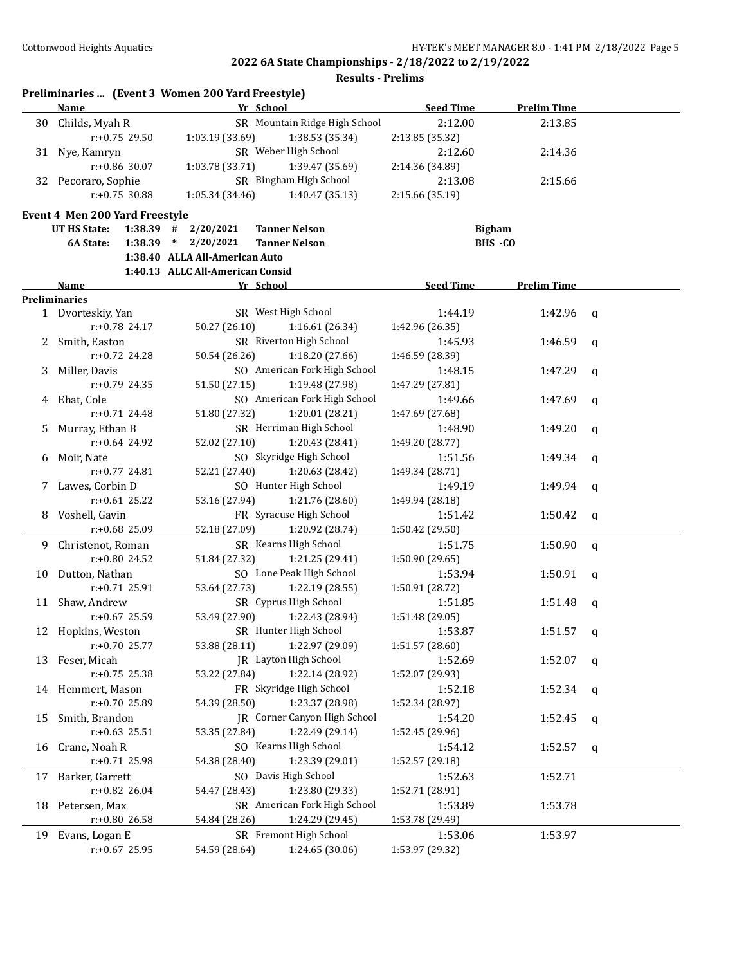|    | Name                               |                                  | Yr School                     | <b>Seed Time</b> | <b>Prelim Time</b> |              |
|----|------------------------------------|----------------------------------|-------------------------------|------------------|--------------------|--------------|
|    | 30 Childs, Myah R                  |                                  | SR Mountain Ridge High School | 2:12.00          | 2:13.85            |              |
|    | r:+0.75 29.50                      | 1:03.19 (33.69)                  | 1:38.53 (35.34)               | 2:13.85 (35.32)  |                    |              |
|    | 31 Nye, Kamryn                     |                                  | SR Weber High School          | 2:12.60          | 2:14.36            |              |
|    | $r: +0.86$ 30.07                   | 1:03.78 (33.71)                  | 1:39.47 (35.69)               | 2:14.36 (34.89)  |                    |              |
|    | 32 Pecoraro, Sophie                |                                  | SR Bingham High School        | 2:13.08          | 2:15.66            |              |
|    | $r: +0.75$ 30.88                   | 1:05.34 (34.46)                  | 1:40.47 (35.13)               | 2:15.66 (35.19)  |                    |              |
|    |                                    |                                  |                               |                  |                    |              |
|    | Event 4 Men 200 Yard Freestyle     |                                  |                               |                  |                    |              |
|    | <b>UT HS State:</b>                | $1:38.39$ # $2/20/2021$          | <b>Tanner Nelson</b>          | <b>Bigham</b>    |                    |              |
|    | 6A State:                          | $1:38.39$ * $2/20/2021$          | <b>Tanner Nelson</b>          |                  | BHS -CO            |              |
|    |                                    | 1:38.40 ALLA All-American Auto   |                               |                  |                    |              |
|    |                                    | 1:40.13 ALLC All-American Consid |                               |                  |                    |              |
|    | Name                               |                                  | Yr School                     | <b>Seed Time</b> | <b>Prelim Time</b> |              |
|    | <b>Preliminaries</b>               |                                  |                               |                  |                    |              |
|    | 1 Dvorteskiy, Yan                  |                                  | SR West High School           | 1:44.19          | 1:42.96            | q            |
|    | r:+0.78 24.17                      | 50.27 (26.10)                    | 1:16.61 (26.34)               | 1:42.96 (26.35)  |                    |              |
|    | 2 Smith, Easton                    |                                  | SR Riverton High School       | 1:45.93          | 1:46.59            | q            |
|    | r:+0.72 24.28                      | 50.54 (26.26)                    | 1:18.20 (27.66)               | 1:46.59 (28.39)  |                    |              |
| 3  | Miller, Davis                      |                                  | SO American Fork High School  | 1:48.15          | 1:47.29            | q            |
|    | $r: +0.79$ 24.35                   | 51.50 (27.15)                    | 1:19.48 (27.98)               | 1:47.29 (27.81)  |                    |              |
| 4  | Ehat, Cole                         |                                  | SO American Fork High School  | 1:49.66          | 1:47.69            | q            |
|    | $r: +0.71$ 24.48                   | 51.80 (27.32)                    | 1:20.01 (28.21)               | 1:47.69 (27.68)  |                    |              |
| 5. | Murray, Ethan B                    |                                  | SR Herriman High School       | 1:48.90          | 1:49.20            | $\mathbf q$  |
|    | $r: +0.64$ 24.92                   | 52.02 (27.10)                    | 1:20.43 (28.41)               | 1:49.20 (28.77)  |                    |              |
| 6  | Moir, Nate                         |                                  | SO Skyridge High School       | 1:51.56          | 1:49.34            | q            |
|    | $r: +0.77$ 24.81                   | 52.21 (27.40)                    | 1:20.63 (28.42)               | 1:49.34 (28.71)  |                    |              |
| 7  | Lawes, Corbin D                    |                                  | SO Hunter High School         | 1:49.19          | 1:49.94            | $\mathbf q$  |
|    | $r: +0.61$ 25.22                   | 53.16 (27.94)                    | 1:21.76 (28.60)               | 1:49.94 (28.18)  |                    |              |
| 8  | Voshell, Gavin                     |                                  | FR Syracuse High School       | 1:51.42          | 1:50.42            | $\mathbf{q}$ |
|    | r:+0.68 25.09                      | 52.18 (27.09)                    | 1:20.92 (28.74)               | 1:50.42 (29.50)  |                    |              |
|    |                                    |                                  | SR Kearns High School         |                  |                    |              |
| 9  | Christenot, Roman<br>r:+0.80 24.52 |                                  |                               | 1:51.75          | 1:50.90            | $\mathbf q$  |
|    |                                    | 51.84 (27.32)                    | 1:21.25 (29.41)               | 1:50.90 (29.65)  |                    |              |
| 10 | Dutton, Nathan                     |                                  | SO Lone Peak High School      | 1:53.94          | 1:50.91            | $\mathbf q$  |
|    | $r: +0.71$ 25.91                   | 53.64 (27.73)                    | 1:22.19 (28.55)               | 1:50.91 (28.72)  |                    |              |
|    | 11 Shaw, Andrew                    |                                  | SR Cyprus High School         | 1:51.85          | 1:51.48            | q            |
|    | $r: +0.67$ 25.59                   | 53.49 (27.90)                    | 1:22.43 (28.94)               | 1:51.48 (29.05)  |                    |              |
|    | 12 Hopkins, Weston                 |                                  | SR Hunter High School         | 1:53.87          | $1:51.57$ q        |              |
|    | r:+0.70 25.77                      | 53.88 (28.11)                    | 1:22.97 (29.09)               | 1:51.57 (28.60)  |                    |              |
| 13 | Feser, Micah                       |                                  | JR Layton High School         | 1:52.69          | 1:52.07            | q            |
|    | $r: +0.75$ 25.38                   | 53.22 (27.84)                    | 1:22.14 (28.92)               | 1:52.07 (29.93)  |                    |              |
|    | 14 Hemmert, Mason                  |                                  | FR Skyridge High School       | 1:52.18          | 1:52.34            | q            |
|    | r:+0.70 25.89                      | 54.39 (28.50)                    | 1:23.37 (28.98)               | 1:52.34 (28.97)  |                    |              |
| 15 | Smith, Brandon                     |                                  | JR Corner Canyon High School  | 1:54.20          | 1:52.45            | q            |
|    | $r: +0.63$ 25.51                   | 53.35 (27.84)                    | 1:22.49 (29.14)               | 1:52.45 (29.96)  |                    |              |
| 16 | Crane, Noah R                      |                                  | SO Kearns High School         | 1:54.12          | 1:52.57            | q            |
|    | r:+0.71 25.98                      | 54.38 (28.40)                    | 1:23.39 (29.01)               | 1:52.57 (29.18)  |                    |              |
| 17 | Barker, Garrett                    |                                  | SO Davis High School          | 1:52.63          | 1:52.71            |              |
|    | $r: +0.82$ 26.04                   | 54.47 (28.43)                    | 1:23.80 (29.33)               | 1:52.71 (28.91)  |                    |              |
| 18 | Petersen, Max                      |                                  | SR American Fork High School  | 1:53.89          | 1:53.78            |              |
|    | r:+0.80 26.58                      | 54.84 (28.26)                    | 1:24.29 (29.45)               | 1:53.78 (29.49)  |                    |              |
| 19 | Evans, Logan E                     |                                  | SR Fremont High School        | 1:53.06          | 1:53.97            |              |
|    | r:+0.67 25.95                      | 54.59 (28.64)                    | 1:24.65 (30.06)               | 1:53.97 (29.32)  |                    |              |
|    |                                    |                                  |                               |                  |                    |              |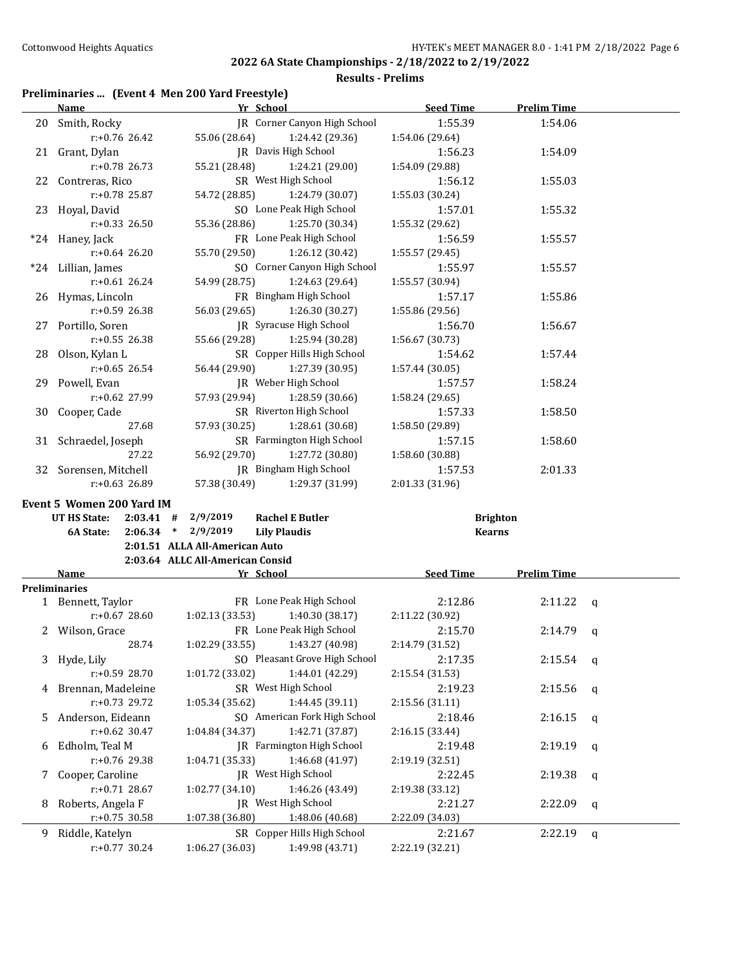**Results - Prelims**

# **Preliminaries ... (Event 4 Men 200 Yard Freestyle)**

|    | <b>Name</b>                                |                                  | Yr School                                      | <b>Seed Time</b>                 | <b>Prelim Time</b> |              |
|----|--------------------------------------------|----------------------------------|------------------------------------------------|----------------------------------|--------------------|--------------|
|    | 20 Smith, Rocky                            |                                  | IR Corner Canyon High School                   | 1:55.39                          | 1:54.06            |              |
|    | $r: +0.76$ 26.42                           | 55.06 (28.64)                    | 1:24.42 (29.36)                                | 1:54.06 (29.64)                  |                    |              |
|    | 21 Grant, Dylan                            |                                  | JR Davis High School                           | 1:56.23                          | 1:54.09            |              |
|    | $r: +0.78$ 26.73                           | 55.21 (28.48)                    | 1:24.21 (29.00)                                | 1:54.09 (29.88)                  |                    |              |
|    | 22 Contreras, Rico                         |                                  | SR West High School                            | 1:56.12                          | 1:55.03            |              |
|    | r:+0.78 25.87                              | 54.72 (28.85)                    | 1:24.79 (30.07)                                | 1:55.03 (30.24)                  |                    |              |
|    | 23 Hoyal, David                            |                                  | SO Lone Peak High School                       | 1:57.01                          | 1:55.32            |              |
|    | $r: +0.33$ 26.50                           | 55.36 (28.86)                    | 1:25.70 (30.34)                                | 1:55.32 (29.62)                  |                    |              |
|    | *24 Haney, Jack                            |                                  | FR Lone Peak High School                       | 1:56.59                          | 1:55.57            |              |
|    | $r: +0.64$ 26.20                           | 55.70 (29.50)                    | 1:26.12 (30.42)                                | 1:55.57 (29.45)                  |                    |              |
|    | *24 Lillian, James                         |                                  | SO Corner Canyon High School                   | 1:55.97                          | 1:55.57            |              |
|    | $r: +0.61$ 26.24                           | 54.99 (28.75)                    | 1:24.63 (29.64)                                | 1:55.57 (30.94)                  |                    |              |
|    | 26 Hymas, Lincoln                          |                                  | FR Bingham High School                         | 1:57.17                          | 1:55.86            |              |
|    | $r: +0.59$ 26.38                           | 56.03 (29.65)                    | 1:26.30 (30.27)                                | 1:55.86 (29.56)                  |                    |              |
|    | 27 Portillo, Soren                         |                                  | JR Syracuse High School                        | 1:56.70                          | 1:56.67            |              |
|    | $r: +0.55$ 26.38                           | 55.66 (29.28)                    | 1:25.94 (30.28)                                | 1:56.67 (30.73)                  |                    |              |
|    | 28 Olson, Kylan L                          |                                  | SR Copper Hills High School                    | 1:54.62                          | 1:57.44            |              |
|    | $r: +0.65$ 26.54                           | 56.44 (29.90)                    | 1:27.39 (30.95)                                | 1:57.44 (30.05)                  |                    |              |
|    | 29 Powell, Evan                            |                                  | JR Weber High School                           | 1:57.57                          | 1:58.24            |              |
|    | $r: +0.62$ 27.99                           | 57.93 (29.94)                    | 1:28.59 (30.66)                                | 1:58.24 (29.65)                  |                    |              |
| 30 | Cooper, Cade                               |                                  | SR Riverton High School                        | 1:57.33                          | 1:58.50            |              |
|    | 27.68                                      | 57.93 (30.25)                    | 1:28.61 (30.68)                                | 1:58.50 (29.89)                  |                    |              |
|    | 31 Schraedel, Joseph                       |                                  | SR Farmington High School                      | 1:57.15                          | 1:58.60            |              |
|    | 27.22                                      | 56.92 (29.70)                    | 1:27.72 (30.80)                                | 1:58.60 (30.88)                  |                    |              |
|    | 32 Sorensen, Mitchell                      |                                  | JR Bingham High School                         | 1:57.53                          | 2:01.33            |              |
|    | $r: +0.63$ 26.89                           | 57.38 (30.49)                    | 1:29.37 (31.99)                                | 2:01.33 (31.96)                  |                    |              |
|    |                                            |                                  |                                                |                                  |                    |              |
|    | Event 5 Women 200 Yard IM                  |                                  |                                                |                                  |                    |              |
|    | UT HS State:<br>$2:03.41$ #<br>$2:06.34$ * | 2/9/2019                         | <b>Rachel E Butler</b>                         | <b>Brighton</b><br><b>Kearns</b> |                    |              |
|    | 6A State:                                  |                                  | <b>Lily Plaudis</b>                            |                                  |                    |              |
|    |                                            | 2/9/2019                         |                                                |                                  |                    |              |
|    |                                            | 2:01.51 ALLA All-American Auto   |                                                |                                  |                    |              |
|    |                                            | 2:03.64 ALLC All-American Consid |                                                |                                  |                    |              |
|    | Name                                       |                                  | Yr School                                      | <b>Seed Time</b>                 | <b>Prelim Time</b> |              |
|    | <b>Preliminaries</b>                       |                                  |                                                |                                  |                    |              |
|    | 1 Bennett, Taylor                          |                                  | FR Lone Peak High School                       | 2:12.86                          | 2:11.22            | q            |
|    | $r: +0.67$ 28.60                           | 1:02.13(33.53)                   | 1:40.30 (38.17)                                | 2:11.22 (30.92)                  |                    |              |
|    | 2 Wilson, Grace                            |                                  | FR Lone Peak High School                       | 2:15.70                          | 2:14.79            | q            |
|    | 28.74                                      | 1:02.29 (33.55)                  | 1:43.27 (40.98)                                | 2:14.79 (31.52)                  |                    |              |
| 3  | Hyde, Lily                                 |                                  | SO Pleasant Grove High School                  | 2:17.35                          | 2:15.54            | q            |
|    | r:+0.59 28.70                              | 1:01.72 (33.02)                  | 1:44.01 (42.29)                                | 2:15.54 (31.53)                  |                    |              |
| 4  | Brennan, Madeleine                         |                                  | SR West High School                            | 2:19.23                          | 2:15.56            | q            |
|    | r:+0.73 29.72                              | 1:05.34 (35.62)                  | 1:44.45 (39.11)                                | 2:15.56 (31.11)                  |                    |              |
| 5  | Anderson, Eideann                          |                                  | SO American Fork High School                   | 2:18.46                          | 2:16.15            | $\mathsf{q}$ |
|    | $r: +0.62$ 30.47                           | 1:04.84 (34.37)                  | 1:42.71 (37.87)                                | 2:16.15 (33.44)                  |                    |              |
| 6  | Edholm, Teal M                             |                                  | <b>IR</b> Farmington High School               | 2:19.48                          | 2:19.19            | q            |
|    | r:+0.76 29.38                              | 1:04.71 (35.33)                  | 1:46.68 (41.97)                                | 2:19.19 (32.51)                  |                    |              |
| 7  | Cooper, Caroline                           |                                  | JR West High School                            | 2:22.45                          | 2:19.38            | q            |
|    | $r: +0.71$ 28.67                           | 1:02.77 (34.10)                  | 1:46.26 (43.49)                                | 2:19.38 (33.12)                  |                    |              |
| 8  | Roberts, Angela F                          |                                  | JR West High School                            | 2:21.27                          | 2:22.09            | $\mathbf q$  |
|    | $r: +0.75$ 30.58                           | 1:07.38 (36.80)                  | 1:48.06 (40.68)                                | 2:22.09 (34.03)                  |                    |              |
| 9. | Riddle, Katelyn<br>$r: +0.77$ 30.24        | 1:06.27 (36.03)                  | SR Copper Hills High School<br>1:49.98 (43.71) | 2:21.67<br>2:22.19 (32.21)       | 2:22.19            | $\mathbf{q}$ |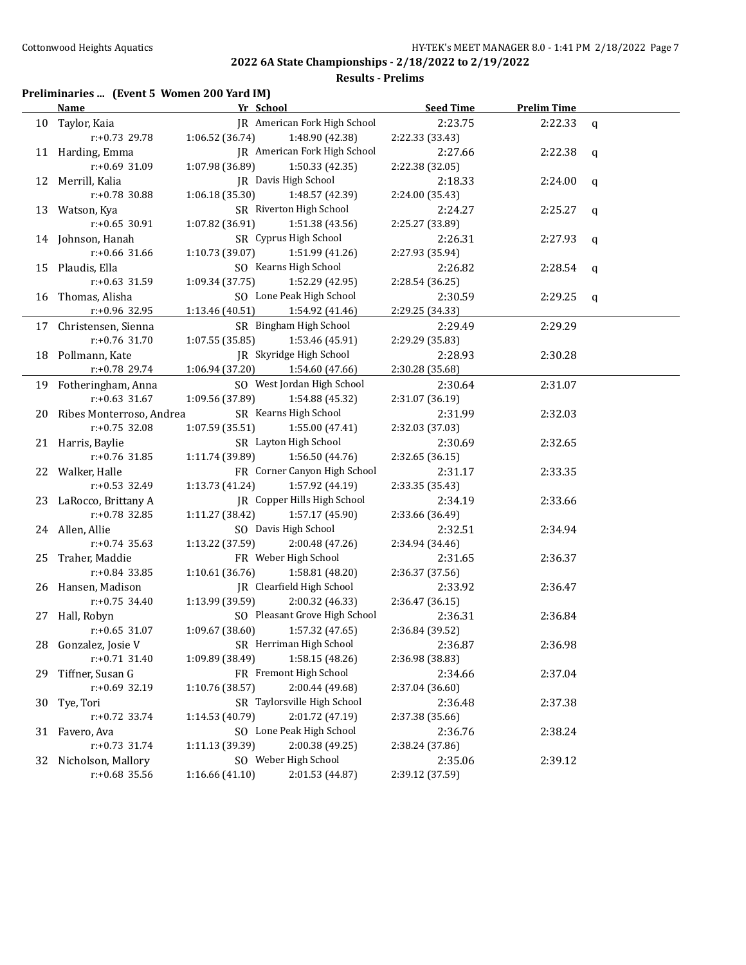**Results - Prelims**

## **Preliminaries ... (Event 5 Women 200 Yard IM)**

|    | Name                        | Yr School                         |                               | <b>Seed Time</b> | <b>Prelim Time</b> |              |
|----|-----------------------------|-----------------------------------|-------------------------------|------------------|--------------------|--------------|
|    | 10 Taylor, Kaia             |                                   | JR American Fork High School  | 2:23.75          | $2:22.33$ q        |              |
|    | r:+0.73 29.78               | $1:06.52(36.74)$ $1:48.90(42.38)$ |                               | 2:22.33 (33.43)  |                    |              |
|    | 11 Harding, Emma            |                                   | JR American Fork High School  | 2:27.66          | $2:22.38$ q        |              |
|    | r:+0.69 31.09               | 1:07.98 (36.89)                   | 1:50.33 (42.35)               | 2:22.38 (32.05)  |                    |              |
|    | 12 Merrill, Kalia           |                                   | JR Davis High School          | 2:18.33          | 2:24.00            | $\mathbf{q}$ |
|    | r:+0.78 30.88               | 1:06.18 (35.30)                   | 1:48.57 (42.39)               | 2:24.00 (35.43)  |                    |              |
|    | 13 Watson, Kya              |                                   | SR Riverton High School       | 2:24.27          | 2:25.27            | $\mathbf{q}$ |
|    | $r: +0.65$ 30.91            | 1:07.82 (36.91)                   | 1:51.38 (43.56)               | 2:25.27 (33.89)  |                    |              |
|    | 14 Johnson, Hanah           |                                   | SR Cyprus High School         | 2:26.31          | 2:27.93            | $\mathbf{q}$ |
|    | $r: +0.66$ 31.66            | 1:10.73 (39.07)                   | 1:51.99 (41.26)               | 2:27.93 (35.94)  |                    |              |
|    | 15 Plaudis, Ella            |                                   | SO Kearns High School         | 2:26.82          | $2:28.54$ q        |              |
|    | $r: +0.63$ 31.59            | 1:09.34 (37.75)                   | 1:52.29 (42.95)               | 2:28.54 (36.25)  |                    |              |
|    | 16 Thomas, Alisha           |                                   | SO Lone Peak High School      | 2:30.59          | 2:29.25            | q            |
|    | r:+0.96 32.95               | 1:13.46 (40.51) 1:54.92 (41.46)   |                               | 2:29.25 (34.33)  |                    |              |
|    | 17 Christensen, Sienna      |                                   | SR Bingham High School        | 2:29.49          | 2:29.29            |              |
|    | r:+0.76 31.70               | 1:07.55(35.85)                    | 1:53.46 (45.91)               | 2:29.29 (35.83)  |                    |              |
|    | 18 Pollmann, Kate           |                                   | JR Skyridge High School       | 2:28.93          | 2:30.28            |              |
|    | r:+0.78 29.74               | 1:06.94 (37.20) 1:54.60 (47.66)   |                               | 2:30.28 (35.68)  |                    |              |
|    | 19 Fotheringham, Anna       |                                   | SO West Jordan High School    | 2:30.64          | 2:31.07            |              |
|    | $r: +0.63$ 31.67            | 1:09.56 (37.89)                   | 1:54.88 (45.32)               | 2:31.07 (36.19)  |                    |              |
|    | 20 Ribes Monterroso, Andrea |                                   | SR Kearns High School         | 2:31.99          | 2:32.03            |              |
|    | $r: +0.75$ 32.08            | 1:07.59(35.51)                    | 1:55.00 (47.41)               | 2:32.03 (37.03)  |                    |              |
|    | 21 Harris, Baylie           |                                   | SR Layton High School         | 2:30.69          | 2:32.65            |              |
|    | $r: +0.76$ 31.85            | 1:11.74 (39.89)                   | 1:56.50 (44.76)               | 2:32.65 (36.15)  |                    |              |
|    | 22 Walker, Halle            |                                   | FR Corner Canyon High School  | 2:31.17          | 2:33.35            |              |
|    | $r: +0.53$ 32.49            | 1:13.73 (41.24)                   | 1:57.92 (44.19)               | 2:33.35 (35.43)  |                    |              |
|    | 23 LaRocco, Brittany A      |                                   | JR Copper Hills High School   | 2:34.19          | 2:33.66            |              |
|    | $r: +0.78$ 32.85            | 1:11.27 (38.42)                   | 1:57.17 (45.90)               | 2:33.66 (36.49)  |                    |              |
|    | 24 Allen, Allie             |                                   | SO Davis High School          | 2:32.51          | 2:34.94            |              |
|    | $r: +0.74$ 35.63            | 1:13.22 (37.59)                   | 2:00.48 (47.26)               | 2:34.94 (34.46)  |                    |              |
|    | 25 Traher, Maddie           |                                   | FR Weber High School          | 2:31.65          | 2:36.37            |              |
|    | $r: +0.84$ 33.85            | 1:10.61(36.76)                    | 1:58.81 (48.20)               | 2:36.37 (37.56)  |                    |              |
|    | 26 Hansen, Madison          |                                   | JR Clearfield High School     | 2:33.92          | 2:36.47            |              |
|    | $r: +0.75$ 34.40            | 1:13.99 (39.59)                   | 2:00.32 (46.33)               | 2:36.47 (36.15)  |                    |              |
|    | 27 Hall, Robyn              |                                   | SO Pleasant Grove High School | 2:36.31          | 2:36.84            |              |
|    | $r: +0.65$ 31.07            | 1:09.67(38.60)                    | 1:57.32 (47.65)               | 2:36.84 (39.52)  |                    |              |
|    | 28 Gonzalez, Josie V        |                                   | SR Herriman High School       | 2:36.87          | 2:36.98            |              |
|    | $r: +0.71$ 31.40            | 1:09.89 (38.49)                   | 1:58.15 (48.26)               | 2:36.98 (38.83)  |                    |              |
| 29 | Tiffner, Susan G            |                                   | FR Fremont High School        | 2:34.66          | 2:37.04            |              |
|    | r:+0.69 32.19               | 1:10.76 (38.57)                   | 2:00.44 (49.68)               | 2:37.04 (36.60)  |                    |              |
| 30 | Tye, Tori                   |                                   | SR Taylorsville High School   | 2:36.48          | 2:37.38            |              |
|    | r:+0.72 33.74               | 1:14.53 (40.79)                   | 2:01.72 (47.19)               | 2:37.38 (35.66)  |                    |              |
| 31 | Favero, Ava                 |                                   | SO Lone Peak High School      | 2:36.76          | 2:38.24            |              |
|    | r:+0.73 31.74               | 1:11.13 (39.39)                   | 2:00.38 (49.25)               | 2:38.24 (37.86)  |                    |              |
| 32 | Nicholson, Mallory          |                                   | SO Weber High School          | 2:35.06          | 2:39.12            |              |
|    | r:+0.68 35.56               | 1:16.66 (41.10)                   | 2:01.53 (44.87)               | 2:39.12 (37.59)  |                    |              |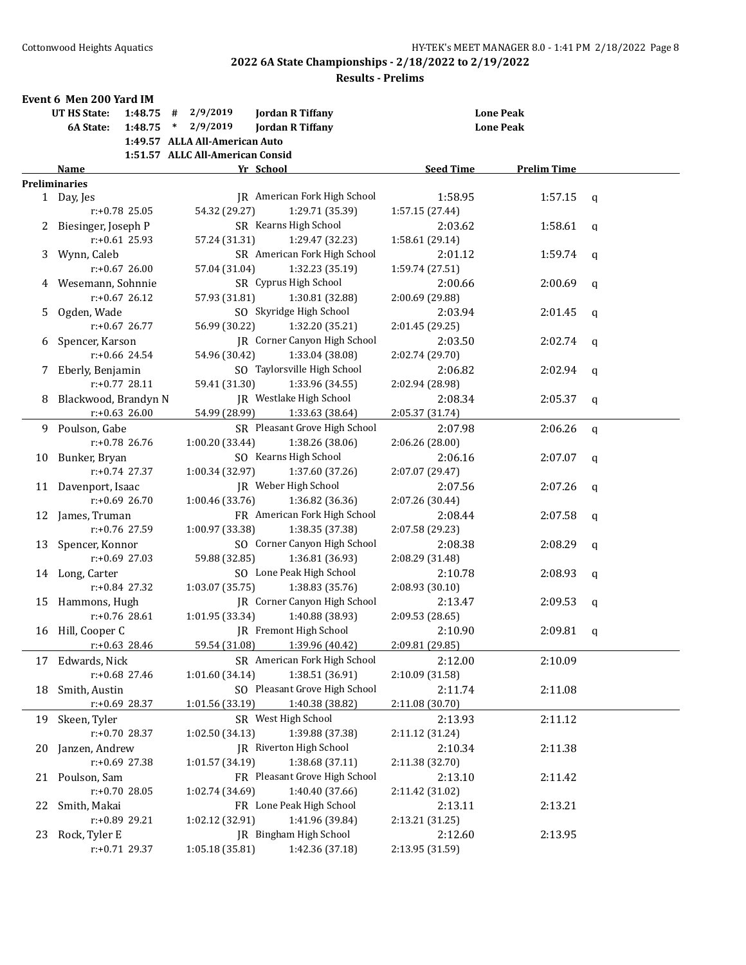|    | Event 6 Men 200 Yard IM        |                                                                                 |                  |                    |              |
|----|--------------------------------|---------------------------------------------------------------------------------|------------------|--------------------|--------------|
|    | <b>UT HS State:</b><br>1:48.75 | 2/9/2019<br>#<br><b>Jordan R Tiffany</b>                                        | <b>Lone Peak</b> |                    |              |
|    | 6A State:<br>1:48.75           | 2/9/2019<br><b>Jordan R Tiffany</b><br>$\ast$<br>1:49.57 ALLA All-American Auto | <b>Lone Peak</b> |                    |              |
|    |                                | 1:51.57 ALLC All-American Consid                                                |                  |                    |              |
|    | Name                           | Yr School                                                                       | <b>Seed Time</b> | <b>Prelim Time</b> |              |
|    | <b>Preliminaries</b>           |                                                                                 |                  |                    |              |
|    | 1 Day, Jes                     | JR American Fork High School                                                    | 1:58.95          | 1:57.15            | $\mathsf{q}$ |
|    | r:+0.78 25.05                  | 54.32 (29.27)<br>1:29.71 (35.39)                                                | 1:57.15 (27.44)  |                    |              |
|    | 2 Biesinger, Joseph P          | SR Kearns High School                                                           | 2:03.62          | 1:58.61            | q            |
|    | $r: +0.61$ 25.93               | 57.24 (31.31)<br>1:29.47 (32.23)                                                | 1:58.61 (29.14)  |                    |              |
|    | 3 Wynn, Caleb                  | SR American Fork High School                                                    | 2:01.12          | 1:59.74            | q            |
|    | $r: +0.67$ 26.00               | 57.04 (31.04)<br>1:32.23 (35.19)                                                | 1:59.74 (27.51)  |                    |              |
|    | Wesemann, Sohnnie              | SR Cyprus High School                                                           | 2:00.66          | 2:00.69            | $\mathbf q$  |
|    | $r: +0.67$ 26.12               | 57.93 (31.81)<br>1:30.81 (32.88)                                                | 2:00.69 (29.88)  |                    |              |
| 5. | Ogden, Wade                    | SO Skyridge High School                                                         | 2:03.94          | 2:01.45            | q            |
|    | $r: +0.67$ 26.77               | 56.99 (30.22)<br>1:32.20 (35.21)                                                | 2:01.45 (29.25)  |                    |              |
| 6  | Spencer, Karson                | JR Corner Canyon High School                                                    | 2:03.50          | 2:02.74            | q            |
|    | $r: +0.66$ 24.54               | 54.96 (30.42)<br>1:33.04 (38.08)                                                | 2:02.74 (29.70)  |                    |              |
| 7  | Eberly, Benjamin               | SO Taylorsville High School                                                     | 2:06.82          | 2:02.94            | $\mathbf q$  |
|    | r:+0.77 28.11                  | 59.41 (31.30)<br>1:33.96 (34.55)                                                | 2:02.94 (28.98)  |                    |              |
| 8  | Blackwood, Brandyn N           | IR Westlake High School                                                         | 2:08.34          | 2:05.37            | $\mathbf q$  |
|    | $r: +0.63$ 26.00               | 54.99 (28.99)<br>1:33.63 (38.64)                                                | 2:05.37 (31.74)  |                    |              |
| 9. | Poulson, Gabe                  | SR Pleasant Grove High School                                                   | 2:07.98          | 2:06.26            | $\mathbf q$  |
|    | r:+0.78 26.76                  | 1:00.20 (33.44)<br>1:38.26 (38.06)                                              | 2:06.26 (28.00)  |                    |              |
| 10 | Bunker, Bryan                  | SO Kearns High School                                                           | 2:06.16          | 2:07.07            | q            |
|    | $r: +0.74$ 27.37               | 1:00.34 (32.97)<br>1:37.60 (37.26)                                              | 2:07.07 (29.47)  |                    |              |
| 11 | Davenport, Isaac               | JR Weber High School                                                            | 2:07.56          | 2:07.26            | q            |
|    | $r: +0.69$ 26.70               | 1:00.46 (33.76)<br>1:36.82 (36.36)                                              | 2:07.26 (30.44)  |                    |              |
|    | 12 James, Truman               | FR American Fork High School                                                    | 2:08.44          | 2:07.58            | $\mathbf q$  |
|    | $r: +0.76$ 27.59               | 1:00.97 (33.38)<br>1:38.35 (37.38)                                              | 2:07.58 (29.23)  |                    |              |
|    | 13 Spencer, Konnor             | SO Corner Canyon High School                                                    | 2:08.38          | 2:08.29            | q            |
|    | $r: +0.69$ 27.03               | 59.88 (32.85)<br>1:36.81 (36.93)                                                | 2:08.29 (31.48)  |                    |              |
|    | 14 Long, Carter                | SO Lone Peak High School                                                        | 2:10.78          | 2:08.93            | $\mathbf q$  |
|    | $r: +0.84$ 27.32               | 1:38.83 (35.76)<br>1:03.07(35.75)                                               | 2:08.93 (30.10)  |                    |              |
|    | 15 Hammons, Hugh               | JR Corner Canyon High School                                                    | 2:13.47          | 2:09.53            | q            |
|    | $r: +0.76$ 28.61               | 1:01.95(33.34)<br>1:40.88 (38.93)                                               | 2:09.53 (28.65)  |                    |              |
|    | 16 Hill, Cooper C              | JR Fremont High School                                                          | 2:10.90          | 2:09.81            | q            |
|    | r:+0.63 28.46                  | 59.54 (31.08)<br>1:39.96 (40.42)                                                | 2:09.81 (29.85)  |                    |              |
| 17 | Edwards, Nick                  | SR American Fork High School                                                    | 2:12.00          | 2:10.09            |              |
|    | r:+0.68 27.46                  | 1:01.60 (34.14)<br>1:38.51 (36.91)                                              | 2:10.09 (31.58)  |                    |              |
| 18 | Smith, Austin                  | SO Pleasant Grove High School                                                   | 2:11.74          | 2:11.08            |              |
|    | r:+0.69 28.37                  | 1:01.56 (33.19)<br>1:40.38 (38.82)                                              | 2:11.08 (30.70)  |                    |              |
| 19 | Skeen, Tyler                   | SR West High School                                                             | 2:13.93          | 2:11.12            |              |
|    | r:+0.70 28.37                  | 1:39.88 (37.38)<br>1:02.50 (34.13)                                              | 2:11.12 (31.24)  |                    |              |
| 20 | Janzen, Andrew                 | JR Riverton High School                                                         | 2:10.34          | 2:11.38            |              |
|    | r:+0.69 27.38                  | 1:01.57 (34.19)<br>1:38.68 (37.11)                                              | 2:11.38 (32.70)  |                    |              |
| 21 | Poulson, Sam                   | FR Pleasant Grove High School                                                   | 2:13.10          | 2:11.42            |              |
|    | $r: +0.70$ 28.05               | 1:02.74 (34.69)<br>1:40.40 (37.66)                                              | 2:11.42 (31.02)  |                    |              |
| 22 | Smith, Makai                   | FR Lone Peak High School                                                        | 2:13.11          | 2:13.21            |              |
|    | r:+0.89 29.21                  | 1:02.12 (32.91)<br>1:41.96 (39.84)                                              | 2:13.21 (31.25)  |                    |              |
| 23 | Rock, Tyler E                  | JR Bingham High School                                                          | 2:12.60          | 2:13.95            |              |
|    | r:+0.71 29.37                  | 1:05.18 (35.81)<br>1:42.36 (37.18)                                              | 2:13.95 (31.59)  |                    |              |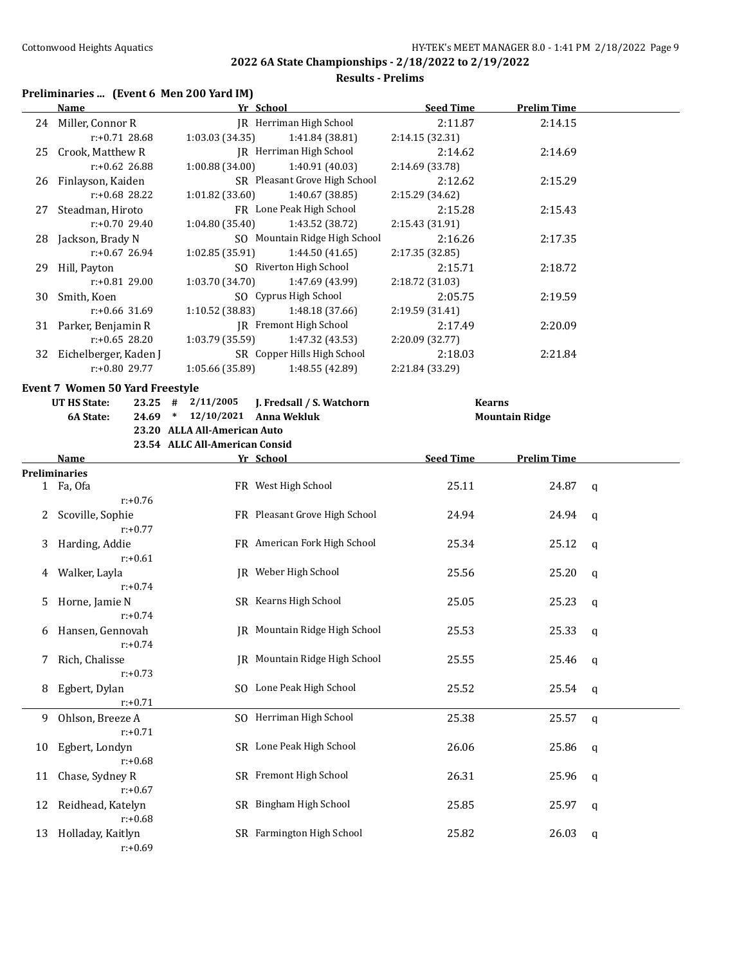**6A State: 24.69 \* 12/10/2021 Anna Wekluk Mountain Ridge**

**2022 6A State Championships - 2/18/2022 to 2/19/2022**

#### **Results - Prelims**

#### **Preliminaries ... (Event 6 Men 200 Yard IM)**

|    | Name                                   | Yr School       |                                   | <b>Seed Time</b> | <b>Prelim Time</b> |  |
|----|----------------------------------------|-----------------|-----------------------------------|------------------|--------------------|--|
|    | 24 Miller, Connor R                    |                 | JR Herriman High School           | 2:11.87          | 2:14.15            |  |
|    | $r: +0.71$ 28.68                       | 1:03.03(34.35)  | 1:41.84 (38.81)                   | 2:14.15(32.31)   |                    |  |
|    | 25 Crook, Matthew R                    |                 | IR Herriman High School           | 2:14.62          | 2:14.69            |  |
|    | $r$ :+0.62 26.88                       | 1:00.88 (34.00) | 1:40.91 (40.03)                   | 2:14.69 (33.78)  |                    |  |
|    | 26 Finlayson, Kaiden                   |                 | SR Pleasant Grove High School     | 2:12.62          | 2:15.29            |  |
|    | $r: +0.68$ 28.22                       | 1:01.82(33.60)  | 1:40.67 (38.85)                   | 2:15.29 (34.62)  |                    |  |
|    | 27 Steadman, Hiroto                    |                 | FR Lone Peak High School          | 2:15.28          | 2:15.43            |  |
|    | $r: +0.70$ 29.40                       | 1:04.80 (35.40) | 1:43.52 (38.72)                   | 2:15.43(31.91)   |                    |  |
|    | 28 Jackson, Brady N                    |                 | SO Mountain Ridge High School     | 2:16.26          | 2:17.35            |  |
|    | r:+0.67 26.94                          | 1:02.85 (35.91) | 1:44.50 (41.65)                   | 2:17.35(32.85)   |                    |  |
|    | 29 Hill, Payton                        |                 | SO Riverton High School           | 2:15.71          | 2:18.72            |  |
|    | r:+0.81 29.00                          | 1:03.70 (34.70) | 1:47.69 (43.99)                   | 2:18.72 (31.03)  |                    |  |
|    | 30 Smith, Koen                         |                 | SO Cyprus High School             | 2:05.75          | 2:19.59            |  |
|    | $r$ :+0.66 31.69                       | 1:10.52 (38.83) | 1:48.18 (37.66)                   | 2:19.59(31.41)   |                    |  |
|    | 31 Parker, Benjamin R                  |                 | JR Fremont High School            | 2:17.49          | 2:20.09            |  |
|    | $r: +0.65$ 28.20                       |                 | $1:03.79(35.59)$ $1:47.32(43.53)$ | 2:20.09(32.77)   |                    |  |
| 32 | Eichelberger, Kaden J                  |                 | SR Copper Hills High School       | 2:18.03          | 2:21.84            |  |
|    | r:+0.80 29.77                          | 1:05.66 (35.89) | 1:48.55 (42.89)                   | 2:21.84 (33.29)  |                    |  |
|    | <b>Event 7 Women 50 Yard Freestyle</b> |                 |                                   |                  |                    |  |

| UT HS State: |  |                              | 23.25 # 2/11/2005 <b>J. Fredsall / S. Watchorn</b> | Kearns |
|--------------|--|------------------------------|----------------------------------------------------|--------|
| 6A State:    |  |                              | 24.69 * 12/10/2021 Anna Wekluk                     | Mounta |
|              |  | 23.20 ALLA All-American Auto |                                                    |        |

**23.54 ALLC All-American Consid Name Yr School Seed Time Prelim Time Preliminaries** 1 Fa, Ofa 1912 1 FR West High School 25.11 24.87 q r:+0.76 2 Scoville, Sophie **FR** Pleasant Grove High School 24.94 24.94 q r:+0.77 3 Harding, Addie FR American Fork High School 25.34 25.12 q r:+0.61 4 Walker, Layla JR Weber High School 25.56 25.20 q r:+0.74 5 Horne, Jamie N SR Kearns High School 25.05 25.23 q r:+0.74 6 Hansen, Gennovah JR Mountain Ridge High School 25.53 25.33 q r:+0.74 7 Rich, Chalisse JR Mountain Ridge High School 25.55 25.46 q r:+0.73 8 Egbert, Dylan SO Lone Peak High School 25.52 25.54 q r:+0.71 9 Ohlson, Breeze A SO Herriman High School 25.38 25.57 q r:+0.71 10 Egbert, Londyn SR Lone Peak High School 26.06 25.86 q r:+0.68 11 Chase, Sydney R SR Fremont High School 26.31 25.96 q r:+0.67 12 Reidhead, Katelyn SR Bingham High School 25.85 25.97 q r:+0.68 13 Holladay, Kaitlyn SR Farmington High School 25.82 26.03 q r:+0.69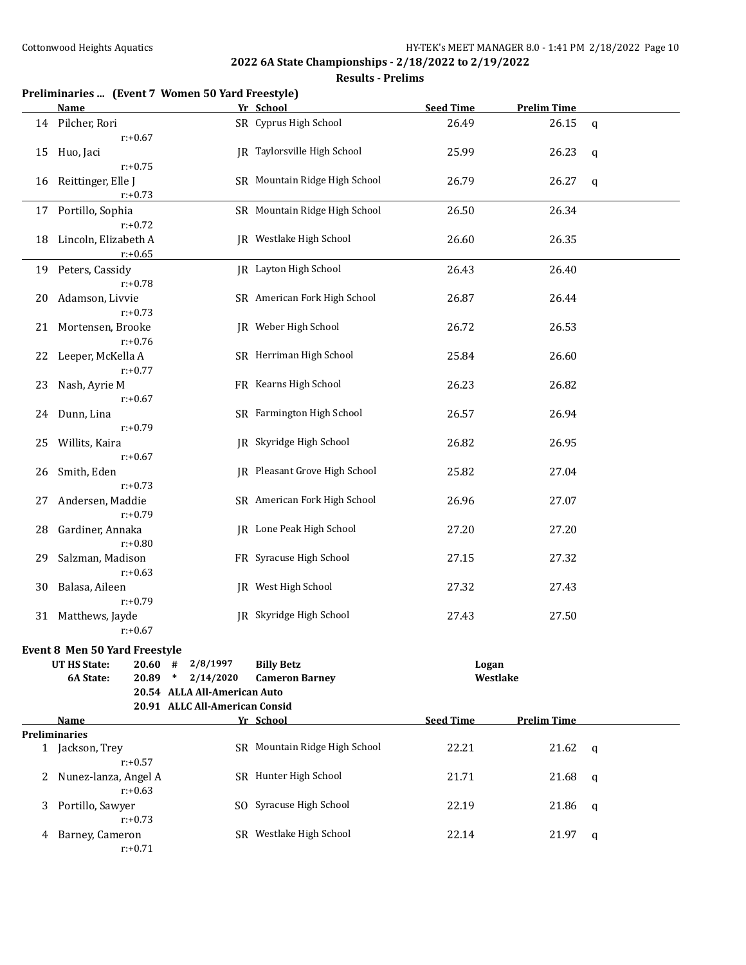|    | Preliminaries  (Event 7 Women 50 Yard Freestyle)<br>Name |                                | Yr School                     | <b>Seed Time</b> | <b>Prelim Time</b> |   |
|----|----------------------------------------------------------|--------------------------------|-------------------------------|------------------|--------------------|---|
|    | 14 Pilcher, Rori                                         |                                | SR Cyprus High School         | 26.49            | 26.15              | q |
|    | $r: +0.67$                                               |                                |                               |                  |                    |   |
| 15 | Huo, Jaci                                                |                                | JR Taylorsville High School   | 25.99            | 26.23              | q |
|    | $r: +0.75$                                               |                                |                               |                  |                    |   |
| 16 | Reittinger, Elle J                                       |                                | SR Mountain Ridge High School | 26.79            | 26.27              | q |
|    | $r: +0.73$                                               |                                |                               |                  |                    |   |
|    | 17 Portillo, Sophia                                      |                                | SR Mountain Ridge High School | 26.50            | 26.34              |   |
|    | $r: +0.72$                                               |                                |                               |                  |                    |   |
| 18 | Lincoln, Elizabeth A                                     |                                | JR Westlake High School       | 26.60            | 26.35              |   |
|    | $r: +0.65$                                               |                                |                               |                  |                    |   |
|    | 19 Peters, Cassidy                                       |                                | <b>IR</b> Layton High School  | 26.43            | 26.40              |   |
|    | $r: +0.78$                                               |                                |                               |                  |                    |   |
| 20 | Adamson, Livvie                                          |                                | SR American Fork High School  | 26.87            | 26.44              |   |
|    | $r: +0.73$                                               |                                |                               |                  |                    |   |
| 21 | Mortensen, Brooke                                        |                                | JR Weber High School          | 26.72            | 26.53              |   |
|    | $r: +0.76$                                               |                                |                               |                  |                    |   |
|    | 22 Leeper, McKella A                                     |                                | SR Herriman High School       | 25.84            | 26.60              |   |
|    | $r: +0.77$                                               |                                |                               |                  |                    |   |
| 23 | Nash, Ayrie M                                            |                                | FR Kearns High School         | 26.23            | 26.82              |   |
|    | $r: +0.67$                                               |                                |                               |                  |                    |   |
|    | 24 Dunn, Lina                                            |                                | SR Farmington High School     | 26.57            | 26.94              |   |
|    | $r: +0.79$                                               |                                |                               |                  |                    |   |
| 25 | Willits, Kaira                                           |                                | JR Skyridge High School       | 26.82            | 26.95              |   |
|    | $r: +0.67$                                               |                                |                               |                  |                    |   |
| 26 | Smith, Eden                                              |                                | JR Pleasant Grove High School | 25.82            | 27.04              |   |
|    | $r: +0.73$                                               |                                |                               |                  |                    |   |
| 27 | Andersen, Maddie                                         |                                | SR American Fork High School  | 26.96            | 27.07              |   |
|    | $r: +0.79$                                               |                                |                               |                  |                    |   |
| 28 | Gardiner, Annaka                                         |                                | JR Lone Peak High School      | 27.20            | 27.20              |   |
|    | $r: +0.80$                                               |                                |                               |                  |                    |   |
| 29 | Salzman, Madison                                         |                                | FR Syracuse High School       | 27.15            | 27.32              |   |
|    | $r: +0.63$                                               |                                |                               |                  |                    |   |
| 30 | Balasa, Aileen                                           |                                | <b>IR</b> West High School    | 27.32            | 27.43              |   |
|    | $r: +0.79$                                               |                                |                               |                  |                    |   |
| 31 | Matthews, Jayde                                          |                                | JR Skyridge High School       | 27.43            | 27.50              |   |
|    | $r: +0.67$                                               |                                |                               |                  |                    |   |
|    | <b>Event 8 Men 50 Yard Freestyle</b>                     |                                |                               |                  |                    |   |
|    | <b>UT HS State:</b><br>20.60                             | 2/8/1997<br>#                  | <b>Billy Betz</b>             | Logan            |                    |   |
|    | 6A State:<br>20.89                                       | 2/14/2020<br>$\ast$            | <b>Cameron Barney</b>         | Westlake         |                    |   |
|    |                                                          | 20.54 ALLA All-American Auto   |                               |                  |                    |   |
|    |                                                          | 20.91 ALLC All-American Consid |                               |                  |                    |   |
|    | Name                                                     |                                | Yr School                     | <b>Seed Time</b> | <b>Prelim Time</b> |   |
|    | <b>Preliminaries</b>                                     |                                |                               |                  |                    |   |
|    | 1 Jackson, Trey                                          |                                | SR Mountain Ridge High School | 22.21            | 21.62              | q |
|    | $r: +0.57$                                               |                                |                               |                  |                    |   |
| 2  | Nunez-lanza, Angel A                                     |                                | SR Hunter High School         | 21.71            | 21.68              | q |
|    | $r: +0.63$                                               |                                |                               |                  |                    |   |
| 3  | Portillo, Sawyer                                         |                                | SO Syracuse High School       | 22.19            | 21.86              | q |
|    | $r: +0.73$                                               |                                |                               |                  |                    |   |
|    | 4 Barney, Cameron                                        |                                | SR Westlake High School       | 22.14            | 21.97              | q |
|    | $r: +0.71$                                               |                                |                               |                  |                    |   |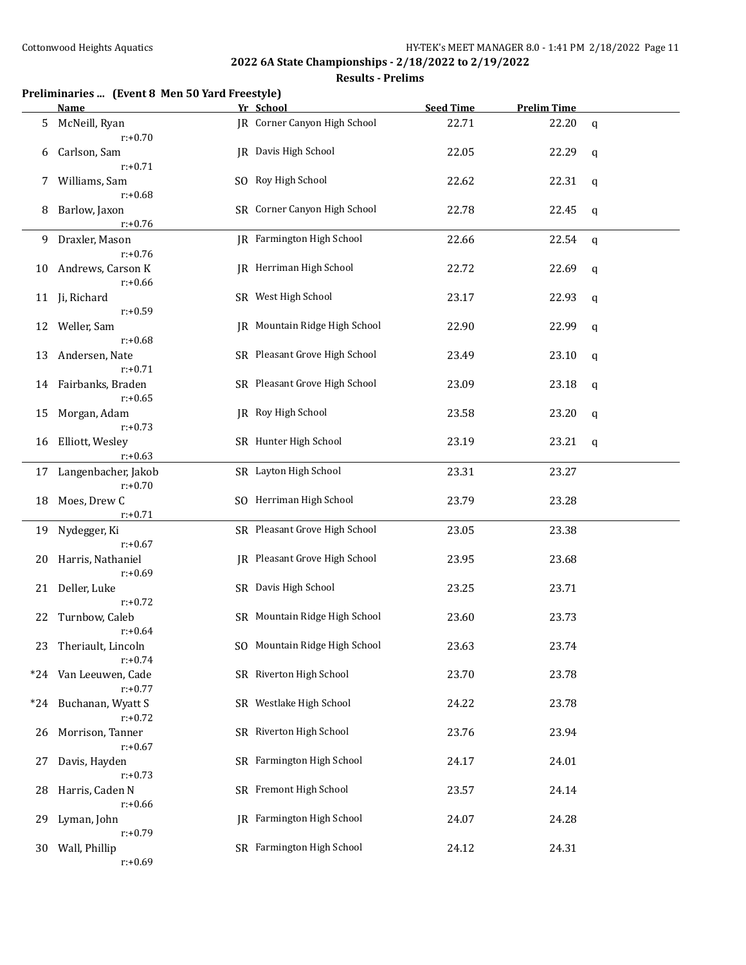|       | <b>Name</b>                         | Yr School                            | <b>Seed Time</b> | <b>Prelim Time</b> |             |
|-------|-------------------------------------|--------------------------------------|------------------|--------------------|-------------|
| 5     | McNeill, Ryan<br>$r: +0.70$         | <b>JR</b> Corner Canyon High School  | 22.71            | 22.20              | $\mathbf q$ |
| 6     | Carlson, Sam<br>$r: +0.71$          | JR Davis High School                 | 22.05            | 22.29              | q           |
| 7     | Williams, Sam<br>$r: +0.68$         | SO Roy High School                   | 22.62            | 22.31              | q           |
| 8     | Barlow, Jaxon<br>$r: +0.76$         | SR Corner Canyon High School         | 22.78            | 22.45              | q           |
| 9     | Draxler, Mason<br>$r: +0.76$        | JR Farmington High School            | 22.66            | 22.54              | q           |
| 10    | Andrews, Carson K<br>$r: +0.66$     | <b>IR</b> Herriman High School       | 22.72            | 22.69              | q           |
| 11    | Ji, Richard<br>$r: +0.59$           | SR West High School                  | 23.17            | 22.93              | q           |
| 12    | Weller, Sam<br>$r: +0.68$           | <b>IR</b> Mountain Ridge High School | 22.90            | 22.99              | q           |
| 13    | Andersen, Nate<br>$r: +0.71$        | SR Pleasant Grove High School        | 23.49            | 23.10              | q           |
| 14    | Fairbanks, Braden<br>$r: +0.65$     | SR Pleasant Grove High School        | 23.09            | 23.18              | q           |
| 15    | Morgan, Adam<br>$r: +0.73$          | <b>IR</b> Roy High School            | 23.58            | 23.20              | q           |
| 16    | Elliott, Wesley<br>$r: +0.63$       | SR Hunter High School                | 23.19            | 23.21              | q           |
| 17    | Langenbacher, Jakob<br>$r: +0.70$   | SR Layton High School                | 23.31            | 23.27              |             |
| 18    | Moes, Drew C<br>$r: +0.71$          | SO Herriman High School              | 23.79            | 23.28              |             |
| 19    | Nydegger, Ki<br>$r: +0.67$          | SR Pleasant Grove High School        | 23.05            | 23.38              |             |
| 20    | Harris, Nathaniel<br>$r: +0.69$     | <b>IR</b> Pleasant Grove High School | 23.95            | 23.68              |             |
| 21    | Deller, Luke<br>$r: +0.72$          | SR Davis High School                 | 23.25            | 23.71              |             |
| 22    | Turnbow, Caleb<br>$r: +0.64$        | SR Mountain Ridge High School        | 23.60            | 23.73              |             |
| 23    | Theriault, Lincoln<br>$r: +0.74$    | SO Mountain Ridge High School        | 23.63            | 23.74              |             |
|       | *24 Van Leeuwen, Cade<br>$r: +0.77$ | SR Riverton High School              | 23.70            | 23.78              |             |
| $*24$ | Buchanan, Wyatt S<br>$r: +0.72$     | SR Westlake High School              | 24.22            | 23.78              |             |
| 26    | Morrison, Tanner<br>$r: +0.67$      | SR Riverton High School              | 23.76            | 23.94              |             |
| 27    | Davis, Hayden<br>$r: +0.73$         | SR Farmington High School            | 24.17            | 24.01              |             |
| 28    | Harris, Caden N<br>$r: +0.66$       | SR Fremont High School               | 23.57            | 24.14              |             |
| 29    | Lyman, John<br>$r: +0.79$           | JR Farmington High School            | 24.07            | 24.28              |             |
| 30    | Wall, Phillip<br>$r: +0.69$         | SR Farmington High School            | 24.12            | 24.31              |             |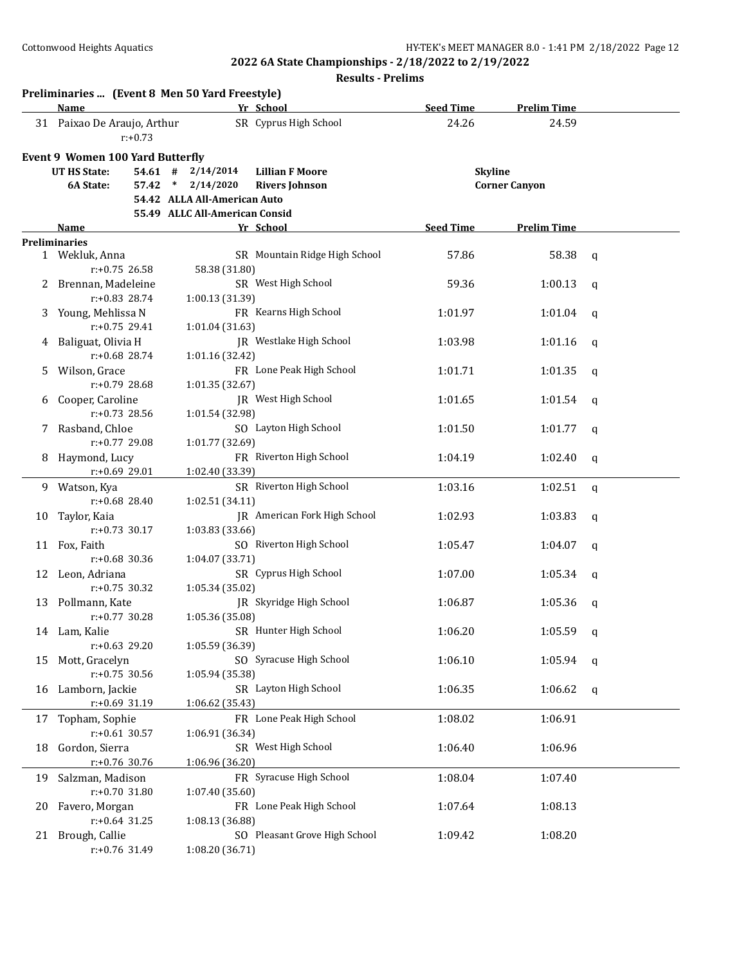|    | Preliminaries  (Event 8 Men 50 Yard Freestyle)<br>Name |            |                                |                 | Yr School                     | <b>Seed Time</b> | <b>Prelim Time</b>   |              |
|----|--------------------------------------------------------|------------|--------------------------------|-----------------|-------------------------------|------------------|----------------------|--------------|
|    | 31 Paixao De Araujo, Arthur                            | $r: +0.73$ |                                |                 | SR Cyprus High School         | 24.26            | 24.59                |              |
|    | <b>Event 9 Women 100 Yard Butterfly</b>                |            |                                |                 |                               |                  |                      |              |
|    | <b>UT HS State:</b>                                    | 54.61#     |                                | 2/14/2014       | <b>Lillian F Moore</b>        |                  | <b>Skyline</b>       |              |
|    | 6A State:                                              | 57.42      | $*$ 2/14/2020                  |                 | <b>Rivers Johnson</b>         |                  | <b>Corner Canyon</b> |              |
|    |                                                        |            | 54.42 ALLA All-American Auto   |                 |                               |                  |                      |              |
|    |                                                        |            | 55.49 ALLC All-American Consid |                 |                               |                  |                      |              |
|    | Name                                                   |            |                                |                 | Yr School                     | <b>Seed Time</b> | <b>Prelim Time</b>   |              |
|    | <b>Preliminaries</b><br>1 Wekluk, Anna                 |            |                                |                 | SR Mountain Ridge High School | 57.86            | 58.38                | q            |
|    | $r: +0.75$ 26.58                                       |            |                                | 58.38 (31.80)   |                               |                  |                      |              |
| 2  | Brennan, Madeleine                                     |            |                                |                 | SR West High School           | 59.36            | 1:00.13              |              |
|    | $r: +0.83$ 28.74                                       |            |                                | 1:00.13 (31.39) |                               |                  |                      | q            |
|    |                                                        |            |                                |                 | FR Kearns High School         | 1:01.97          |                      |              |
| 3  | Young, Mehlissa N<br>$r: +0.75$ 29.41                  |            |                                | 1:01.04 (31.63) |                               |                  | 1:01.04              | q            |
|    | Baliguat, Olivia H                                     |            |                                |                 | JR Westlake High School       | 1:03.98          | 1:01.16              |              |
| 4  | $r: +0.68$ 28.74                                       |            |                                | 1:01.16 (32.42) |                               |                  |                      | q            |
|    |                                                        |            |                                |                 | FR Lone Peak High School      |                  |                      |              |
| 5. | Wilson, Grace<br>$r: +0.79$ 28.68                      |            |                                | 1:01.35(32.67)  |                               | 1:01.71          | 1:01.35              | $\mathsf{q}$ |
|    |                                                        |            |                                |                 |                               | 1:01.65          |                      |              |
| 6  | Cooper, Caroline<br>$r: +0.73$ 28.56                   |            |                                |                 | JR West High School           |                  | 1:01.54              | q            |
|    |                                                        |            |                                | 1:01.54 (32.98) |                               |                  |                      |              |
| 7  | Rasband, Chloe<br>$r: +0.77$ 29.08                     |            |                                |                 | SO Layton High School         | 1:01.50          | 1:01.77              | q            |
|    |                                                        |            |                                | 1:01.77 (32.69) |                               |                  |                      |              |
| 8  | Haymond, Lucy                                          |            |                                |                 | FR Riverton High School       | 1:04.19          | 1:02.40              | q            |
|    | $r: +0.69$ 29.01                                       |            |                                | 1:02.40 (33.39) |                               |                  |                      |              |
|    | 9 Watson, Kya                                          |            |                                |                 | SR Riverton High School       | 1:03.16          | 1:02.51              | $\mathsf{q}$ |
|    | $r: +0.68$ 28.40                                       |            |                                | 1:02.51 (34.11) |                               |                  |                      |              |
| 10 | Taylor, Kaia                                           |            |                                |                 | JR American Fork High School  | 1:02.93          | 1:03.83              | q            |
|    | $r: +0.73$ 30.17                                       |            |                                | 1:03.83 (33.66) |                               |                  |                      |              |
|    | 11 Fox, Faith                                          |            |                                |                 | SO Riverton High School       | 1:05.47          | 1:04.07              | a            |
|    | $r: +0.68$ 30.36                                       |            |                                | 1:04.07 (33.71) |                               |                  |                      |              |
| 12 | Leon, Adriana                                          |            |                                |                 | SR Cyprus High School         | 1:07.00          | 1:05.34              | q            |
|    | $r: +0.75$ 30.32                                       |            |                                | 1:05.34 (35.02) |                               |                  |                      |              |
|    | 13 Pollmann, Kate                                      |            |                                |                 | IR Skyridge High School       | 1:06.87          | 1:05.36              | a            |
|    | $r: +0.77$ 30.28                                       |            |                                | 1:05.36 (35.08) |                               |                  |                      |              |
|    | 14 Lam, Kalie                                          |            |                                |                 | SR Hunter High School         | 1:06.20          | 1:05.59              | q            |
|    | r:+0.63 29.20                                          |            |                                | 1:05.59 (36.39) |                               |                  |                      |              |
| 15 | Mott, Gracelyn                                         |            |                                |                 | SO Syracuse High School       | 1:06.10          | 1:05.94              | a            |
|    | $r: +0.75$ 30.56                                       |            |                                | 1:05.94 (35.38) |                               |                  |                      |              |
| 16 | Lamborn, Jackie                                        |            |                                |                 | SR Layton High School         | 1:06.35          | 1:06.62              | q            |
|    | r:+0.69 31.19                                          |            |                                | 1:06.62 (35.43) |                               |                  |                      |              |
| 17 | Topham, Sophie                                         |            |                                |                 | FR Lone Peak High School      | 1:08.02          | 1:06.91              |              |
|    | $r: +0.61$ 30.57                                       |            |                                | 1:06.91 (36.34) |                               |                  |                      |              |
| 18 | Gordon, Sierra                                         |            |                                |                 | SR West High School           | 1:06.40          | 1:06.96              |              |
|    | r:+0.76 30.76                                          |            |                                | 1:06.96 (36.20) |                               |                  |                      |              |
| 19 | Salzman, Madison                                       |            |                                |                 | FR Syracuse High School       | 1:08.04          | 1:07.40              |              |
|    | r:+0.70 31.80                                          |            |                                | 1:07.40 (35.60) |                               |                  |                      |              |
| 20 | Favero, Morgan                                         |            |                                |                 | FR Lone Peak High School      | 1:07.64          | 1:08.13              |              |
|    | $r: +0.64$ 31.25                                       |            |                                | 1:08.13 (36.88) |                               |                  |                      |              |
| 21 | Brough, Callie                                         |            |                                |                 | SO Pleasant Grove High School | 1:09.42          | 1:08.20              |              |
|    | r:+0.76 31.49                                          |            |                                | 1:08.20 (36.71) |                               |                  |                      |              |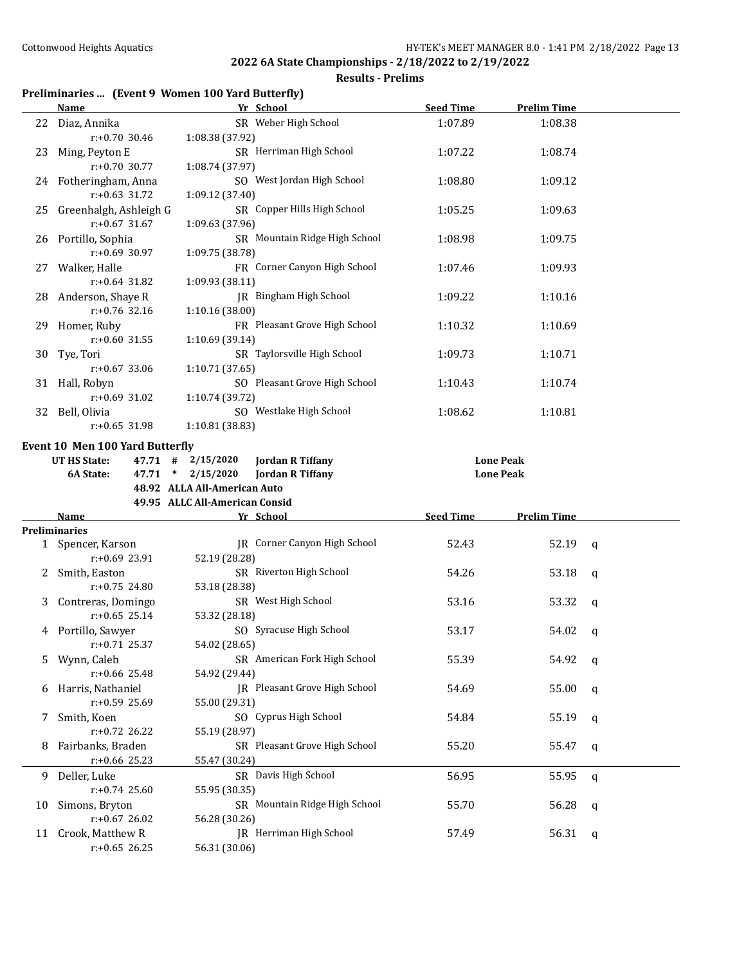#### **Results - Prelims**

## **Preliminaries ... (Event 9 Women 100 Yard Butterfly)**

|    | <b>Name</b>                                   | Yr School                                        | <b>Seed Time</b> | <b>Prelim Time</b> |             |
|----|-----------------------------------------------|--------------------------------------------------|------------------|--------------------|-------------|
|    | 22 Diaz, Annika<br>$r: +0.70$ 30.46           | SR Weber High School<br>1:08.38 (37.92)          | 1:07.89          | 1:08.38            |             |
| 23 | Ming, Peyton E<br>r:+0.70 30.77               | SR Herriman High School<br>1:08.74 (37.97)       | 1:07.22          | 1:08.74            |             |
|    | 24 Fotheringham, Anna<br>$r: +0.63$ 31.72     | SO West Jordan High School<br>1:09.12 (37.40)    | 1:08.80          | 1:09.12            |             |
|    | 25 Greenhalgh, Ashleigh G<br>$r: +0.67$ 31.67 | SR Copper Hills High School<br>1:09.63 (37.96)   | 1:05.25          | 1:09.63            |             |
|    | 26 Portillo, Sophia<br>$r: +0.69$ 30.97       | SR Mountain Ridge High School<br>1:09.75 (38.78) | 1:08.98          | 1:09.75            |             |
|    | 27 Walker, Halle<br>$r: +0.64$ 31.82          | FR Corner Canyon High School<br>1:09.93 (38.11)  | 1:07.46          | 1:09.93            |             |
|    | 28 Anderson, Shaye R<br>$r: +0.76$ 32.16      | JR Bingham High School<br>1:10.16 (38.00)        | 1:09.22          | 1:10.16            |             |
|    | 29 Homer, Ruby<br>$r: +0.60$ 31.55            | FR Pleasant Grove High School<br>1:10.69 (39.14) | 1:10.32          | 1:10.69            |             |
|    | 30 Tye, Tori<br>$r: +0.67$ 33.06              | SR Taylorsville High School<br>1:10.71 (37.65)   | 1:09.73          | 1:10.71            |             |
|    | 31 Hall, Robyn<br>$r: +0.69$ 31.02            | SO Pleasant Grove High School<br>1:10.74 (39.72) | 1:10.43          | 1:10.74            |             |
|    | 32 Bell, Olivia<br>$r: +0.65$ 31.98           | SO Westlake High School<br>1:10.81 (38.83)       | 1:08.62          | 1:10.81            |             |
|    | Event 10 Men 100 Yard Butterfly               |                                                  |                  |                    |             |
|    | <b>UT HS State:</b>                           | $47.71$ # $2/15/2020$<br><b>Jordan R Tiffany</b> |                  | <b>Lone Peak</b>   |             |
|    | 6A State:                                     | 47.71 * 2/15/2020<br><b>Jordan R Tiffany</b>     |                  | <b>Lone Peak</b>   |             |
|    |                                               |                                                  |                  |                    |             |
|    |                                               |                                                  |                  |                    |             |
|    |                                               | 48.92 ALLA All-American Auto                     |                  |                    |             |
|    | Name                                          | 49.95 ALLC All-American Consid                   |                  |                    |             |
|    | <b>Preliminaries</b>                          | Yr School                                        | <b>Seed Time</b> | <b>Prelim Time</b> |             |
|    | 1 Spencer, Karson                             | JR Corner Canyon High School                     | 52.43            | 52.19              | q           |
|    | $r: +0.69$ 23.91                              | 52.19 (28.28)                                    |                  |                    |             |
| 2  | Smith, Easton<br>$r: +0.75$ 24.80             | SR Riverton High School<br>53.18 (28.38)         | 54.26            | 53.18              | q           |
| 3  | Contreras, Domingo<br>$r: +0.65$ 25.14        | SR West High School<br>53.32 (28.18)             | 53.16            | 53.32              | $\mathbf q$ |
|    | 4 Portillo, Sawyer<br>$r: +0.71$ 25.37        | SO Syracuse High School<br>54.02 (28.65)         | 53.17            | 54.02              | q           |
|    | 5 Wynn, Caleb<br>r:+0.66 25.48                | SR American Fork High School<br>54.92 (29.44)    | 55.39            | 54.92              | q           |
| 6  | Harris, Nathaniel<br>r:+0.59 25.69            | JR Pleasant Grove High School<br>55.00 (29.31)   | 54.69            | 55.00              | q           |
| 7  | Smith, Koen<br>r:+0.72 26.22                  | SO Cyprus High School<br>55.19 (28.97)           | 54.84            | 55.19              | q           |
| 8  | Fairbanks, Braden<br>r:+0.66 25.23            | SR Pleasant Grove High School<br>55.47 (30.24)   | 55.20            | 55.47              | q           |
| 9. | Deller, Luke<br>r:+0.74 25.60                 | SR Davis High School<br>55.95 (30.35)            | 56.95            | 55.95              | q           |
| 10 | Simons, Bryton<br>$r: +0.67$ 26.02            | SR Mountain Ridge High School<br>56.28 (30.26)   | 55.70            | 56.28              | q           |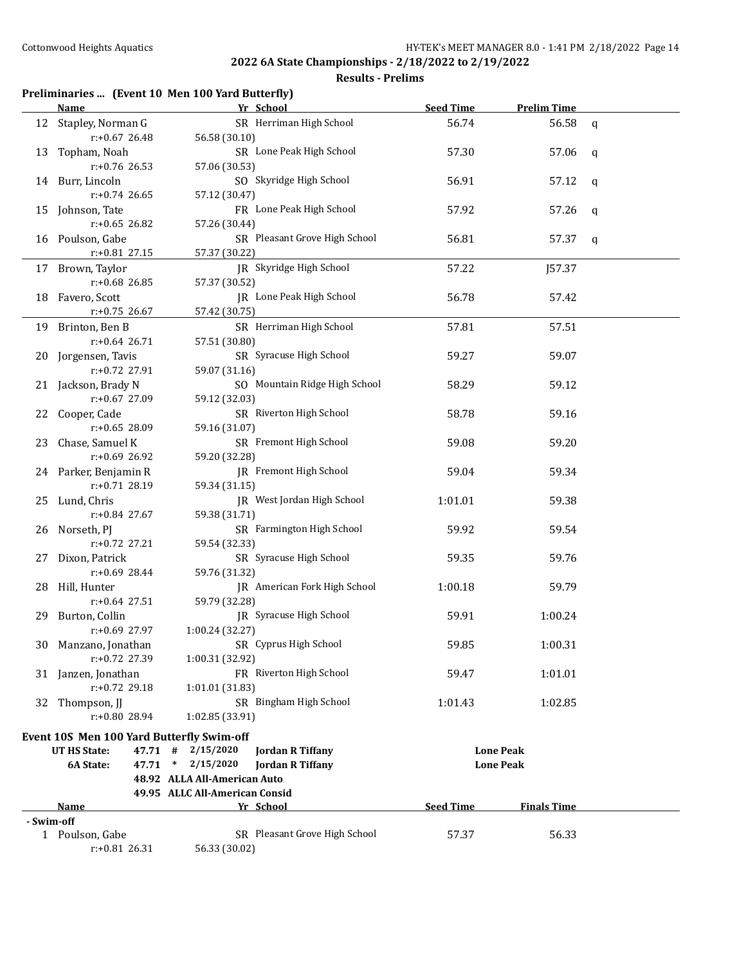#### **Results - Prelims**

#### **Preliminaries ... (Event 10 Men 100 Yard Butterfly)**

|            | <b>Name</b>                                      | Yr School                                        | <b>Seed Time</b> | <b>Prelim Time</b> |   |
|------------|--------------------------------------------------|--------------------------------------------------|------------------|--------------------|---|
| 12         | Stapley, Norman G                                | SR Herriman High School                          | 56.74            | 56.58              | q |
|            | $r: +0.67$ 26.48                                 | 56.58 (30.10)                                    |                  |                    |   |
| 13         | Topham, Noah                                     | SR Lone Peak High School                         | 57.30            | 57.06              | q |
|            | r:+0.76 26.53                                    | 57.06 (30.53)                                    |                  |                    |   |
|            | 14 Burr, Lincoln                                 | SO Skyridge High School                          | 56.91            | 57.12              | q |
|            | r:+0.74 26.65                                    | 57.12 (30.47)                                    |                  |                    |   |
|            | 15 Johnson, Tate                                 | FR Lone Peak High School                         | 57.92            | 57.26              | q |
|            | r:+0.65 26.82                                    | 57.26 (30.44)                                    |                  |                    |   |
|            | 16 Poulson, Gabe                                 | SR Pleasant Grove High School                    | 56.81            | 57.37              | q |
|            | r:+0.81 27.15                                    | 57.37 (30.22)                                    |                  |                    |   |
|            | 17 Brown, Taylor                                 | JR Skyridge High School                          | 57.22            | J57.37             |   |
|            | r:+0.68 26.85                                    | 57.37 (30.52)                                    |                  |                    |   |
|            | 18 Favero, Scott                                 | JR Lone Peak High School                         | 56.78            | 57.42              |   |
|            | $r: +0.75$ 26.67                                 | 57.42 (30.75)                                    |                  |                    |   |
|            | 19 Brinton, Ben B                                | SR Herriman High School                          | 57.81            | 57.51              |   |
|            | $r: +0.64$ 26.71                                 | 57.51 (30.80)                                    |                  |                    |   |
|            | 20 Jorgensen, Tavis                              | SR Syracuse High School                          | 59.27            | 59.07              |   |
|            | r:+0.72 27.91                                    | 59.07 (31.16)                                    |                  |                    |   |
|            | 21 Jackson, Brady N                              | SO Mountain Ridge High School                    | 58.29            | 59.12              |   |
|            | r:+0.67 27.09                                    | 59.12 (32.03)                                    |                  |                    |   |
|            | 22 Cooper, Cade                                  | SR Riverton High School                          | 58.78            | 59.16              |   |
|            | r:+0.65 28.09                                    | 59.16 (31.07)                                    |                  |                    |   |
| 23         | Chase, Samuel K                                  | SR Fremont High School                           | 59.08            | 59.20              |   |
|            | r:+0.69 26.92                                    | 59.20 (32.28)                                    |                  |                    |   |
|            | 24 Parker, Benjamin R                            | JR Fremont High School                           | 59.04            | 59.34              |   |
|            | $r: +0.71$ 28.19                                 | 59.34 (31.15)                                    |                  |                    |   |
|            | 25 Lund, Chris                                   | JR West Jordan High School                       | 1:01.01          | 59.38              |   |
|            | r:+0.84 27.67                                    | 59.38 (31.71)                                    |                  |                    |   |
|            | 26 Norseth, PJ                                   | SR Farmington High School                        | 59.92            | 59.54              |   |
|            | r:+0.72 27.21                                    | 59.54 (32.33)                                    |                  |                    |   |
|            | 27 Dixon, Patrick                                | SR Syracuse High School                          | 59.35            | 59.76              |   |
|            | r:+0.69 28.44                                    | 59.76 (31.32)                                    |                  |                    |   |
|            | 28 Hill, Hunter                                  | JR American Fork High School                     | 1:00.18          | 59.79              |   |
|            | $r: +0.64$ 27.51                                 | 59.79 (32.28)                                    |                  |                    |   |
|            | 29 Burton, Collin                                | JR Syracuse High School                          | 59.91            | 1:00.24            |   |
|            | $r: +0.69$ 27.97                                 | 1:00.24 (32.27)                                  |                  |                    |   |
|            | 30 Manzano, Jonathan                             | SR Cyprus High School                            | 59.85            | 1:00.31            |   |
|            | r:+0.72 27.39                                    | 1:00.31 (32.92)                                  |                  |                    |   |
|            | 31 Janzen, Jonathan                              | FR Riverton High School                          | 59.47            | 1:01.01            |   |
|            | r:+0.72 29.18                                    | 1:01.01 (31.83)                                  |                  |                    |   |
|            | 32 Thompson, II                                  | SR Bingham High School                           | 1:01.43          | 1:02.85            |   |
|            | r:+0.80 28.94                                    | 1:02.85 (33.91)                                  |                  |                    |   |
|            | <b>Event 10S Men 100 Yard Butterfly Swim-off</b> |                                                  |                  |                    |   |
|            | <b>UT HS State:</b>                              | $47.71$ # $2/15/2020$<br><b>Jordan R Tiffany</b> |                  | <b>Lone Peak</b>   |   |
|            | 6A State:                                        | 47.71 * 2/15/2020<br><b>Jordan R Tiffany</b>     |                  | <b>Lone Peak</b>   |   |
|            |                                                  | 48.92 ALLA All-American Auto                     |                  |                    |   |
|            |                                                  | 49.95 ALLC All-American Consid                   |                  |                    |   |
|            | <u>Name</u>                                      | Yr School                                        | <b>Seed Time</b> | <b>Finals Time</b> |   |
| - Swim-off |                                                  |                                                  |                  |                    |   |
|            | 1 Poulson, Gabe<br>r:+0.81 26.31                 | SR Pleasant Grove High School<br>56.33 (30.02)   | 57.37            | 56.33              |   |
|            |                                                  |                                                  |                  |                    |   |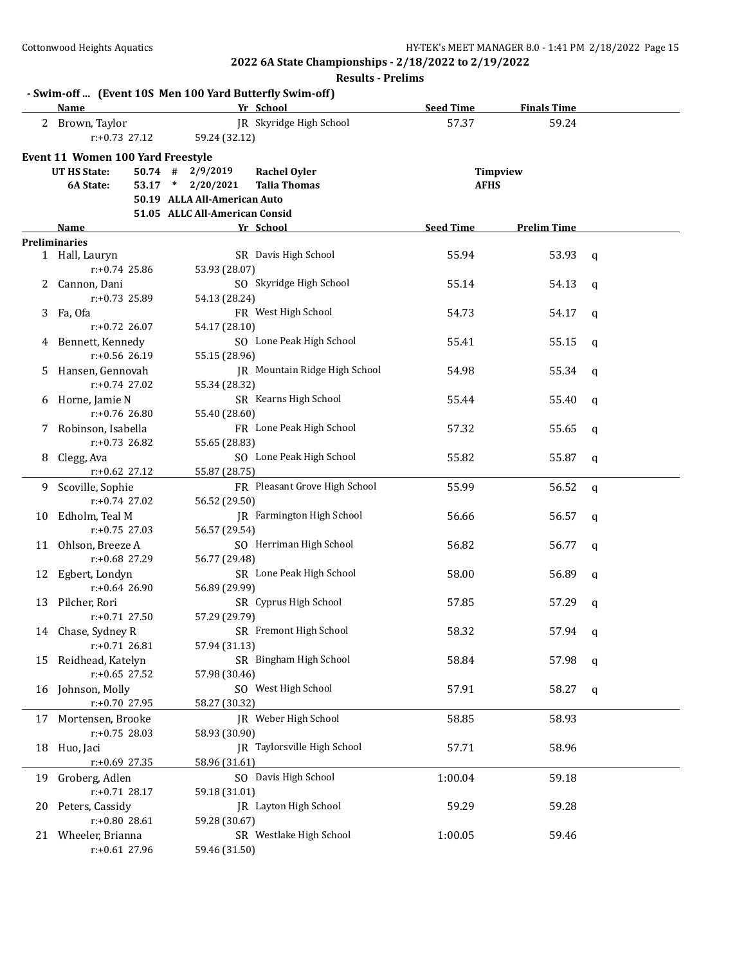|    | Name                              | - Swim-off  (Event 10S Men 100 Yard Butterfly Swim-off)<br>Yr School | <b>Seed Time</b> | <b>Finals Time</b> |              |
|----|-----------------------------------|----------------------------------------------------------------------|------------------|--------------------|--------------|
|    | 2 Brown, Taylor                   | JR Skyridge High School                                              | 57.37            | 59.24              |              |
|    | $r: +0.73$ 27.12                  | 59.24 (32.12)                                                        |                  |                    |              |
|    |                                   |                                                                      |                  |                    |              |
|    | Event 11 Women 100 Yard Freestyle |                                                                      |                  |                    |              |
|    | <b>UT HS State:</b><br>$50.74$ #  | 2/9/2019<br><b>Rachel Oyler</b>                                      |                  | Timpview           |              |
|    | 6A State:                         | 53.17 * 2/20/2021<br><b>Talia Thomas</b>                             |                  | <b>AFHS</b>        |              |
|    |                                   | 50.19 ALLA All-American Auto                                         |                  |                    |              |
|    |                                   | 51.05 ALLC All-American Consid                                       |                  |                    |              |
|    | Name                              | Yr School                                                            | <b>Seed Time</b> | <b>Prelim Time</b> |              |
|    | <b>Preliminaries</b>              |                                                                      |                  |                    |              |
|    | 1 Hall, Lauryn                    | SR Davis High School                                                 | 55.94            | 53.93              | $\mathsf{q}$ |
|    | r:+0.74 25.86                     | 53.93 (28.07)                                                        |                  |                    |              |
|    | 2 Cannon, Dani                    | SO Skyridge High School                                              | 55.14            | 54.13              | $\mathbf q$  |
|    | r:+0.73 25.89                     | 54.13 (28.24)                                                        |                  |                    |              |
|    | 3 Fa, Ofa                         | FR West High School                                                  | 54.73            | 54.17              | $\mathbf q$  |
|    | $r: +0.72$ 26.07                  | 54.17 (28.10)                                                        |                  |                    |              |
|    | 4 Bennett, Kennedy                | SO Lone Peak High School                                             | 55.41            | 55.15              | $\mathbf q$  |
|    | $r: +0.56$ 26.19                  | 55.15 (28.96)                                                        |                  |                    |              |
| 5. | Hansen, Gennovah                  | JR Mountain Ridge High School                                        | 54.98            | 55.34              | q            |
|    | $r: +0.74$ 27.02                  | 55.34 (28.32)                                                        |                  |                    |              |
|    | 6 Horne, Jamie N                  | SR Kearns High School                                                | 55.44            | 55.40              | $\mathbf q$  |
|    | $r: +0.76$ 26.80                  | 55.40 (28.60)                                                        |                  |                    |              |
|    | 7 Robinson, Isabella              | FR Lone Peak High School                                             | 57.32            | 55.65              | q            |
|    | r:+0.73 26.82                     | 55.65 (28.83)                                                        |                  |                    |              |
| 8  | Clegg, Ava                        | SO Lone Peak High School                                             | 55.82            | 55.87              | $\mathbf q$  |
|    | r:+0.62 27.12                     | 55.87 (28.75)                                                        |                  |                    |              |
|    | 9 Scoville, Sophie                | FR Pleasant Grove High School                                        | 55.99            | 56.52              | $\mathbf q$  |
|    | $r: +0.74$ 27.02                  | 56.52 (29.50)                                                        |                  |                    |              |
|    | 10 Edholm, Teal M                 | <b>IR</b> Farmington High School                                     | 56.66            | 56.57              | $\mathbf q$  |
|    | $r: +0.75$ 27.03                  | 56.57 (29.54)                                                        |                  |                    |              |
|    | 11 Ohlson, Breeze A               | SO Herriman High School                                              | 56.82            | 56.77              | q            |
|    | $r: +0.68$ 27.29                  | 56.77 (29.48)                                                        |                  |                    |              |
|    | 12 Egbert, Londyn                 | SR Lone Peak High School                                             | 58.00            | 56.89              | q            |
|    | $r: +0.64$ 26.90                  | 56.89 (29.99)                                                        |                  |                    |              |
|    | 13 Pilcher, Rori                  | SR Cyprus High School                                                | 57.85            | 57.29              | q            |
|    | $r: +0.71$ 27.50                  | 57.29 (29.79)                                                        |                  |                    |              |
|    | 14 Chase, Sydney R                | SR Fremont High School                                               | 58.32            | 57.94 q            |              |
|    | $r: +0.71$ 26.81                  | 57.94 (31.13)                                                        |                  |                    |              |
| 15 | Reidhead, Katelyn                 | SR Bingham High School                                               | 58.84            | 57.98              | q            |
|    | $r: +0.65$ 27.52                  | 57.98 (30.46)                                                        |                  |                    |              |
| 16 | Johnson, Molly                    | SO West High School                                                  | 57.91            | 58.27              | q            |
|    | r:+0.70 27.95                     | 58.27 (30.32)                                                        |                  |                    |              |
| 17 | Mortensen, Brooke                 | JR Weber High School                                                 | 58.85            | 58.93              |              |
|    | $r: +0.75$ 28.03                  | 58.93 (30.90)                                                        |                  |                    |              |
| 18 | Huo, Jaci                         | JR Taylorsville High School                                          | 57.71            | 58.96              |              |
|    | $r: +0.69$ 27.35                  | 58.96 (31.61)                                                        |                  |                    |              |
| 19 | Groberg, Adlen                    | SO Davis High School                                                 | 1:00.04          | 59.18              |              |
|    | $r: +0.71$ 28.17                  | 59.18 (31.01)                                                        |                  |                    |              |
| 20 | Peters, Cassidy                   | JR Layton High School                                                | 59.29            | 59.28              |              |
|    | r:+0.80 28.61                     | 59.28 (30.67)                                                        |                  |                    |              |
| 21 | Wheeler, Brianna                  | SR Westlake High School                                              | 1:00.05          | 59.46              |              |
|    | r:+0.61 27.96                     | 59.46 (31.50)                                                        |                  |                    |              |
|    |                                   |                                                                      |                  |                    |              |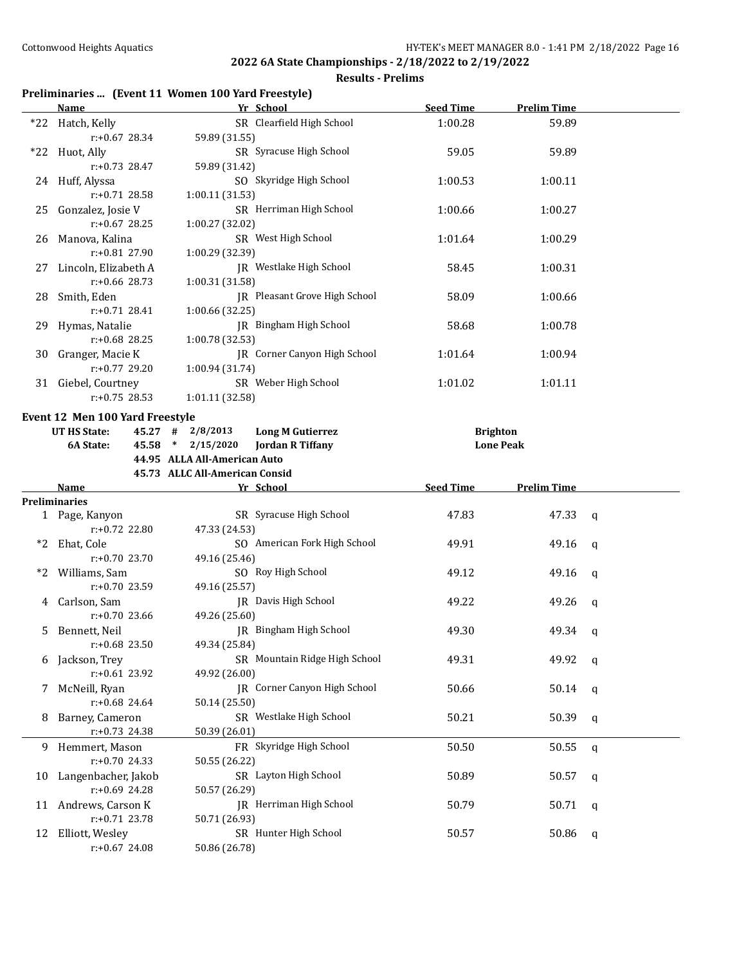#### **Results - Prelims**

## **Preliminaries ... (Event 11 Women 100 Yard Freestyle)**

|     | <b>Name</b>                                                                    | Yr School                                                 | <b>Seed Time</b> | <b>Prelim Time</b> |              |
|-----|--------------------------------------------------------------------------------|-----------------------------------------------------------|------------------|--------------------|--------------|
|     | *22 Hatch, Kelly<br>$r: +0.67$ 28.34                                           | SR Clearfield High School<br>59.89 (31.55)                | 1:00.28          | 59.89              |              |
| *22 | Huot, Ally<br>$r: +0.73$ 28.47                                                 | SR Syracuse High School<br>59.89 (31.42)                  | 59.05            | 59.89              |              |
|     | SO Skyridge High School<br>24 Huff, Alyssa<br>r:+0.71 28.58<br>1:00.11 (31.53) |                                                           | 1:00.53          | 1:00.11            |              |
|     | 25 Gonzalez, Josie V<br>$r: +0.67$ 28.25                                       | SR Herriman High School<br>1:00.27 (32.02)                | 1:00.66          | 1:00.27            |              |
|     | 26 Manova, Kalina<br>r:+0.81 27.90                                             | SR West High School<br>1:00.29 (32.39)                    | 1:01.64          | 1:00.29            |              |
| 27  | Lincoln, Elizabeth A<br>r:+0.66 28.73                                          | JR Westlake High School<br>1:00.31 (31.58)                | 58.45            | 1:00.31            |              |
|     | 28 Smith, Eden<br>$r: +0.71$ 28.41                                             | JR Pleasant Grove High School<br>1:00.66 (32.25)          | 58.09            | 1:00.66            |              |
|     | 29 Hymas, Natalie<br>r:+0.68 28.25                                             | JR Bingham High School<br>1:00.78 (32.53)                 | 58.68            | 1:00.78            |              |
|     | 30 Granger, Macie K<br>$r: +0.77$ 29.20                                        | JR Corner Canyon High School<br>1:00.94 (31.74)           | 1:01.64          | 1:00.94            |              |
|     | 31 Giebel, Courtney<br>$r: +0.75$ 28.53                                        | SR Weber High School<br>1:01.11 (32.58)                   | 1:01.02          | 1:01.11            |              |
|     | Event 12 Men 100 Yard Freestyle                                                |                                                           |                  |                    |              |
|     | <b>UT HS State:</b>                                                            | $45.27$ # $2/8/2013$<br><b>Long M Gutierrez</b>           | <b>Brighton</b>  |                    |              |
|     | 6A State:                                                                      | 45.58 * 2/15/2020<br><b>Jordan R Tiffany</b>              |                  | <b>Lone Peak</b>   |              |
|     |                                                                                | 44.95 ALLA All-American Auto                              |                  |                    |              |
|     |                                                                                |                                                           |                  |                    |              |
|     |                                                                                | 45.73 ALLC All-American Consid                            |                  |                    |              |
|     | Name<br><b>Preliminaries</b>                                                   | Yr School                                                 | <b>Seed Time</b> | <b>Prelim Time</b> |              |
|     |                                                                                |                                                           |                  |                    |              |
|     |                                                                                |                                                           |                  |                    |              |
|     | 1 Page, Kanyon<br>r:+0.72 22.80                                                | SR Syracuse High School<br>47.33 (24.53)                  | 47.83            | 47.33              | $\mathsf{q}$ |
| *2  | Ehat, Cole<br>$r: +0.70$ 23.70                                                 | SO American Fork High School                              | 49.91            | 49.16              | q            |
| *2  | Williams, Sam                                                                  | 49.16 (25.46)<br>SO Roy High School                       | 49.12            | 49.16              | q            |
|     | r:+0.70 23.59<br>4 Carlson, Sam                                                | 49.16 (25.57)<br>JR Davis High School                     | 49.22            | 49.26              | q            |
| 5.  | r:+0.70 23.66<br>Bennett, Neil                                                 | 49.26 (25.60)<br>JR Bingham High School                   | 49.30            | 49.34              | q            |
|     | $r: +0.68$ 23.50<br>6 Jackson, Trey                                            | 49.34 (25.84)<br>SR Mountain Ridge High School            | 49.31            | 49.92              | q            |
| 7   | r:+0.61 23.92<br>McNeill, Ryan                                                 | 49.92 (26.00)<br>JR Corner Canyon High School             | 50.66            | 50.14              | q            |
| 8   | r:+0.68 24.64<br>Barney, Cameron                                               | 50.14 (25.50)<br>SR Westlake High School                  | 50.21            | 50.39              | q            |
|     | r:+0.73 24.38<br>9 Hemmert, Mason                                              | 50.39 (26.01)<br>FR Skyridge High School                  | 50.50            | 50.55              | q            |
| 10  | r:+0.70 24.33<br>Langenbacher, Jakob                                           | 50.55 (26.22)<br>SR Layton High School                    | 50.89            | 50.57              | q            |
|     | $r: +0.69$ 24.28<br>11 Andrews, Carson K<br>r:+0.71 23.78                      | 50.57 (26.29)<br>JR Herriman High School<br>50.71 (26.93) | 50.79            | 50.71              | q            |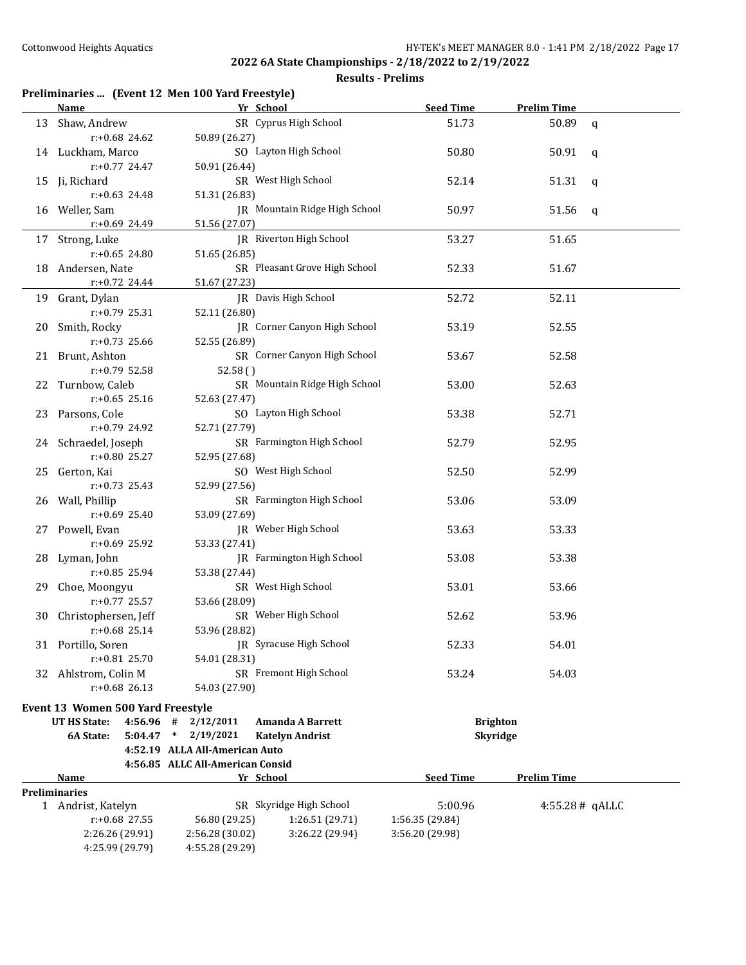|    | Preliminaries  (Event 12 Men 100 Yard Freestyle)<br>Name | Yr School                        |                               | <b>Seed Time</b> | <b>Prelim Time</b> |              |
|----|----------------------------------------------------------|----------------------------------|-------------------------------|------------------|--------------------|--------------|
|    | 13 Shaw, Andrew                                          |                                  | SR Cyprus High School         | 51.73            | 50.89              | $\mathbf{q}$ |
|    | r:+0.68 24.62                                            | 50.89 (26.27)                    |                               |                  |                    |              |
|    | 14 Luckham, Marco                                        |                                  | SO Layton High School         | 50.80            | 50.91              | q            |
|    | $r: +0.77$ 24.47                                         | 50.91 (26.44)                    |                               |                  |                    |              |
|    | 15 Ji, Richard                                           |                                  | SR West High School           | 52.14            | 51.31              | q            |
|    | $r: +0.63$ 24.48                                         | 51.31 (26.83)                    |                               |                  |                    |              |
|    | 16 Weller, Sam                                           |                                  | JR Mountain Ridge High School | 50.97            | 51.56              | q            |
|    | r:+0.69 24.49                                            | 51.56 (27.07)                    |                               |                  |                    |              |
|    | 17 Strong, Luke                                          |                                  | JR Riverton High School       | 53.27            | 51.65              |              |
|    | r:+0.65 24.80                                            | 51.65 (26.85)                    |                               |                  |                    |              |
|    | 18 Andersen, Nate                                        |                                  | SR Pleasant Grove High School | 52.33            | 51.67              |              |
|    | $r+0.72$ 24.44                                           | 51.67 (27.23)                    |                               |                  |                    |              |
|    | 19 Grant, Dylan                                          |                                  | JR Davis High School          | 52.72            | 52.11              |              |
|    | r:+0.79 25.31                                            | 52.11 (26.80)                    |                               |                  |                    |              |
|    | 20 Smith, Rocky                                          |                                  | JR Corner Canyon High School  | 53.19            | 52.55              |              |
|    | $r: +0.73$ 25.66                                         | 52.55 (26.89)                    |                               |                  |                    |              |
|    | 21 Brunt, Ashton                                         |                                  | SR Corner Canyon High School  | 53.67            | 52.58              |              |
|    | r:+0.79 52.58                                            | 52.58()                          |                               |                  |                    |              |
|    | 22 Turnbow, Caleb                                        |                                  | SR Mountain Ridge High School | 53.00            | 52.63              |              |
|    | $r: +0.65$ 25.16                                         | 52.63 (27.47)                    |                               |                  |                    |              |
|    | 23 Parsons, Cole                                         |                                  | SO Layton High School         | 53.38            | 52.71              |              |
|    | $r: +0.79$ 24.92                                         | 52.71 (27.79)                    |                               |                  |                    |              |
|    | 24 Schraedel, Joseph                                     |                                  | SR Farmington High School     | 52.79            | 52.95              |              |
|    | $r: +0.80$ 25.27                                         | 52.95 (27.68)                    |                               |                  |                    |              |
|    | 25 Gerton, Kai                                           |                                  | SO West High School           | 52.50            | 52.99              |              |
|    | $r: +0.73$ 25.43                                         | 52.99 (27.56)                    |                               |                  |                    |              |
|    | 26 Wall, Phillip                                         |                                  | SR Farmington High School     | 53.06            | 53.09              |              |
|    | r:+0.69 25.40                                            | 53.09 (27.69)                    |                               |                  |                    |              |
|    | 27 Powell, Evan                                          |                                  | JR Weber High School          | 53.63            | 53.33              |              |
|    | r:+0.69 25.92                                            | 53.33 (27.41)                    |                               |                  |                    |              |
| 28 |                                                          |                                  | JR Farmington High School     | 53.08            | 53.38              |              |
|    | Lyman, John<br>$r: +0.85$ 25.94                          |                                  |                               |                  |                    |              |
| 29 |                                                          | 53.38 (27.44)                    | SR West High School           | 53.01            | 53.66              |              |
|    | Choe, Moongyu<br>$r: +0.77$ 25.57                        |                                  |                               |                  |                    |              |
|    |                                                          | 53.66 (28.09)                    | SR Weber High School          |                  |                    |              |
| 30 | Christophersen, Jeff                                     |                                  |                               | 52.62            | 53.96              |              |
|    | $r: +0.68$ 25.14                                         | 53.96 (28.82)                    | JR Syracuse High School       |                  |                    |              |
|    | 31 Portillo, Soren<br>r:+0.81 25.70                      | 54.01 (28.31)                    |                               | 52.33            | 54.01              |              |
|    |                                                          |                                  | SR Fremont High School        |                  |                    |              |
| 32 | Ahlstrom, Colin M<br>$r: +0.68$ 26.13                    |                                  |                               | 53.24            | 54.03              |              |
|    |                                                          | 54.03 (27.90)                    |                               |                  |                    |              |
|    | Event 13 Women 500 Yard Freestyle                        |                                  |                               |                  |                    |              |
|    | <b>UT HS State:</b><br>4:56.96 #                         | 2/12/2011                        | <b>Amanda A Barrett</b>       | <b>Brighton</b>  |                    |              |
|    | 6A State:<br>$5:04.47$ *                                 | 2/19/2021                        | <b>Katelyn Andrist</b>        | Skyridge         |                    |              |
|    |                                                          | 4:52.19 ALLA All-American Auto   |                               |                  |                    |              |
|    |                                                          | 4:56.85 ALLC All-American Consid |                               |                  |                    |              |
|    | Name                                                     | Yr School                        |                               | <b>Seed Time</b> | <b>Prelim Time</b> |              |
|    | Preliminaries                                            |                                  |                               |                  |                    |              |
|    | 1 Andrist, Katelyn                                       |                                  | SR Skyridge High School       | 5:00.96          | 4:55.28# qALLC     |              |
|    | r:+0.68 27.55                                            | 56.80 (29.25)                    | 1:26.51 (29.71)               | 1:56.35 (29.84)  |                    |              |
|    | 2:26.26 (29.91)                                          | 2:56.28 (30.02)                  | 3:26.22 (29.94)               | 3:56.20 (29.98)  |                    |              |
|    | 4:25.99 (29.79)                                          | 4:55.28 (29.29)                  |                               |                  |                    |              |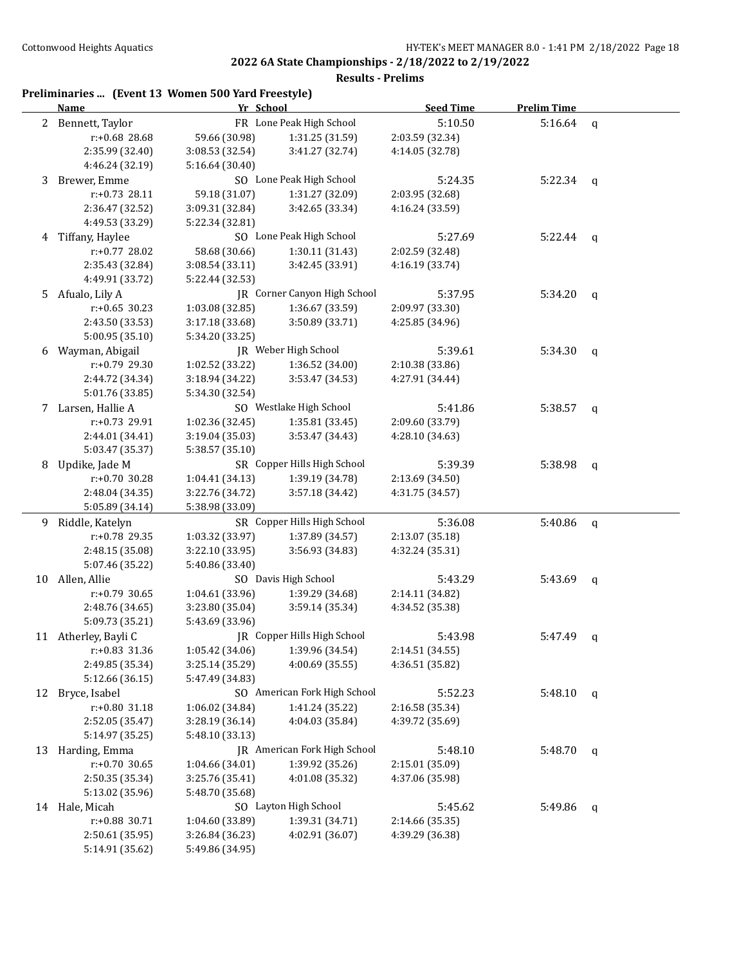**Results - Prelims**

#### **Preliminaries ... (Event 13 Women 500 Yard Freestyle)**

|    | Name                               | Yr School                          |                                    | <b>Seed Time</b>           | <b>Prelim Time</b> |              |
|----|------------------------------------|------------------------------------|------------------------------------|----------------------------|--------------------|--------------|
|    | 2 Bennett, Taylor                  |                                    | FR Lone Peak High School           | 5:10.50                    | 5:16.64            | $\mathbf q$  |
|    | r:+0.68 28.68                      | 59.66 (30.98)                      | 1:31.25 (31.59)                    | 2:03.59 (32.34)            |                    |              |
|    | 2:35.99 (32.40)                    | 3:08.53 (32.54)                    | 3:41.27 (32.74)                    | 4:14.05 (32.78)            |                    |              |
|    | 4:46.24 (32.19)                    | 5:16.64 (30.40)                    |                                    |                            |                    |              |
| 3  | Brewer, Emme                       |                                    | SO Lone Peak High School           | 5:24.35                    | 5:22.34            | q            |
|    | r:+0.73 28.11                      | 59.18 (31.07)                      | 1:31.27 (32.09)                    | 2:03.95 (32.68)            |                    |              |
|    | 2:36.47 (32.52)                    | 3:09.31 (32.84)                    | 3:42.65 (33.34)                    | 4:16.24 (33.59)            |                    |              |
|    | 4:49.53 (33.29)                    | 5:22.34 (32.81)                    |                                    |                            |                    |              |
|    | 4 Tiffany, Haylee                  |                                    | SO Lone Peak High School           | 5:27.69                    | 5:22.44            | $\mathbf{q}$ |
|    | r:+0.77 28.02                      | 58.68 (30.66)                      | 1:30.11 (31.43)                    | 2:02.59 (32.48)            |                    |              |
|    | 2:35.43 (32.84)                    | 3:08.54 (33.11)                    | 3:42.45 (33.91)                    | 4:16.19 (33.74)            |                    |              |
|    | 4:49.91 (33.72)                    | 5:22.44 (32.53)                    |                                    |                            |                    |              |
| 5  | Afualo, Lily A                     |                                    | JR Corner Canyon High School       | 5:37.95                    | 5:34.20            | q            |
|    | $r: +0.65$ 30.23                   | 1:03.08 (32.85)                    | 1:36.67 (33.59)                    | 2:09.97 (33.30)            |                    |              |
|    | 2:43.50 (33.53)                    | 3:17.18 (33.68)                    | 3:50.89 (33.71)                    | 4:25.85 (34.96)            |                    |              |
|    | 5:00.95 (35.10)                    | 5:34.20 (33.25)                    |                                    |                            |                    |              |
| 6  | Wayman, Abigail                    |                                    | JR Weber High School               | 5:39.61                    | 5:34.30            | q            |
|    | $r: +0.79$ 29.30                   | 1:02.52 (33.22)                    | 1:36.52 (34.00)                    | 2:10.38 (33.86)            |                    |              |
|    | 2:44.72 (34.34)                    | 3:18.94 (34.22)                    | 3:53.47 (34.53)                    | 4:27.91 (34.44)            |                    |              |
|    | 5:01.76 (33.85)                    | 5:34.30 (32.54)                    |                                    |                            |                    |              |
|    | 7 Larsen, Hallie A                 |                                    | SO Westlake High School            | 5:41.86                    | 5:38.57            | $\mathsf{q}$ |
|    | $r: +0.73$ 29.91                   | 1:02.36 (32.45)                    | 1:35.81 (33.45)                    | 2:09.60 (33.79)            |                    |              |
|    | 2:44.01 (34.41)                    | 3:19.04 (35.03)                    | 3:53.47 (34.43)                    | 4:28.10 (34.63)            |                    |              |
|    | 5:03.47 (35.37)                    | 5:38.57 (35.10)                    |                                    |                            |                    |              |
| 8  | Updike, Jade M                     |                                    | SR Copper Hills High School        | 5:39.39                    | 5:38.98            | q            |
|    | $r: +0.70$ 30.28                   | 1:04.41 (34.13)                    | 1:39.19 (34.78)                    | 2:13.69 (34.50)            |                    |              |
|    | 2:48.04 (34.35)                    | 3:22.76 (34.72)                    | 3:57.18 (34.42)                    | 4:31.75 (34.57)            |                    |              |
|    | 5:05.89 (34.14)                    | 5:38.98 (33.09)                    | SR Copper Hills High School        |                            |                    |              |
| 9  | Riddle, Katelyn<br>r:+0.78 29.35   | 1:03.32 (33.97)                    | 1:37.89 (34.57)                    | 5:36.08<br>2:13.07 (35.18) | 5:40.86            | q            |
|    |                                    |                                    | 3:56.93 (34.83)                    | 4:32.24 (35.31)            |                    |              |
|    | 2:48.15 (35.08)<br>5:07.46 (35.22) | 3:22.10 (33.95)<br>5:40.86 (33.40) |                                    |                            |                    |              |
| 10 | Allen, Allie                       |                                    | SO Davis High School               | 5:43.29                    | 5:43.69            | q            |
|    | r:+0.79 30.65                      | 1:04.61 (33.96)                    | 1:39.29 (34.68)                    | 2:14.11 (34.82)            |                    |              |
|    | 2:48.76 (34.65)                    | 3:23.80 (35.04)                    | 3:59.14 (35.34)                    | 4:34.52 (35.38)            |                    |              |
|    | 5:09.73 (35.21)                    | 5:43.69 (33.96)                    |                                    |                            |                    |              |
|    | 11 Atherley, Bayli C               |                                    | <b>IR</b> Copper Hills High School | 5:43.98                    | 5:47.49            | q            |
|    | r:+0.83 31.36                      | 1:05.42 (34.06)                    | 1:39.96 (34.54)                    | 2:14.51 (34.55)            |                    |              |
|    | 2:49.85 (35.34)                    | 3:25.14 (35.29)                    | 4:00.69 (35.55)                    | 4:36.51 (35.82)            |                    |              |
|    | 5:12.66 (36.15)                    | 5:47.49 (34.83)                    |                                    |                            |                    |              |
| 12 | Bryce, Isabel                      |                                    | SO American Fork High School       | 5:52.23                    | 5:48.10            | q            |
|    | r:+0.80 31.18                      | 1:06.02 (34.84)                    | 1:41.24 (35.22)                    | 2:16.58 (35.34)            |                    |              |
|    | 2:52.05 (35.47)                    | 3:28.19 (36.14)                    | 4:04.03 (35.84)                    | 4:39.72 (35.69)            |                    |              |
|    | 5:14.97 (35.25)                    | 5:48.10 (33.13)                    |                                    |                            |                    |              |
| 13 | Harding, Emma                      |                                    | JR American Fork High School       | 5:48.10                    | 5:48.70            | q            |
|    | r:+0.70 30.65                      | 1:04.66 (34.01)                    | 1:39.92 (35.26)                    | 2:15.01 (35.09)            |                    |              |
|    | 2:50.35 (35.34)                    | 3:25.76 (35.41)                    | 4:01.08 (35.32)                    | 4:37.06 (35.98)            |                    |              |
|    | 5:13.02 (35.96)                    | 5:48.70 (35.68)                    |                                    |                            |                    |              |
|    | 14 Hale, Micah                     |                                    | SO Layton High School              | 5:45.62                    | 5:49.86            | q            |
|    | r:+0.88 30.71                      | 1:04.60 (33.89)                    | 1:39.31 (34.71)                    | 2:14.66 (35.35)            |                    |              |
|    | 2:50.61 (35.95)                    | 3:26.84 (36.23)                    | 4:02.91 (36.07)                    | 4:39.29 (36.38)            |                    |              |
|    | 5:14.91 (35.62)                    | 5:49.86 (34.95)                    |                                    |                            |                    |              |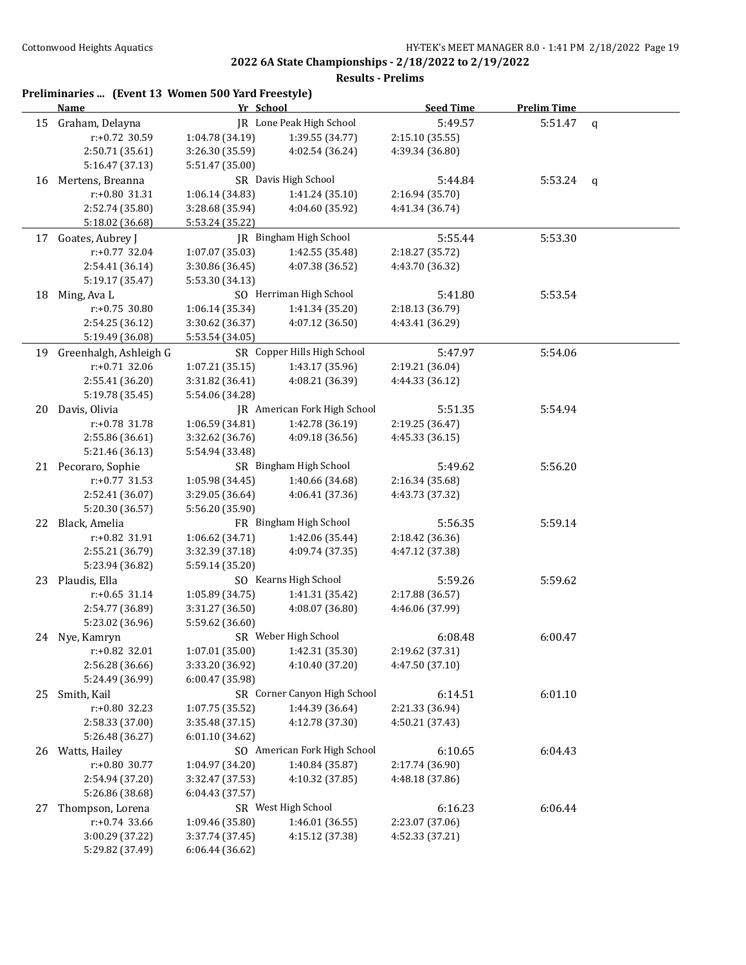**2022 6A State Championships - 2/18/2022 to 2/19/2022 Results - Prelims**

|    | Preliminaries  (Event 13 Women 500 Yard Freestyle)<br><b>Name</b> | Yr School       |                              | <b>Seed Time</b> | <b>Prelim Time</b> |              |
|----|-------------------------------------------------------------------|-----------------|------------------------------|------------------|--------------------|--------------|
|    | 15 Graham, Delayna                                                |                 | JR Lone Peak High School     | 5:49.57          | 5:51.47            | q            |
|    | r:+0.72 30.59                                                     | 1:04.78 (34.19) | 1:39.55 (34.77)              | 2:15.10 (35.55)  |                    |              |
|    | 2:50.71 (35.61)                                                   | 3:26.30 (35.59) | 4:02.54 (36.24)              | 4:39.34 (36.80)  |                    |              |
|    | 5:16.47(37.13)                                                    | 5:51.47 (35.00) |                              |                  |                    |              |
|    | 16 Mertens, Breanna                                               |                 | SR Davis High School         | 5:44.84          | 5:53.24            | $\mathsf{q}$ |
|    | r:+0.80 31.31                                                     | 1:06.14 (34.83) | 1:41.24 (35.10)              | 2:16.94 (35.70)  |                    |              |
|    | 2:52.74 (35.80)                                                   | 3:28.68 (35.94) | 4:04.60 (35.92)              | 4:41.34 (36.74)  |                    |              |
|    | 5:18.02 (36.68)                                                   | 5:53.24 (35.22) |                              |                  |                    |              |
|    | 17 Goates, Aubrey J                                               |                 | JR Bingham High School       | 5:55.44          | 5:53.30            |              |
|    | $r: +0.77$ 32.04                                                  | 1:07.07 (35.03) | 1:42.55 (35.48)              | 2:18.27 (35.72)  |                    |              |
|    | 2:54.41 (36.14)                                                   | 3:30.86 (36.45) | 4:07.38 (36.52)              | 4:43.70 (36.32)  |                    |              |
|    | 5:19.17 (35.47)                                                   | 5:53.30 (34.13) |                              |                  |                    |              |
| 18 | Ming, Ava L                                                       |                 | SO Herriman High School      | 5:41.80          | 5:53.54            |              |
|    | r:+0.75 30.80                                                     | 1:06.14 (35.34) | 1:41.34 (35.20)              | 2:18.13 (36.79)  |                    |              |
|    | 2:54.25 (36.12)                                                   | 3:30.62 (36.37) | 4:07.12 (36.50)              | 4:43.41 (36.29)  |                    |              |
|    | 5:19.49 (36.08)                                                   | 5:53.54 (34.05) |                              |                  |                    |              |
| 19 | Greenhalgh, Ashleigh G                                            |                 | SR Copper Hills High School  | 5:47.97          | 5:54.06            |              |
|    | r:+0.71 32.06                                                     | 1:07.21(35.15)  | 1:43.17 (35.96)              | 2:19.21 (36.04)  |                    |              |
|    | 2:55.41 (36.20)                                                   | 3:31.82 (36.41) | 4:08.21 (36.39)              | 4:44.33 (36.12)  |                    |              |
|    | 5:19.78 (35.45)                                                   | 5:54.06 (34.28) |                              |                  |                    |              |
| 20 | Davis, Olivia                                                     |                 | JR American Fork High School | 5:51.35          | 5:54.94            |              |
|    | r:+0.78 31.78                                                     | 1:06.59 (34.81) | 1:42.78 (36.19)              | 2:19.25 (36.47)  |                    |              |
|    | 2:55.86 (36.61)                                                   | 3:32.62 (36.76) | 4:09.18 (36.56)              | 4:45.33 (36.15)  |                    |              |
|    | 5:21.46 (36.13)                                                   | 5:54.94 (33.48) |                              |                  |                    |              |
|    | 21 Pecoraro, Sophie                                               |                 | SR Bingham High School       | 5:49.62          | 5:56.20            |              |
|    | r:+0.77 31.53                                                     | 1:05.98 (34.45) | 1:40.66 (34.68)              | 2:16.34 (35.68)  |                    |              |
|    | 2:52.41 (36.07)                                                   | 3:29.05 (36.64) | 4:06.41 (37.36)              | 4:43.73 (37.32)  |                    |              |
|    | 5:20.30 (36.57)                                                   | 5:56.20 (35.90) |                              |                  |                    |              |
| 22 | Black, Amelia                                                     |                 | FR Bingham High School       | 5:56.35          | 5:59.14            |              |
|    | r:+0.82 31.91                                                     | 1:06.62 (34.71) | 1:42.06 (35.44)              | 2:18.42 (36.36)  |                    |              |
|    | 2:55.21 (36.79)                                                   | 3:32.39 (37.18) | 4:09.74 (37.35)              | 4:47.12 (37.38)  |                    |              |
|    | 5:23.94 (36.82)                                                   | 5:59.14 (35.20) |                              |                  |                    |              |
| 23 | Plaudis, Ella                                                     |                 | SO Kearns High School        | 5:59.26          | 5:59.62            |              |
|    | $r: +0.65$ 31.14                                                  | 1:05.89 (34.75) | 1:41.31 (35.42)              | 2:17.88 (36.57)  |                    |              |
|    | 2:54.77 (36.89)                                                   | 3:31.27 (36.50) | 4:08.07 (36.80)              | 4:46.06 (37.99)  |                    |              |
|    | 5:23.02 (36.96)                                                   | 5:59.62 (36.60) |                              |                  |                    |              |
|    | 24 Nye, Kamryn                                                    |                 | SR Weber High School         | 6:08.48          | 6:00.47            |              |
|    | r:+0.82 32.01                                                     | 1:07.01 (35.00) | 1:42.31 (35.30)              | 2:19.62 (37.31)  |                    |              |
|    | 2:56.28 (36.66)                                                   | 3:33.20 (36.92) | 4:10.40 (37.20)              | 4:47.50 (37.10)  |                    |              |
|    | 5:24.49 (36.99)                                                   | 6:00.47 (35.98) |                              |                  |                    |              |
| 25 | Smith, Kail                                                       |                 | SR Corner Canyon High School | 6:14.51          | 6:01.10            |              |
|    | r:+0.80 32.23                                                     | 1:07.75 (35.52) | 1:44.39 (36.64)              | 2:21.33 (36.94)  |                    |              |
|    | 2:58.33 (37.00)                                                   | 3:35.48 (37.15) | 4:12.78 (37.30)              | 4:50.21 (37.43)  |                    |              |
|    | 5:26.48 (36.27)                                                   | 6:01.10 (34.62) |                              |                  |                    |              |
| 26 | Watts, Hailey                                                     |                 | SO American Fork High School | 6:10.65          | 6:04.43            |              |
|    | r:+0.80 30.77                                                     | 1:04.97 (34.20) | 1:40.84 (35.87)              | 2:17.74 (36.90)  |                    |              |
|    | 2:54.94 (37.20)                                                   | 3:32.47 (37.53) | 4:10.32 (37.85)              | 4:48.18 (37.86)  |                    |              |
|    | 5:26.86 (38.68)                                                   | 6:04.43 (37.57) |                              |                  |                    |              |
| 27 | Thompson, Lorena                                                  |                 | SR West High School          | 6:16.23          | 6:06.44            |              |
|    | $r: +0.74$ 33.66                                                  | 1:09.46 (35.80) | 1:46.01 (36.55)              | 2:23.07 (37.06)  |                    |              |
|    | 3:00.29 (37.22)                                                   | 3:37.74 (37.45) | 4:15.12 (37.38)              | 4:52.33 (37.21)  |                    |              |
|    | 5:29.82 (37.49)                                                   | 6:06.44 (36.62) |                              |                  |                    |              |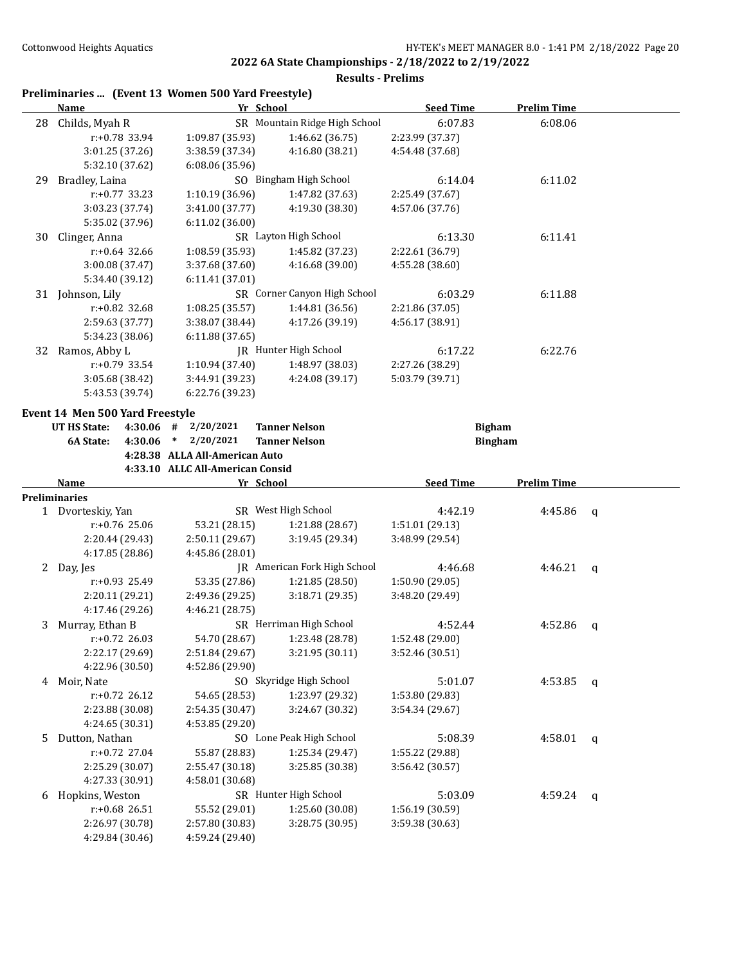|    |                                 |                  | Preliminaries  (Event 13 Women 500 Yard Freestyle) |                               |                  |                    |             |
|----|---------------------------------|------------------|----------------------------------------------------|-------------------------------|------------------|--------------------|-------------|
|    | <b>Name</b>                     |                  |                                                    | Yr School                     | <b>Seed Time</b> | <b>Prelim Time</b> |             |
| 28 | Childs, Myah R                  |                  |                                                    | SR Mountain Ridge High School | 6:07.83          | 6:08.06            |             |
|    |                                 | r:+0.78 33.94    | 1:09.87 (35.93)                                    | 1:46.62 (36.75)               | 2:23.99 (37.37)  |                    |             |
|    |                                 | 3:01.25 (37.26)  | 3:38.59 (37.34)                                    | 4:16.80 (38.21)               | 4:54.48 (37.68)  |                    |             |
|    |                                 | 5:32.10 (37.62)  | 6:08.06 (35.96)                                    |                               |                  |                    |             |
| 29 | Bradley, Laina                  |                  |                                                    | SO Bingham High School        | 6:14.04          | 6:11.02            |             |
|    |                                 | $r: +0.77$ 33.23 | 1:10.19 (36.96)                                    | 1:47.82 (37.63)               | 2:25.49 (37.67)  |                    |             |
|    |                                 | 3:03.23 (37.74)  | 3:41.00 (37.77)                                    | 4:19.30 (38.30)               | 4:57.06 (37.76)  |                    |             |
|    |                                 | 5:35.02 (37.96)  | 6:11.02 (36.00)                                    |                               |                  |                    |             |
| 30 | Clinger, Anna                   |                  |                                                    | SR Layton High School         | 6:13.30          | 6:11.41            |             |
|    |                                 | $r: +0.64$ 32.66 | 1:08.59 (35.93)                                    | 1:45.82 (37.23)               | 2:22.61 (36.79)  |                    |             |
|    |                                 | 3:00.08 (37.47)  | 3:37.68 (37.60)                                    | 4:16.68 (39.00)               | 4:55.28 (38.60)  |                    |             |
|    |                                 | 5:34.40 (39.12)  | 6:11.41 (37.01)                                    |                               |                  |                    |             |
| 31 | Johnson, Lily                   |                  |                                                    | SR Corner Canyon High School  | 6:03.29          | 6:11.88            |             |
|    |                                 | $r: +0.82$ 32.68 | 1:08.25 (35.57)                                    | 1:44.81 (36.56)               | 2:21.86 (37.05)  |                    |             |
|    |                                 | 2:59.63 (37.77)  | 3:38.07 (38.44)                                    | 4:17.26 (39.19)               | 4:56.17 (38.91)  |                    |             |
|    |                                 | 5:34.23 (38.06)  | 6:11.88 (37.65)                                    |                               |                  |                    |             |
| 32 | Ramos, Abby L                   |                  |                                                    | IR Hunter High School         | 6:17.22          | 6:22.76            |             |
|    |                                 | $r: +0.79$ 33.54 | 1:10.94 (37.40)                                    | 1:48.97 (38.03)               | 2:27.26 (38.29)  |                    |             |
|    |                                 | 3:05.68 (38.42)  | 3:44.91 (39.23)                                    | 4:24.08 (39.17)               | 5:03.79 (39.71)  |                    |             |
|    |                                 | 5:43.53 (39.74)  | 6:22.76 (39.23)                                    |                               |                  |                    |             |
|    | Event 14 Men 500 Yard Freestyle |                  |                                                    |                               |                  |                    |             |
|    | UT HS State:                    | 4:30.06 #        | 2/20/2021                                          | <b>Tanner Nelson</b>          | <b>Bigham</b>    |                    |             |
|    | 6A State:                       | 4:30.06          | 2/20/2021<br>$\ast$                                | <b>Tanner Nelson</b>          |                  | <b>Bingham</b>     |             |
|    |                                 |                  | 4:28.38 ALLA All-American Auto                     |                               |                  |                    |             |
|    |                                 |                  | 4:33.10 ALLC All-American Consid                   |                               |                  |                    |             |
|    | Name                            |                  |                                                    | Yr School                     | <b>Seed Time</b> | <b>Prelim Time</b> |             |
|    | <b>Preliminaries</b>            |                  |                                                    |                               |                  |                    |             |
|    | 1 Dvorteskiy, Yan               |                  |                                                    | SR West High School           | 4:42.19          | 4:45.86            | $\mathbf q$ |
|    |                                 | $r: +0.76$ 25.06 | 53.21 (28.15)                                      | 1:21.88 (28.67)               | 1:51.01 (29.13)  |                    |             |
|    |                                 | 2:20.44 (29.43)  | 2:50.11 (29.67)                                    | 3:19.45 (29.34)               | 3:48.99 (29.54)  |                    |             |
|    |                                 | 4:17.85 (28.86)  | 4:45.86 (28.01)                                    |                               |                  |                    |             |
|    | 2 Day, Jes                      |                  |                                                    | JR American Fork High School  | 4:46.68          | 4:46.21            | q           |
|    |                                 | r:+0.93 25.49    | 53.35 (27.86)                                      | 1:21.85 (28.50)               | 1:50.90 (29.05)  |                    |             |
|    |                                 | 2:20.11 (29.21)  | 2:49.36 (29.25)                                    | 3:18.71 (29.35)               | 3:48.20 (29.49)  |                    |             |
|    |                                 | 4:17.46 (29.26)  | 4:46.21 (28.75)                                    |                               |                  |                    |             |
| 3  | Murray, Ethan B                 |                  |                                                    | SR Herriman High School       | 4:52.44          | 4:52.86            | q           |
|    |                                 | r:+0.72 26.03    | 54.70 (28.67)                                      | 1:23.48 (28.78)               | 1:52.48 (29.00)  |                    |             |
|    |                                 | 2:22.17 (29.69)  | 2:51.84 (29.67)                                    | 3:21.95 (30.11)               | 3:52.46 (30.51)  |                    |             |
|    |                                 | 4:22.96 (30.50)  | 4:52.86 (29.90)                                    |                               |                  |                    |             |
| 4  | Moir, Nate                      |                  |                                                    | SO Skyridge High School       | 5:01.07          | 4:53.85            | q           |
|    |                                 | $r: +0.72$ 26.12 | 54.65 (28.53)                                      | 1:23.97 (29.32)               | 1:53.80 (29.83)  |                    |             |
|    |                                 | 2:23.88 (30.08)  | 2:54.35 (30.47)                                    | 3:24.67 (30.32)               | 3:54.34 (29.67)  |                    |             |
|    |                                 | 4:24.65 (30.31)  | 4:53.85 (29.20)                                    |                               |                  |                    |             |
| 5  | Dutton, Nathan                  |                  |                                                    | SO Lone Peak High School      | 5:08.39          | 4:58.01            | q           |
|    |                                 | r:+0.72 27.04    | 55.87 (28.83)                                      | 1:25.34 (29.47)               | 1:55.22 (29.88)  |                    |             |
|    |                                 | 2:25.29 (30.07)  | 2:55.47 (30.18)                                    | 3:25.85 (30.38)               | 3:56.42 (30.57)  |                    |             |
|    |                                 | 4:27.33 (30.91)  | 4:58.01 (30.68)                                    |                               |                  |                    |             |
| 6  | Hopkins, Weston                 |                  |                                                    | SR Hunter High School         | 5:03.09          | 4:59.24            | q           |
|    |                                 | r:+0.68 26.51    | 55.52 (29.01)                                      | 1:25.60 (30.08)               | 1:56.19 (30.59)  |                    |             |
|    | 2:26.97 (30.78)                 |                  | 2:57.80 (30.83)                                    | 3:28.75 (30.95)               | 3:59.38 (30.63)  |                    |             |
|    |                                 | 4:29.84 (30.46)  | 4:59.24 (29.40)                                    |                               |                  |                    |             |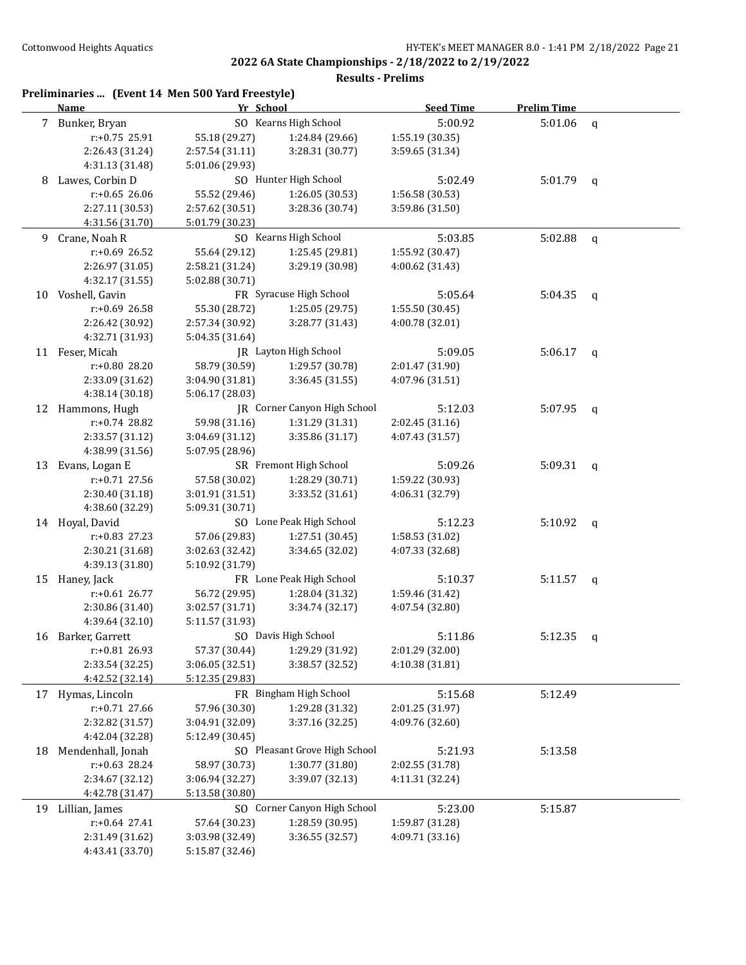|    | Preliminaries  (Event 14 Men 500 Yard Freestyle)<br>Name | Yr School       |                               | <b>Seed Time</b> | <b>Prelim Time</b> |              |
|----|----------------------------------------------------------|-----------------|-------------------------------|------------------|--------------------|--------------|
|    | 7 Bunker, Bryan                                          |                 | SO Kearns High School         | 5:00.92          | 5:01.06            | $\mathbf q$  |
|    | r:+0.75 25.91                                            | 55.18 (29.27)   | 1:24.84 (29.66)               | 1:55.19 (30.35)  |                    |              |
|    | 2:26.43 (31.24)                                          | 2:57.54 (31.11) | 3:28.31 (30.77)               | 3:59.65 (31.34)  |                    |              |
|    | 4:31.13 (31.48)                                          | 5:01.06 (29.93) |                               |                  |                    |              |
| 8  | Lawes, Corbin D                                          |                 | SO Hunter High School         | 5:02.49          | 5:01.79            | q            |
|    | $r: +0.65$ 26.06                                         | 55.52 (29.46)   | 1:26.05 (30.53)               | 1:56.58 (30.53)  |                    |              |
|    | 2:27.11 (30.53)                                          | 2:57.62 (30.51) | 3:28.36 (30.74)               | 3:59.86 (31.50)  |                    |              |
|    | 4:31.56 (31.70)                                          | 5:01.79 (30.23) |                               |                  |                    |              |
| 9. | Crane, Noah R                                            |                 | SO Kearns High School         | 5:03.85          | 5:02.88            | $\mathbf{q}$ |
|    | r:+0.69 26.52                                            | 55.64 (29.12)   | 1:25.45 (29.81)               | 1:55.92 (30.47)  |                    |              |
|    | 2:26.97 (31.05)                                          | 2:58.21 (31.24) | 3:29.19 (30.98)               | 4:00.62 (31.43)  |                    |              |
|    | 4:32.17 (31.55)                                          | 5:02.88 (30.71) |                               |                  |                    |              |
|    | 10 Voshell, Gavin                                        |                 | FR Syracuse High School       | 5:05.64          | 5:04.35            | q            |
|    | r:+0.69 26.58                                            | 55.30 (28.72)   | 1:25.05 (29.75)               | 1:55.50 (30.45)  |                    |              |
|    | 2:26.42 (30.92)                                          | 2:57.34 (30.92) | 3:28.77 (31.43)               | 4:00.78 (32.01)  |                    |              |
|    | 4:32.71 (31.93)                                          | 5:04.35 (31.64) |                               |                  |                    |              |
|    | 11 Feser, Micah                                          |                 | JR Layton High School         | 5:09.05          | $5:06.17$ q        |              |
|    | r:+0.80 28.20                                            | 58.79 (30.59)   | 1:29.57 (30.78)               | 2:01.47 (31.90)  |                    |              |
|    | 2:33.09 (31.62)                                          | 3:04.90 (31.81) | 3:36.45 (31.55)               | 4:07.96 (31.51)  |                    |              |
|    | 4:38.14 (30.18)                                          | 5:06.17 (28.03) |                               |                  |                    |              |
| 12 | Hammons, Hugh                                            |                 | JR Corner Canyon High School  | 5:12.03          | 5:07.95            |              |
|    | r:+0.74 28.82                                            | 59.98 (31.16)   | 1:31.29 (31.31)               | 2:02.45 (31.16)  |                    | q            |
|    |                                                          |                 | 3:35.86 (31.17)               | 4:07.43 (31.57)  |                    |              |
|    | 2:33.57 (31.12)                                          | 3:04.69 (31.12) |                               |                  |                    |              |
|    | 4:38.99 (31.56)                                          | 5:07.95 (28.96) | SR Fremont High School        |                  |                    |              |
| 13 | Evans, Logan E                                           |                 |                               | 5:09.26          | 5:09.31            | $\mathsf{q}$ |
|    | r:+0.71 27.56                                            | 57.58 (30.02)   | 1:28.29 (30.71)               | 1:59.22 (30.93)  |                    |              |
|    | 2:30.40 (31.18)                                          | 3:01.91 (31.51) | 3:33.52 (31.61)               | 4:06.31 (32.79)  |                    |              |
|    | 4:38.60 (32.29)                                          | 5:09.31 (30.71) |                               |                  |                    |              |
|    | 14 Hoyal, David                                          |                 | SO Lone Peak High School      | 5:12.23          | 5:10.92            | q            |
|    | r:+0.83 27.23                                            | 57.06 (29.83)   | 1:27.51 (30.45)               | 1:58.53 (31.02)  |                    |              |
|    | 2:30.21 (31.68)                                          | 3:02.63 (32.42) | 3:34.65 (32.02)               | 4:07.33 (32.68)  |                    |              |
|    | 4:39.13 (31.80)                                          | 5:10.92 (31.79) |                               |                  |                    |              |
|    | 15 Haney, Jack                                           |                 | FR Lone Peak High School      | 5:10.37          | 5:11.57            | q            |
|    | $r: +0.61$ 26.77                                         | 56.72 (29.95)   | 1:28.04 (31.32)               | 1:59.46 (31.42)  |                    |              |
|    | 2:30.86 (31.40)                                          | 3:02.57 (31.71) | 3:34.74 (32.17)               | 4:07.54 (32.80)  |                    |              |
|    | 4:39.64 (32.10)                                          | 5:11.57 (31.93) |                               |                  |                    |              |
|    | 16 Barker, Garrett                                       |                 | SO Davis High School          | 5:11.86          | 5:12.35            | q            |
|    | r:+0.81 26.93                                            | 57.37 (30.44)   | 1:29.29 (31.92)               | 2:01.29 (32.00)  |                    |              |
|    | 2:33.54 (32.25)                                          | 3:06.05 (32.51) | 3:38.57 (32.52)               | 4:10.38 (31.81)  |                    |              |
|    | 4:42.52 (32.14)                                          | 5:12.35 (29.83) |                               |                  |                    |              |
|    | 17 Hymas, Lincoln                                        |                 | FR Bingham High School        | 5:15.68          | 5:12.49            |              |
|    | $r: +0.71$ 27.66                                         | 57.96 (30.30)   | 1:29.28 (31.32)               | 2:01.25 (31.97)  |                    |              |
|    | 2:32.82 (31.57)                                          | 3:04.91 (32.09) | 3:37.16 (32.25)               | 4:09.76 (32.60)  |                    |              |
|    | 4:42.04 (32.28)                                          | 5:12.49 (30.45) |                               |                  |                    |              |
| 18 | Mendenhall, Jonah                                        |                 | SO Pleasant Grove High School | 5:21.93          | 5:13.58            |              |
|    | $r: +0.63$ 28.24                                         | 58.97 (30.73)   | 1:30.77 (31.80)               | 2:02.55 (31.78)  |                    |              |
|    | 2:34.67 (32.12)                                          | 3:06.94 (32.27) | 3:39.07 (32.13)               | 4:11.31 (32.24)  |                    |              |
|    | 4:42.78 (31.47)                                          | 5:13.58 (30.80) |                               |                  |                    |              |
| 19 | Lillian, James                                           |                 | SO Corner Canyon High School  | 5:23.00          | 5:15.87            |              |
|    | $r: +0.64$ 27.41                                         | 57.64 (30.23)   | 1:28.59 (30.95)               | 1:59.87 (31.28)  |                    |              |
|    | 2:31.49 (31.62)                                          | 3:03.98 (32.49) | 3:36.55 (32.57)               | 4:09.71 (33.16)  |                    |              |
|    | 4:43.41 (33.70)                                          | 5:15.87 (32.46) |                               |                  |                    |              |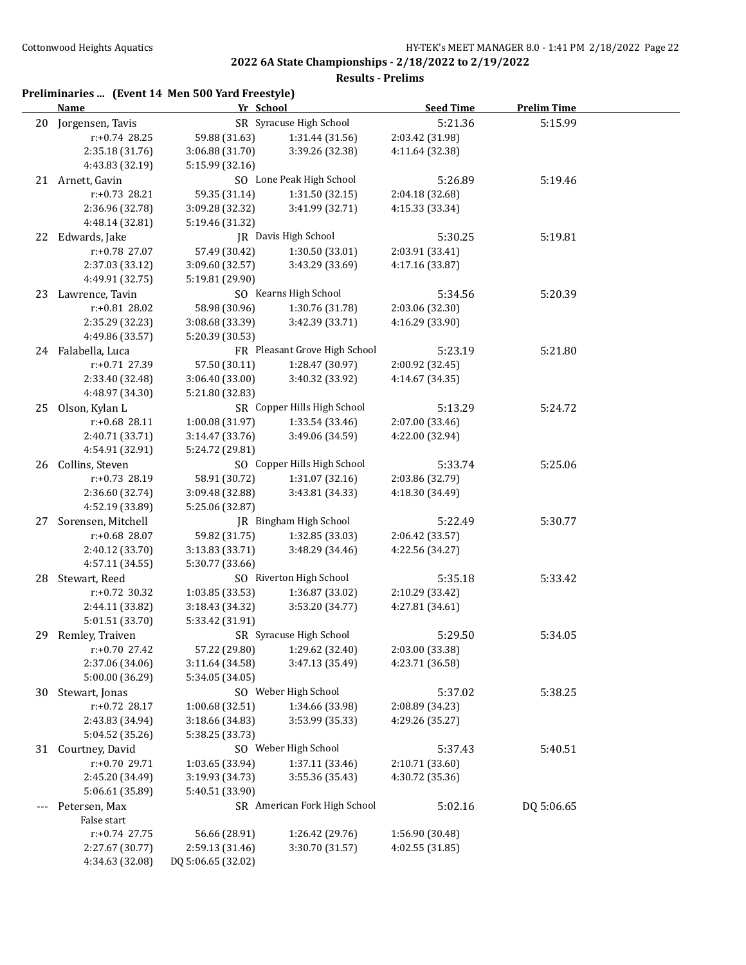| Preliminaries  (Event 14 Men 500 Yard Freestyle) |  |  |  |
|--------------------------------------------------|--|--|--|
|                                                  |  |  |  |

|     | <b>Name</b>                   | Yr School          |                               | <b>Seed Time</b> | <b>Prelim Time</b> |  |
|-----|-------------------------------|--------------------|-------------------------------|------------------|--------------------|--|
|     | 20 Jorgensen, Tavis           |                    | SR Syracuse High School       | 5:21.36          | 5:15.99            |  |
|     | $r: +0.74$ 28.25              | 59.88 (31.63)      | 1:31.44 (31.56)               | 2:03.42 (31.98)  |                    |  |
|     | 2:35.18 (31.76)               | 3:06.88 (31.70)    | 3:39.26 (32.38)               | 4:11.64 (32.38)  |                    |  |
|     | 4:43.83 (32.19)               | 5:15.99 (32.16)    |                               |                  |                    |  |
|     | 21 Arnett, Gavin              |                    | SO Lone Peak High School      | 5:26.89          | 5:19.46            |  |
|     | $r: +0.73$ 28.21              | 59.35 (31.14)      | 1:31.50(32.15)                | 2:04.18 (32.68)  |                    |  |
|     | 2:36.96 (32.78)               | 3:09.28 (32.32)    | 3:41.99 (32.71)               | 4:15.33 (33.34)  |                    |  |
|     | 4:48.14 (32.81)               | 5:19.46 (31.32)    |                               |                  |                    |  |
|     | 22 Edwards, Jake              |                    | JR Davis High School          | 5:30.25          | 5:19.81            |  |
|     | r:+0.78 27.07                 | 57.49 (30.42)      | 1:30.50(33.01)                | 2:03.91 (33.41)  |                    |  |
|     | 2:37.03 (33.12)               | 3:09.60 (32.57)    | 3:43.29 (33.69)               | 4:17.16 (33.87)  |                    |  |
|     | 4:49.91 (32.75)               | 5:19.81 (29.90)    |                               |                  |                    |  |
|     | 23 Lawrence, Tavin            |                    | SO Kearns High School         | 5:34.56          | 5:20.39            |  |
|     | r:+0.81 28.02                 | 58.98 (30.96)      | 1:30.76 (31.78)               | 2:03.06 (32.30)  |                    |  |
|     | 2:35.29 (32.23)               | 3:08.68 (33.39)    | 3:42.39 (33.71)               | 4:16.29 (33.90)  |                    |  |
|     | 4:49.86 (33.57)               | 5:20.39 (30.53)    |                               |                  |                    |  |
|     | 24 Falabella, Luca            |                    | FR Pleasant Grove High School | 5:23.19          | 5:21.80            |  |
|     | r:+0.71 27.39                 | 57.50 (30.11)      | 1:28.47 (30.97)               | 2:00.92 (32.45)  |                    |  |
|     | 2:33.40 (32.48)               | 3:06.40 (33.00)    | 3:40.32 (33.92)               | 4:14.67 (34.35)  |                    |  |
|     | 4:48.97 (34.30)               | 5:21.80 (32.83)    |                               |                  |                    |  |
|     | 25 Olson, Kylan L             |                    | SR Copper Hills High School   | 5:13.29          | 5:24.72            |  |
|     | $r: +0.68$ 28.11              | 1:00.08(31.97)     | 1:33.54 (33.46)               | 2:07.00 (33.46)  |                    |  |
|     | 2:40.71 (33.71)               | 3:14.47 (33.76)    | 3:49.06 (34.59)               | 4:22.00 (32.94)  |                    |  |
|     | 4:54.91 (32.91)               | 5:24.72 (29.81)    |                               |                  |                    |  |
|     | 26 Collins, Steven            |                    | SO Copper Hills High School   | 5:33.74          | 5:25.06            |  |
|     | r:+0.73 28.19                 | 58.91 (30.72)      | 1:31.07(32.16)                | 2:03.86 (32.79)  |                    |  |
|     | 2:36.60 (32.74)               | 3:09.48 (32.88)    | 3:43.81 (34.33)               | 4:18.30 (34.49)  |                    |  |
|     | 4:52.19 (33.89)               | 5:25.06 (32.87)    |                               |                  |                    |  |
| 27  | Sorensen, Mitchell            |                    | JR Bingham High School        | 5:22.49          | 5:30.77            |  |
|     | r:+0.68 28.07                 | 59.82 (31.75)      | 1:32.85 (33.03)               | 2:06.42 (33.57)  |                    |  |
|     | 2:40.12 (33.70)               | 3:13.83(33.71)     | 3:48.29 (34.46)               | 4:22.56 (34.27)  |                    |  |
|     | 4:57.11 (34.55)               | 5:30.77 (33.66)    |                               |                  |                    |  |
|     | 28 Stewart, Reed              |                    | SO Riverton High School       | 5:35.18          | 5:33.42            |  |
|     | $r: +0.72$ 30.32              | 1:03.85 (33.53)    | 1:36.87 (33.02)               | 2:10.29 (33.42)  |                    |  |
|     | 2:44.11 (33.82)               | 3:18.43 (34.32)    | 3:53.20 (34.77)               | 4:27.81 (34.61)  |                    |  |
|     | 5:01.51 (33.70)               | 5:33.42 (31.91)    |                               |                  |                    |  |
|     | 29 Remley, Traiven            |                    | SR Syracuse High School       | 5:29.50          | 5:34.05            |  |
|     | r:+0.70 27.42                 |                    | 57.22 (29.80) 1:29.62 (32.40) | 2:03.00 (33.38)  |                    |  |
|     | 2:37.06 (34.06)               | 3:11.64 (34.58)    | 3:47.13 (35.49)               | 4:23.71 (36.58)  |                    |  |
|     | 5:00.00 (36.29)               | 5:34.05 (34.05)    |                               |                  |                    |  |
| 30  | Stewart, Jonas                |                    | SO Weber High School          | 5:37.02          | 5:38.25            |  |
|     | r:+0.72 28.17                 | 1:00.68 (32.51)    | 1:34.66 (33.98)               | 2:08.89 (34.23)  |                    |  |
|     | 2:43.83 (34.94)               | 3:18.66 (34.83)    | 3:53.99 (35.33)               | 4:29.26 (35.27)  |                    |  |
|     | 5:04.52 (35.26)               | 5:38.25 (33.73)    |                               |                  |                    |  |
| 31  | Courtney, David               |                    | SO Weber High School          | 5:37.43          | 5:40.51            |  |
|     | r:+0.70 29.71                 | 1:03.65 (33.94)    | 1:37.11 (33.46)               | 2:10.71 (33.60)  |                    |  |
|     | 2:45.20 (34.49)               | 3:19.93 (34.73)    | 3:55.36 (35.43)               | 4:30.72 (35.36)  |                    |  |
|     | 5:06.61 (35.89)               | 5:40.51 (33.90)    | SR American Fork High School  |                  |                    |  |
| --- | Petersen, Max                 |                    |                               | 5:02.16          | DQ 5:06.65         |  |
|     | False start<br>$r+0.74$ 27.75 | 56.66 (28.91)      | 1:26.42 (29.76)               | 1:56.90 (30.48)  |                    |  |
|     | 2:27.67 (30.77)               | 2:59.13 (31.46)    | 3:30.70 (31.57)               | 4:02.55 (31.85)  |                    |  |
|     | 4:34.63 (32.08)               | DQ 5:06.65 (32.02) |                               |                  |                    |  |
|     |                               |                    |                               |                  |                    |  |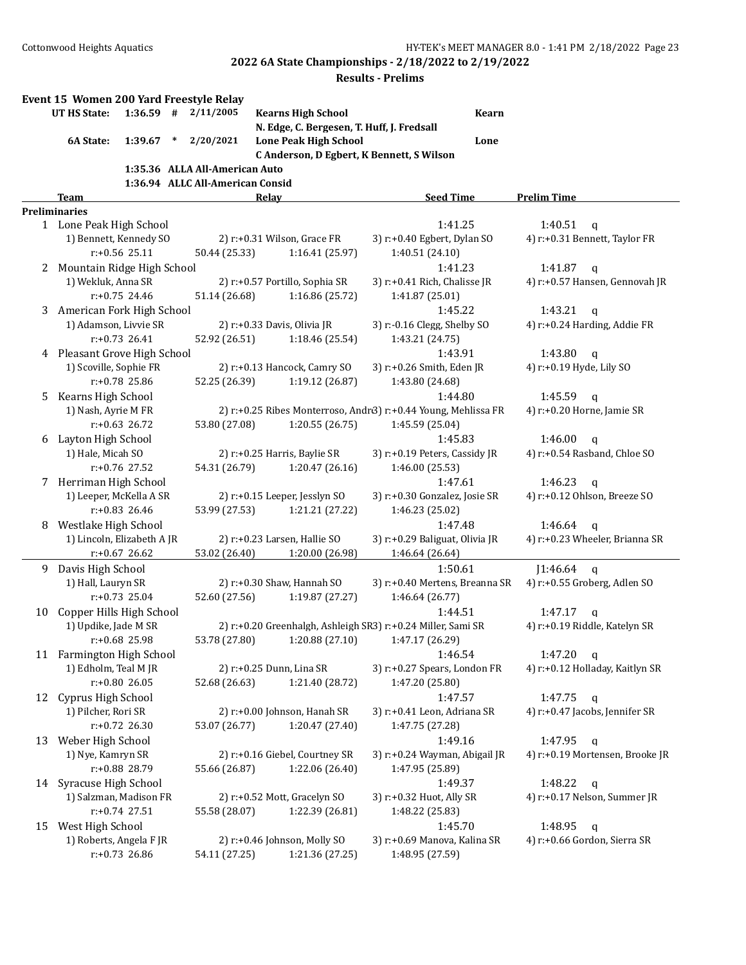|    | Event 15 Women 200 Yard Freestyle Relay |                  |        |                                  |                                            |                                                                |              |                                             |  |
|----|-----------------------------------------|------------------|--------|----------------------------------|--------------------------------------------|----------------------------------------------------------------|--------------|---------------------------------------------|--|
|    | <b>UT HS State:</b>                     | $1:36.59$ #      |        | 2/11/2005                        | <b>Kearns High School</b>                  |                                                                | <b>Kearn</b> |                                             |  |
|    |                                         |                  |        |                                  | N. Edge, C. Bergesen, T. Huff, J. Fredsall |                                                                |              |                                             |  |
|    | 6A State:                               | 1:39.67          | $\ast$ | 2/20/2021                        | <b>Lone Peak High School</b>               |                                                                | Lone         |                                             |  |
|    |                                         |                  |        |                                  |                                            | C Anderson, D Egbert, K Bennett, S Wilson                      |              |                                             |  |
|    |                                         |                  |        | 1:35.36 ALLA All-American Auto   |                                            |                                                                |              |                                             |  |
|    |                                         |                  |        | 1:36.94 ALLC All-American Consid |                                            |                                                                |              |                                             |  |
|    | <b>Team</b>                             |                  |        |                                  | <b>Relay</b>                               | <b>Seed Time</b>                                               |              | <b>Prelim Time</b>                          |  |
|    | <b>Preliminaries</b>                    |                  |        |                                  |                                            |                                                                |              |                                             |  |
|    | 1 Lone Peak High School                 |                  |        |                                  |                                            | 1:41.25                                                        |              | 1:40.51<br>$\mathbf{q}$                     |  |
|    | 1) Bennett, Kennedy SO                  |                  |        |                                  | 2) r:+0.31 Wilson, Grace FR                | 3) r:+0.40 Egbert, Dylan SO                                    |              | 4) r:+0.31 Bennett, Taylor FR               |  |
|    |                                         | $r: +0.56$ 25.11 |        | 50.44 (25.33)                    | 1:16.41 (25.97)                            | 1:40.51 (24.10)                                                |              |                                             |  |
| 2  | Mountain Ridge High School              |                  |        |                                  |                                            | 1:41.23                                                        |              | 1:41.87<br>$\mathbf{q}$                     |  |
|    | 1) Wekluk, Anna SR                      |                  |        |                                  | 2) r:+0.57 Portillo, Sophia SR             | 3) r:+0.41 Rich, Chalisse JR                                   |              | 4) r:+0.57 Hansen, Gennovah JR              |  |
|    |                                         | $r: +0.75$ 24.46 |        | 51.14 (26.68)                    | 1:16.86 (25.72)                            | 1:41.87 (25.01)                                                |              |                                             |  |
| 3  | American Fork High School               |                  |        |                                  |                                            | 1:45.22                                                        |              | 1:43.21<br>$\mathsf{q}$                     |  |
|    | 1) Adamson, Livvie SR                   |                  |        |                                  | 2) r:+0.33 Davis, Olivia JR                | 3) r:-0.16 Clegg, Shelby SO                                    |              | 4) r:+0.24 Harding, Addie FR                |  |
|    |                                         | $r: +0.73$ 26.41 |        | 52.92 (26.51)                    | 1:18.46 (25.54)                            | 1:43.21 (24.75)                                                |              |                                             |  |
| 4  | Pleasant Grove High School              |                  |        |                                  |                                            | 1:43.91                                                        |              | 1:43.80<br>$\mathsf{q}$                     |  |
|    | 1) Scoville, Sophie FR                  |                  |        |                                  | 2) r:+0.13 Hancock, Camry SO               | 3) r:+0.26 Smith, Eden JR                                      |              | 4) r:+0.19 Hyde, Lily SO                    |  |
|    |                                         | $r: +0.78$ 25.86 |        | 52.25 (26.39)                    | 1:19.12 (26.87)                            | 1:43.80 (24.68)                                                |              |                                             |  |
| 5  | Kearns High School                      |                  |        |                                  |                                            | 1:44.80                                                        |              | 1:45.59<br>$\mathsf{q}$                     |  |
|    | 1) Nash, Ayrie M FR                     |                  |        |                                  |                                            | 2) r:+0.25 Ribes Monterroso, Andr3) r:+0.44 Young, Mehlissa FR |              | 4) r:+0.20 Horne, Jamie SR                  |  |
|    |                                         | $r: +0.63$ 26.72 |        | 53.80 (27.08)                    | 1:20.55(26.75)                             | 1:45.59 (25.04)                                                |              |                                             |  |
| 6  | Layton High School                      |                  |        |                                  |                                            | 1:45.83                                                        |              | 1:46.00<br>$\mathbf q$                      |  |
|    | 1) Hale, Micah SO                       |                  |        |                                  | 2) r:+0.25 Harris, Baylie SR               | 3) r:+0.19 Peters, Cassidy JR                                  |              | 4) r:+0.54 Rasband, Chloe SO                |  |
|    |                                         | r:+0.76 27.52    |        | 54.31 (26.79)                    | 1:20.47 (26.16)                            | 1:46.00 (25.53)                                                |              |                                             |  |
|    | Herriman High School                    |                  |        |                                  |                                            | 1:47.61                                                        |              | 1:46.23                                     |  |
| 7  | 1) Leeper, McKella A SR                 |                  |        |                                  | 2) r:+0.15 Leeper, Jesslyn SO              | 3) r:+0.30 Gonzalez, Josie SR                                  |              | $\mathbf q$<br>4) r:+0.12 Ohlson, Breeze SO |  |
|    |                                         | $r: +0.83$ 26.46 |        | 53.99 (27.53)                    | 1:21.21 (27.22)                            | 1:46.23 (25.02)                                                |              |                                             |  |
|    | Westlake High School                    |                  |        |                                  |                                            | 1:47.48                                                        |              | 1:46.64                                     |  |
| 8  | 1) Lincoln, Elizabeth A JR              |                  |        |                                  | 2) r:+0.23 Larsen, Hallie SO               | 3) r:+0.29 Baliguat, Olivia JR                                 |              | q<br>4) r:+0.23 Wheeler, Brianna SR         |  |
|    |                                         | $r: +0.67$ 26.62 |        | 53.02 (26.40)                    | 1:20.00 (26.98)                            | 1:46.64 (26.64)                                                |              |                                             |  |
|    |                                         |                  |        |                                  |                                            | 1:50.61                                                        |              |                                             |  |
| 9  | Davis High School                       |                  |        |                                  |                                            |                                                                |              | J1:46.64<br>$\mathbf q$                     |  |
|    | 1) Hall, Lauryn SR                      | $r: +0.73$ 25.04 |        |                                  | 2) r:+0.30 Shaw, Hannah SO                 | 3) r:+0.40 Mertens, Breanna SR                                 |              | 4) r:+0.55 Groberg, Adlen SO                |  |
|    |                                         |                  |        | 52.60 (27.56)                    | 1:19.87 (27.27)                            | 1:46.64 (26.77)                                                |              |                                             |  |
| 10 | Copper Hills High School                |                  |        |                                  |                                            | 1:44.51                                                        |              | 1:47.17<br>q                                |  |
|    | 1) Updike, Jade M SR                    | r:+0.68 25.98    |        |                                  |                                            | 2) r:+0.20 Greenhalgh, Ashleigh SR3) r:+0.24 Miller, Sami SR   |              | 4) r:+0.19 Riddle, Katelyn SR               |  |
|    |                                         |                  |        |                                  |                                            | 53.78 (27.80) 1:20.88 (27.10) 1:47.17 (26.29)                  |              |                                             |  |
|    | 11 Farmington High School               |                  |        |                                  |                                            | 1:46.54                                                        |              | 1:47.20<br>$\mathbf{q}$                     |  |
|    | 1) Edholm, Teal M JR                    |                  |        |                                  | 2) r:+0.25 Dunn, Lina SR                   | 3) r:+0.27 Spears, London FR                                   |              | 4) r:+0.12 Holladay, Kaitlyn SR             |  |
|    |                                         | r:+0.80 26.05    |        | 52.68 (26.63)                    | 1:21.40 (28.72)                            | 1:47.20 (25.80)                                                |              |                                             |  |
| 12 | Cyprus High School                      |                  |        |                                  |                                            | 1:47.57                                                        |              | 1:47.75<br>$\mathbf{q}$                     |  |
|    | 1) Pilcher, Rori SR                     |                  |        |                                  | 2) r:+0.00 Johnson, Hanah SR               | 3) r:+0.41 Leon, Adriana SR                                    |              | 4) r:+0.47 Jacobs, Jennifer SR              |  |
|    |                                         | $r: +0.72$ 26.30 |        | 53.07 (26.77)                    | 1:20.47 (27.40)                            | 1:47.75 (27.28)                                                |              |                                             |  |
| 13 | Weber High School                       |                  |        |                                  |                                            | 1:49.16                                                        |              | 1:47.95<br>q                                |  |
|    | 1) Nye, Kamryn SR                       |                  |        |                                  | 2) r:+0.16 Giebel, Courtney SR             | 3) r:+0.24 Wayman, Abigail JR                                  |              | 4) r:+0.19 Mortensen, Brooke JR             |  |
|    |                                         | r:+0.88 28.79    |        | 55.66 (26.87)                    | 1:22.06 (26.40)                            | 1:47.95 (25.89)                                                |              |                                             |  |
| 14 | Syracuse High School                    |                  |        |                                  |                                            | 1:49.37                                                        |              | 1:48.22<br>q                                |  |
|    | 1) Salzman, Madison FR                  |                  |        |                                  | 2) r:+0.52 Mott, Gracelyn SO               | 3) r:+0.32 Huot, Ally SR                                       |              | 4) r:+0.17 Nelson, Summer JR                |  |
|    |                                         | $r: +0.74$ 27.51 |        | 55.58 (28.07)                    | 1:22.39 (26.81)                            | 1:48.22 (25.83)                                                |              |                                             |  |
| 15 | West High School                        |                  |        |                                  |                                            | 1:45.70                                                        |              | 1:48.95<br>$\mathbf q$                      |  |
|    | 1) Roberts, Angela F JR                 |                  |        |                                  | 2) r:+0.46 Johnson, Molly SO               | 3) r:+0.69 Manova, Kalina SR                                   |              | 4) r:+0.66 Gordon, Sierra SR                |  |
|    |                                         | r:+0.73 26.86    |        | 54.11 (27.25)                    | 1:21.36 (27.25)                            | 1:48.95 (27.59)                                                |              |                                             |  |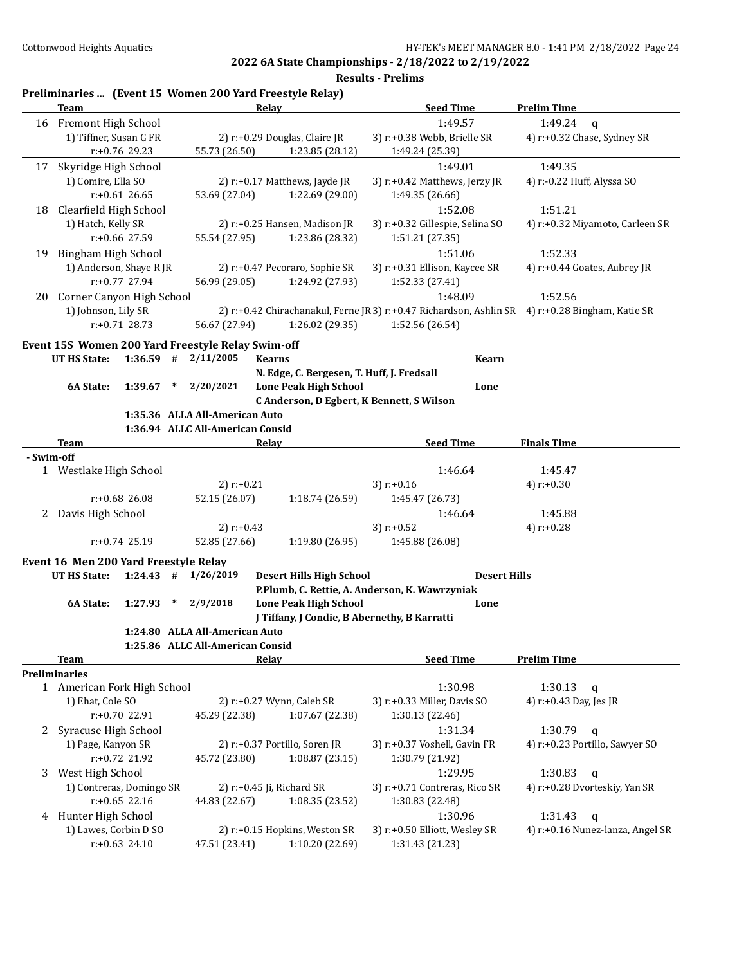**Results - Prelims**

|            | <b>Team</b>               |                  |                                                                | Preliminaries  (Event 15 Women 200 Yard Freestyle Relay)<br>Relay | <b>Seed Time</b>                                                                                | <b>Prelim Time</b>              |
|------------|---------------------------|------------------|----------------------------------------------------------------|-------------------------------------------------------------------|-------------------------------------------------------------------------------------------------|---------------------------------|
|            | 16 Fremont High School    |                  |                                                                |                                                                   | 1:49.57                                                                                         | 1:49.24<br>$\mathbf{q}$         |
|            | 1) Tiffner, Susan G FR    |                  |                                                                | 2) r:+0.29 Douglas, Claire JR                                     | 3) r:+0.38 Webb, Brielle SR                                                                     | 4) r:+0.32 Chase, Sydney SR     |
|            |                           | r:+0.76 29.23    | 55.73 (26.50)                                                  | 1:23.85 (28.12)                                                   | 1:49.24 (25.39)                                                                                 |                                 |
| 17         | Skyridge High School      |                  |                                                                |                                                                   | 1:49.01                                                                                         | 1:49.35                         |
|            | 1) Comire, Ella SO        |                  |                                                                | 2) r:+0.17 Matthews, Jayde JR                                     | 3) r:+0.42 Matthews, Jerzy JR                                                                   | 4) r:-0.22 Huff, Alyssa SO      |
|            |                           | $r: +0.61$ 26.65 | 53.69 (27.04)                                                  | 1:22.69 (29.00)                                                   | 1:49.35 (26.66)                                                                                 |                                 |
|            | 18 Clearfield High School |                  |                                                                |                                                                   | 1:52.08                                                                                         | 1:51.21                         |
|            | 1) Hatch, Kelly SR        |                  |                                                                | 2) r:+0.25 Hansen, Madison JR                                     | 3) r:+0.32 Gillespie, Selina SO                                                                 | 4) r:+0.32 Miyamoto, Carleen SR |
|            |                           | r:+0.66 27.59    | 55.54 (27.95)                                                  | 1:23.86 (28.32)                                                   | 1:51.21 (27.35)                                                                                 |                                 |
|            | 19 Bingham High School    |                  |                                                                |                                                                   | 1:51.06                                                                                         | 1:52.33                         |
|            | 1) Anderson, Shaye R JR   |                  |                                                                | 2) r:+0.47 Pecoraro, Sophie SR                                    | 3) r:+0.31 Ellison, Kaycee SR                                                                   | 4) r:+0.44 Goates, Aubrey JR    |
|            |                           | $r: +0.77$ 27.94 | 56.99 (29.05)                                                  | 1:24.92 (27.93)                                                   | 1:52.33 (27.41)                                                                                 |                                 |
| 20         | Corner Canyon High School |                  |                                                                |                                                                   | 1:48.09                                                                                         | 1:52.56                         |
|            | 1) Johnson, Lily SR       |                  |                                                                |                                                                   | 2) r:+0.42 Chirachanakul, Ferne JR3) r:+0.47 Richardson, Ashlin SR 4) r:+0.28 Bingham, Katie SR |                                 |
|            |                           | $r: +0.71$ 28.73 | 56.67 (27.94)                                                  | 1:26.02 (29.35)                                                   | 1:52.56 (26.54)                                                                                 |                                 |
|            |                           |                  |                                                                |                                                                   |                                                                                                 |                                 |
|            | <b>UT HS State:</b>       | $1:36.59$ #      | Event 15S Women 200 Yard Freestyle Relay Swim-off<br>2/11/2005 | <b>Kearns</b>                                                     | <b>Kearn</b>                                                                                    |                                 |
|            |                           |                  |                                                                | N. Edge, C. Bergesen, T. Huff, J. Fredsall                        |                                                                                                 |                                 |
|            | 6A State:                 | $1:39.67$ *      | 2/20/2021                                                      | <b>Lone Peak High School</b>                                      | Lone                                                                                            |                                 |
|            |                           |                  |                                                                | C Anderson, D Egbert, K Bennett, S Wilson                         |                                                                                                 |                                 |
|            |                           |                  | 1:35.36 ALLA All-American Auto                                 |                                                                   |                                                                                                 |                                 |
|            |                           |                  | 1:36.94 ALLC All-American Consid                               |                                                                   |                                                                                                 |                                 |
|            | <b>Team</b>               |                  |                                                                | <b>Relay</b>                                                      | <b>Seed Time</b>                                                                                | <b>Finals Time</b>              |
| - Swim-off |                           |                  |                                                                |                                                                   |                                                                                                 |                                 |
|            | 1 Westlake High School    |                  |                                                                |                                                                   | 1:46.64                                                                                         | 1:45.47                         |
|            |                           |                  | 2) $r: +0.21$                                                  |                                                                   | 3) $r: +0.16$                                                                                   | 4) $r: +0.30$                   |
|            |                           | $r: +0.68$ 26.08 | 52.15 (26.07)                                                  | 1:18.74 (26.59)                                                   | 1:45.47 (26.73)                                                                                 |                                 |
| 2          | Davis High School         |                  |                                                                |                                                                   | 1:46.64                                                                                         | 1:45.88                         |
|            |                           |                  | 2) $r: +0.43$                                                  |                                                                   | 3) $r: +0.52$                                                                                   | 4) $r: +0.28$                   |
|            |                           | $r: +0.74$ 25.19 | 52.85 (27.66)                                                  | 1:19.80 (26.95)                                                   | 1:45.88 (26.08)                                                                                 |                                 |
|            |                           |                  | Event 16 Men 200 Yard Freestyle Relay                          |                                                                   |                                                                                                 |                                 |
|            | <b>UT HS State:</b>       | $1:24.43$ #      | 1/26/2019                                                      | <b>Desert Hills High School</b>                                   | <b>Desert Hills</b>                                                                             |                                 |
|            |                           |                  |                                                                |                                                                   | P.Plumb, C. Rettie, A. Anderson, K. Wawrzyniak                                                  |                                 |
|            | 6A State:                 | 1:27.93          | 2/9/2018<br>$\ast$                                             | <b>Lone Peak High School</b>                                      | Lone                                                                                            |                                 |
|            |                           |                  |                                                                | J Tiffany, J Condie, B Abernethy, B Karratti                      |                                                                                                 |                                 |
|            |                           |                  | 1:24.80 ALLA All-American Auto                                 |                                                                   |                                                                                                 |                                 |
|            |                           |                  | 1:25.86 ALLC All-American Consid                               |                                                                   |                                                                                                 |                                 |
|            | <b>Team</b>               |                  |                                                                | <b>Relay</b>                                                      | <b>Seed Time</b>                                                                                | <b>Prelim Time</b>              |
|            | Preliminaries             |                  |                                                                |                                                                   |                                                                                                 |                                 |

#### 1 American Fork High School 1:30.98 1:30.13 q 1) Ehat, Cole SO 2) r:+0.27 Wynn, Caleb SR 3) r:+0.33 Miller, Davis SO 4) r:+0.43 Day, Jes JR r:+0.70 22.91 45.29 (22.38) 1:07.67 (22.38) 1:30.13 (22.46) 2 Syracuse High School 1:31.34 1:30.79 q 1) Page, Kanyon SR 2) r:+0.37 Portillo, Soren JR 3) r:+0.37 Voshell, Gavin FR 4) r:+0.23 Portillo, Sawyer SO r:+0.72 21.92 45.72 (23.80) 1:08.87 (23.15) 1:30.79 (21.92) 3 West High School 2012 1:29.95 1:30.83 q 1) Contreras, Domingo SR 2) r:+0.45 Ji, Richard SR 3) r:+0.71 Contreras, Rico SR 4) r:+0.28 Dvorteskiy, Yan SR r:+0.65 22.16 44.83 (22.67) 1:08.35 (23.52) 1:30.83 (22.48) 4 Hunter High School 1:30.96 1:31.43 q 1) Lawes, Corbin D SO 2) r:+0.15 Hopkins, Weston SR 3) r:+0.50 Elliott, Wesley SR 4) r:+0.16 Nunez-lanza, Angel SR r:+0.63 24.10 47.51 (23.41) 1:10.20 (22.69) 1:31.43 (21.23)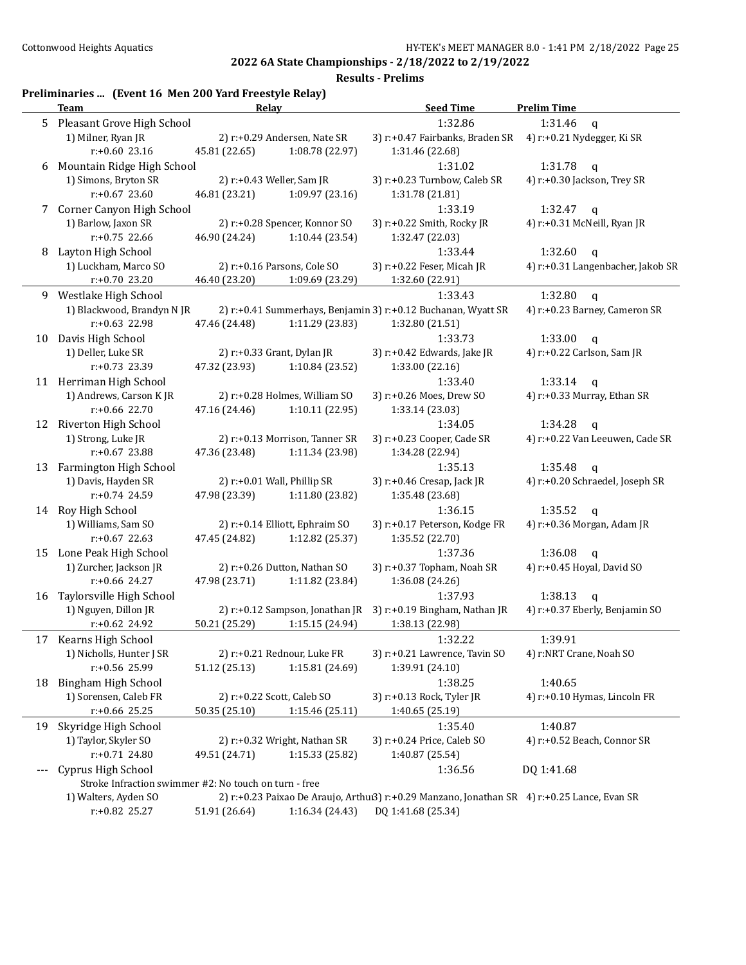|     | Preliminaries  (Event 16 Men 200 Yard Freestyle Relay)                        |               |                                 |                                                                                              |                                   |
|-----|-------------------------------------------------------------------------------|---------------|---------------------------------|----------------------------------------------------------------------------------------------|-----------------------------------|
|     | <b>Team</b>                                                                   |               | Relay                           | <b>Seed Time</b>                                                                             | <b>Prelim Time</b>                |
|     | 5 Pleasant Grove High School                                                  |               |                                 | 1:32.86                                                                                      | 1:31.46<br>$\mathbf{q}$           |
|     | 1) Milner, Ryan JR                                                            |               | 2) r:+0.29 Andersen, Nate SR    | 3) r:+0.47 Fairbanks, Braden SR                                                              | 4) r:+0.21 Nydegger, Ki SR        |
|     | $r: +0.60$ 23.16                                                              | 45.81 (22.65) | 1:08.78 (22.97)                 | 1:31.46 (22.68)                                                                              |                                   |
| 6   | Mountain Ridge High School                                                    |               |                                 | 1:31.02                                                                                      | 1:31.78<br>$\mathbf q$            |
|     | 1) Simons, Bryton SR                                                          |               | 2) r:+0.43 Weller, Sam JR       | 3) r:+0.23 Turnbow, Caleb SR                                                                 | 4) r:+0.30 Jackson, Trey SR       |
|     | $r: +0.67$ 23.60                                                              | 46.81 (23.21) | 1:09.97 (23.16)                 | 1:31.78 (21.81)                                                                              |                                   |
| 7   | Corner Canyon High School                                                     |               |                                 | 1:33.19                                                                                      | 1:32.47<br>$\mathsf{q}$           |
|     | 1) Barlow, Jaxon SR                                                           |               | 2) r:+0.28 Spencer, Konnor SO   | 3) r:+0.22 Smith, Rocky JR                                                                   | 4) r:+0.31 McNeill, Ryan JR       |
|     | $r: +0.75$ 22.66                                                              | 46.90 (24.24) | 1:10.44(23.54)                  | 1:32.47 (22.03)                                                                              |                                   |
| 8   | Layton High School                                                            |               |                                 | 1:33.44                                                                                      | 1:32.60<br>$\mathbf{q}$           |
|     | 1) Luckham, Marco SO                                                          |               | 2) r:+0.16 Parsons, Cole SO     | 3) r:+0.22 Feser, Micah JR                                                                   | 4) r:+0.31 Langenbacher, Jakob SR |
|     | $r: +0.70$ 23.20                                                              | 46.40 (23.20) | 1:09.69 (23.29)                 | 1:32.60 (22.91)                                                                              |                                   |
| 9.  | Westlake High School                                                          |               |                                 | 1:33.43                                                                                      | 1:32.80<br>$\mathbf{q}$           |
|     | 1) Blackwood, Brandyn N JR                                                    |               |                                 | 2) r:+0.41 Summerhays, Benjamin 3) r:+0.12 Buchanan, Wyatt SR                                | 4) r:+0.23 Barney, Cameron SR     |
|     | r:+0.63 22.98                                                                 | 47.46 (24.48) | 1:11.29 (23.83)                 | 1:32.80 (21.51)                                                                              |                                   |
| 10  | Davis High School                                                             |               |                                 | 1:33.73                                                                                      | 1:33.00<br>$\mathbf q$            |
|     | 1) Deller, Luke SR                                                            |               | 2) r:+0.33 Grant, Dylan JR      | 3) r:+0.42 Edwards, Jake JR                                                                  | 4) r:+0.22 Carlson, Sam JR        |
|     | r:+0.73 23.39                                                                 | 47.32 (23.93) | 1:10.84 (23.52)                 | 1:33.00 (22.16)                                                                              |                                   |
|     | 11 Herriman High School                                                       |               |                                 | 1:33.40                                                                                      | 1:33.14<br>$\mathbf q$            |
|     | 1) Andrews, Carson KJR                                                        |               | 2) r:+0.28 Holmes, William SO   | 3) r:+0.26 Moes, Drew SO                                                                     | 4) r:+0.33 Murray, Ethan SR       |
|     | r:+0.66 22.70                                                                 | 47.16 (24.46) | 1:10.11 (22.95)                 | 1:33.14 (23.03)                                                                              |                                   |
|     | 12 Riverton High School                                                       |               |                                 | 1:34.05                                                                                      | 1:34.28<br>$\mathbf q$            |
|     | 1) Strong, Luke JR                                                            |               | 2) r:+0.13 Morrison, Tanner SR  | 3) r:+0.23 Cooper, Cade SR                                                                   | 4) r:+0.22 Van Leeuwen, Cade SR   |
|     | r:+0.67 23.88                                                                 | 47.36 (23.48) | 1:11.34 (23.98)                 | 1:34.28 (22.94)                                                                              |                                   |
| 13  | Farmington High School                                                        |               |                                 | 1:35.13                                                                                      | 1:35.48<br>$\mathbf{q}$           |
|     | 1) Davis, Hayden SR                                                           |               | 2) r:+0.01 Wall, Phillip SR     | 3) r:+0.46 Cresap, Jack JR                                                                   | 4) r:+0.20 Schraedel, Joseph SR   |
|     | $r: +0.74$ 24.59                                                              | 47.98 (23.39) | 1:11.80 (23.82)                 | 1:35.48 (23.68)                                                                              |                                   |
| 14  | Roy High School                                                               |               |                                 | 1:36.15                                                                                      | 1:35.52<br>$\mathbf q$            |
|     | 1) Williams, Sam SO                                                           |               | 2) r:+0.14 Elliott, Ephraim SO  | 3) r:+0.17 Peterson, Kodge FR                                                                | 4) r:+0.36 Morgan, Adam JR        |
|     | $r: +0.67$ 22.63                                                              | 47.45 (24.82) | 1:12.82 (25.37)                 | 1:35.52 (22.70)                                                                              |                                   |
|     | 15 Lone Peak High School                                                      |               |                                 | 1:37.36                                                                                      | 1:36.08<br>$\mathbf q$            |
|     | 1) Zurcher, Jackson JR                                                        |               | 2) r:+0.26 Dutton, Nathan SO    | 3) r:+0.37 Topham, Noah SR                                                                   | 4) r:+0.45 Hoyal, David SO        |
|     | $r: +0.66$ 24.27                                                              | 47.98 (23.71) | 1:11.82 (23.84)                 | 1:36.08 (24.26)                                                                              |                                   |
| 16  | Taylorsville High School                                                      |               |                                 | 1:37.93                                                                                      | 1:38.13<br>$\mathbf q$            |
|     | 1) Nguyen, Dillon JR                                                          |               | 2) r:+0.12 Sampson, Jonathan JR | 3) r:+0.19 Bingham, Nathan JR                                                                | 4) r:+0.37 Eberly, Benjamin SO    |
|     | $r: +0.62$ 24.92                                                              | 50.21 (25.29) | 1:15.15 (24.94)                 | 1:38.13 (22.98)                                                                              |                                   |
| 17  | Kearns High School                                                            |               |                                 | 1:32.22                                                                                      | 1:39.91                           |
|     | 1) Nicholls, Hunter J SR<br>r:+0.56 25.99                                     |               | 2) r:+0.21 Rednour, Luke FR     | 3) r:+0.21 Lawrence, Tavin SO<br>1:39.91 (24.10)                                             | 4) r:NRT Crane, Noah SO           |
|     |                                                                               | 51.12 (25.13) | 1:15.81 (24.69)                 |                                                                                              |                                   |
| 18  | Bingham High School                                                           |               |                                 | 1:38.25                                                                                      | 1:40.65                           |
|     | 1) Sorensen, Caleb FR<br>r:+0.66 25.25                                        |               | 2) r:+0.22 Scott, Caleb SO      | 3) r:+0.13 Rock, Tyler JR<br>1:40.65 (25.19)                                                 | 4) r:+0.10 Hymas, Lincoln FR      |
|     |                                                                               | 50.35 (25.10) | 1:15.46 (25.11)                 |                                                                                              |                                   |
| 19  | Skyridge High School                                                          |               |                                 | 1:35.40                                                                                      | 1:40.87                           |
|     | 1) Taylor, Skyler SO<br>$r: +0.71$ 24.80                                      |               | 2) r:+0.32 Wright, Nathan SR    | 3) r:+0.24 Price, Caleb SO                                                                   | 4) r:+0.52 Beach, Connor SR       |
|     |                                                                               | 49.51 (24.71) | 1:15.33 (25.82)                 | 1:40.87 (25.54)                                                                              |                                   |
| --- | Cyprus High School                                                            |               |                                 | 1:36.56                                                                                      | DQ 1:41.68                        |
|     | Stroke Infraction swimmer #2: No touch on turn - free<br>1) Walters, Ayden SO |               |                                 | 2) r:+0.23 Paixao De Araujo, Arthui3) r:+0.29 Manzano, Jonathan SR 4) r:+0.25 Lance, Evan SR |                                   |
|     | r:+0.82 25.27                                                                 | 51.91 (26.64) | 1:16.34 (24.43)                 | DQ 1:41.68 (25.34)                                                                           |                                   |
|     |                                                                               |               |                                 |                                                                                              |                                   |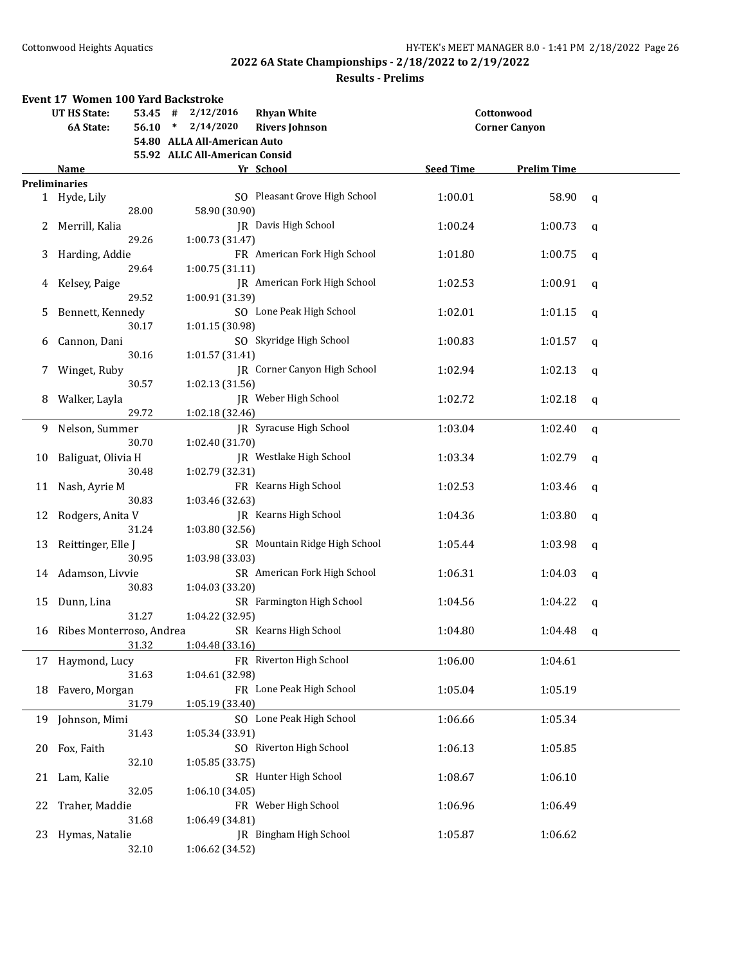|    | Event 17 Women 100 Yard Backstroke |           |                                |                               |                  |                      |             |
|----|------------------------------------|-----------|--------------------------------|-------------------------------|------------------|----------------------|-------------|
|    | <b>UT HS State:</b>                | $53.45$ # | 2/12/2016                      | <b>Rhyan White</b>            |                  | Cottonwood           |             |
|    | 6A State:                          | $56.10*$  | 2/14/2020                      | <b>Rivers Johnson</b>         |                  | <b>Corner Canyon</b> |             |
|    |                                    |           | 54.80 ALLA All-American Auto   |                               |                  |                      |             |
|    |                                    |           | 55.92 ALLC All-American Consid |                               |                  |                      |             |
|    | Name                               |           |                                | Yr School                     | <b>Seed Time</b> | <b>Prelim Time</b>   |             |
|    | <b>Preliminaries</b>               |           |                                |                               |                  |                      |             |
|    | 1 Hyde, Lily                       |           |                                | SO Pleasant Grove High School | 1:00.01          | 58.90                | q           |
|    |                                    | 28.00     | 58.90 (30.90)                  |                               |                  |                      |             |
|    | 2 Merrill, Kalia                   |           |                                | JR Davis High School          | 1:00.24          | 1:00.73              | q           |
|    |                                    | 29.26     | 1:00.73 (31.47)                |                               |                  |                      |             |
| 3  | Harding, Addie                     |           |                                | FR American Fork High School  | 1:01.80          | 1:00.75              | q           |
|    |                                    | 29.64     | 1:00.75(31.11)                 |                               |                  |                      |             |
| 4  | Kelsey, Paige                      |           |                                | JR American Fork High School  | 1:02.53          | 1:00.91              | q           |
|    |                                    | 29.52     | 1:00.91 (31.39)                |                               |                  |                      |             |
| 5  | Bennett, Kennedy                   |           |                                | SO Lone Peak High School      | 1:02.01          | 1:01.15              | q           |
|    |                                    | 30.17     | 1:01.15 (30.98)                |                               |                  |                      |             |
| 6  | Cannon, Dani                       |           |                                | SO Skyridge High School       | 1:00.83          | 1:01.57              | q           |
|    |                                    | 30.16     | 1:01.57 (31.41)                |                               |                  |                      |             |
|    |                                    |           |                                | JR Corner Canyon High School  |                  |                      |             |
| 7  | Winget, Ruby                       |           |                                |                               | 1:02.94          | 1:02.13              | $\mathbf q$ |
|    |                                    | 30.57     | 1:02.13 (31.56)                |                               |                  |                      |             |
| 8  | Walker, Layla                      |           |                                | JR Weber High School          | 1:02.72          | 1:02.18              | q           |
|    |                                    | 29.72     | 1:02.18 (32.46)                |                               |                  |                      |             |
| 9. | Nelson, Summer                     |           |                                | JR Syracuse High School       | 1:03.04          | 1:02.40              | $\mathbf q$ |
|    |                                    | 30.70     | 1:02.40 (31.70)                |                               |                  |                      |             |
| 10 | Baliguat, Olivia H                 |           |                                | JR Westlake High School       | 1:03.34          | 1:02.79              | q           |
|    |                                    | 30.48     | 1:02.79 (32.31)                |                               |                  |                      |             |
| 11 | Nash, Ayrie M                      |           |                                | FR Kearns High School         | 1:02.53          | 1:03.46              | q           |
|    |                                    | 30.83     | 1:03.46 (32.63)                |                               |                  |                      |             |
| 12 | Rodgers, Anita V                   |           |                                | JR Kearns High School         | 1:04.36          | 1:03.80              | q           |
|    |                                    | 31.24     | 1:03.80 (32.56)                |                               |                  |                      |             |
|    |                                    |           |                                | SR Mountain Ridge High School |                  |                      |             |
| 13 | Reittinger, Elle J                 |           |                                |                               | 1:05.44          | 1:03.98              | q           |
|    |                                    | 30.95     | 1:03.98 (33.03)                |                               |                  |                      |             |
| 14 | Adamson, Livvie                    |           |                                | SR American Fork High School  | 1:06.31          | 1:04.03              | q           |
|    |                                    | 30.83     | 1:04.03 (33.20)                |                               |                  |                      |             |
| 15 | Dunn, Lina                         |           |                                | SR Farmington High School     | 1:04.56          | 1:04.22              | q           |
|    |                                    | 31.27     | 1:04.22 (32.95)                |                               |                  |                      |             |
|    | 16 Ribes Monterroso, Andrea        |           |                                | SR Kearns High School         | 1:04.80          | 1:04.48              | q           |
|    |                                    | 31.32     | 1:04.48 (33.16)                |                               |                  |                      |             |
|    | 17 Haymond, Lucy                   |           |                                | FR Riverton High School       | 1:06.00          | 1:04.61              |             |
|    |                                    | 31.63     | 1:04.61 (32.98)                |                               |                  |                      |             |
| 18 | Favero, Morgan                     |           |                                | FR Lone Peak High School      | 1:05.04          | 1:05.19              |             |
|    |                                    | 31.79     | 1:05.19 (33.40)                |                               |                  |                      |             |
| 19 | Johnson, Mimi                      |           |                                | SO Lone Peak High School      | 1:06.66          | 1:05.34              |             |
|    |                                    | 31.43     | 1:05.34 (33.91)                |                               |                  |                      |             |
|    |                                    |           |                                |                               |                  |                      |             |
| 20 | Fox, Faith                         |           |                                | SO Riverton High School       | 1:06.13          | 1:05.85              |             |
|    |                                    | 32.10     | 1:05.85(33.75)                 |                               |                  |                      |             |
| 21 | Lam, Kalie                         |           |                                | SR Hunter High School         | 1:08.67          | 1:06.10              |             |
|    |                                    | 32.05     | 1:06.10 (34.05)                |                               |                  |                      |             |
| 22 | Traher, Maddie                     |           |                                | FR Weber High School          | 1:06.96          | 1:06.49              |             |
|    |                                    | 31.68     | 1:06.49 (34.81)                |                               |                  |                      |             |
| 23 | Hymas, Natalie                     |           |                                | JR Bingham High School        | 1:05.87          | 1:06.62              |             |
|    |                                    | 32.10     | 1:06.62 (34.52)                |                               |                  |                      |             |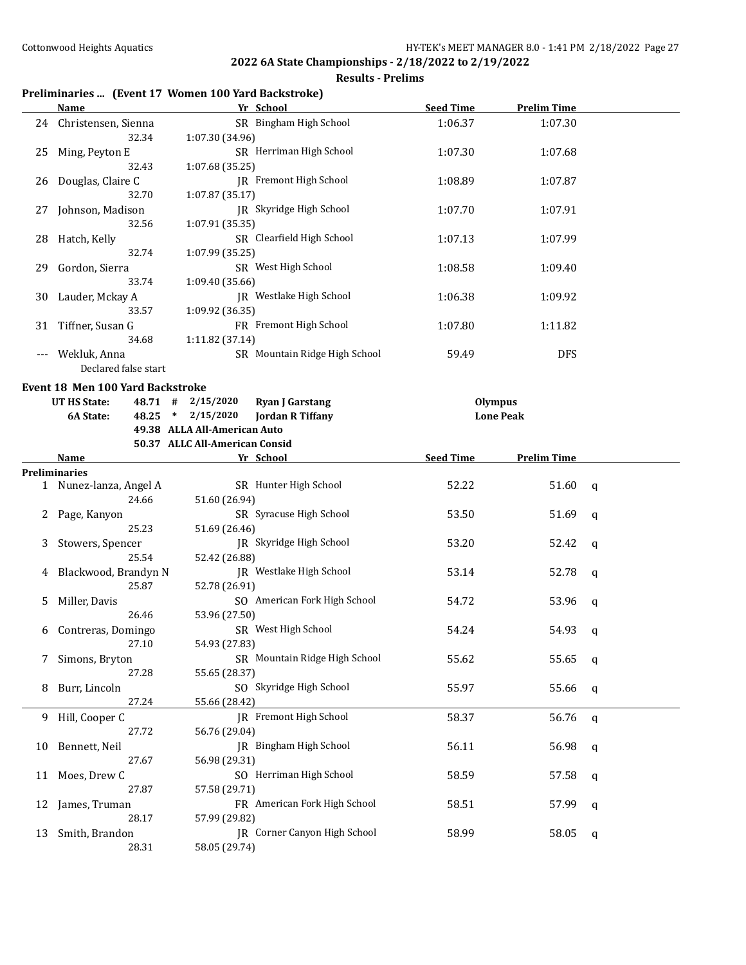#### **Results - Prelims**

## **Preliminaries ... (Event 17 Women 100 Yard Backstroke)**

|    | <b>Name</b>                          | Yr School                                                 | <b>Seed Time</b> | <b>Prelim Time</b> |              |
|----|--------------------------------------|-----------------------------------------------------------|------------------|--------------------|--------------|
|    | 24 Christensen, Sienna<br>32.34      | SR Bingham High School<br>1:07.30 (34.96)                 | 1:06.37          | 1:07.30            |              |
| 25 | Ming, Peyton E                       | SR Herriman High School                                   | 1:07.30          | 1:07.68            |              |
| 26 | 32.43<br>Douglas, Claire C           | 1:07.68 (35.25)<br>JR Fremont High School                 | 1:08.89          | 1:07.87            |              |
| 27 | 32.70<br>Johnson, Madison            | 1:07.87 (35.17)<br>JR Skyridge High School                | 1:07.70          | 1:07.91            |              |
|    | 32.56<br>28 Hatch, Kelly<br>32.74    | 1:07.91 (35.35)<br>SR Clearfield High School              | 1:07.13          | 1:07.99            |              |
| 29 | Gordon, Sierra<br>33.74              | 1:07.99 (35.25)<br>SR West High School<br>1:09.40 (35.66) | 1:08.58          | 1:09.40            |              |
| 30 | Lauder, Mckay A<br>33.57             | JR Westlake High School<br>1:09.92 (36.35)                | 1:06.38          | 1:09.92            |              |
| 31 | Tiffner, Susan G<br>34.68            | FR Fremont High School<br>1:11.82 (37.14)                 | 1:07.80          | 1:11.82            |              |
|    | Wekluk, Anna<br>Declared false start | SR Mountain Ridge High School                             | 59.49            | <b>DFS</b>         |              |
|    | Event 18 Men 100 Yard Backstroke     |                                                           |                  |                    |              |
|    | UT HS State:                         | $48.71$ # $2/15/2020$<br><b>Ryan J Garstang</b>           | <b>Olympus</b>   |                    |              |
|    | 6A State:                            | 48.25 * 2/15/2020<br><b>Jordan R Tiffany</b>              |                  | <b>Lone Peak</b>   |              |
|    |                                      | 49.38 ALLA All-American Auto                              |                  |                    |              |
|    |                                      | 50.37 ALLC All-American Consid                            |                  |                    |              |
|    | Name                                 | Yr School                                                 | <b>Seed Time</b> | <b>Prelim Time</b> |              |
|    | <b>Preliminaries</b>                 |                                                           |                  |                    |              |
|    | 1 Nunez-lanza, Angel A<br>24.66      | SR Hunter High School<br>51.60 (26.94)                    | 52.22            | 51.60              | q            |
| 2  | Page, Kanyon<br>25.23                | SR Syracuse High School<br>51.69 (26.46)                  | 53.50            | 51.69              | q            |
| 3  | Stowers, Spencer<br>25.54            | JR Skyridge High School<br>52.42 (26.88)                  | 53.20            | 52.42              | q            |
| 4  | Blackwood, Brandyn N<br>25.87        | JR Westlake High School<br>52.78 (26.91)                  | 53.14            | 52.78              | q            |
| 5  | Miller, Davis<br>26.46               | SO American Fork High School<br>53.96 (27.50)             | 54.72            | 53.96              | q            |
| 6  | Contreras, Domingo<br>27.10          | SR West High School<br>54.93 (27.83)                      | 54.24            | 54.93              | q            |
|    | Simons, Bryton<br>27.28              | SR Mountain Ridge High School<br>55.65 (28.37)            | 55.62            | 55.65              | q            |
| 8  | Burr, Lincoln<br>27.24               | SO Skyridge High School<br>55.66 (28.42)                  | 55.97            | 55.66              | q            |
| 9  | Hill, Cooper C<br>27.72              | JR Fremont High School<br>56.76 (29.04)                   | 58.37            | 56.76              | $\mathsf{q}$ |
| 10 | Bennett, Neil<br>27.67               | JR Bingham High School<br>56.98 (29.31)                   | 56.11            | 56.98              | q            |
| 11 | Moes, Drew C<br>27.87                | SO Herriman High School<br>57.58 (29.71)                  | 58.59            | 57.58              | q            |
| 12 | James, Truman<br>28.17               | FR American Fork High School<br>57.99 (29.82)             | 58.51            | 57.99              | q            |
| 13 | Smith, Brandon<br>28.31              | JR Corner Canyon High School<br>58.05 (29.74)             | 58.99            | 58.05              | q            |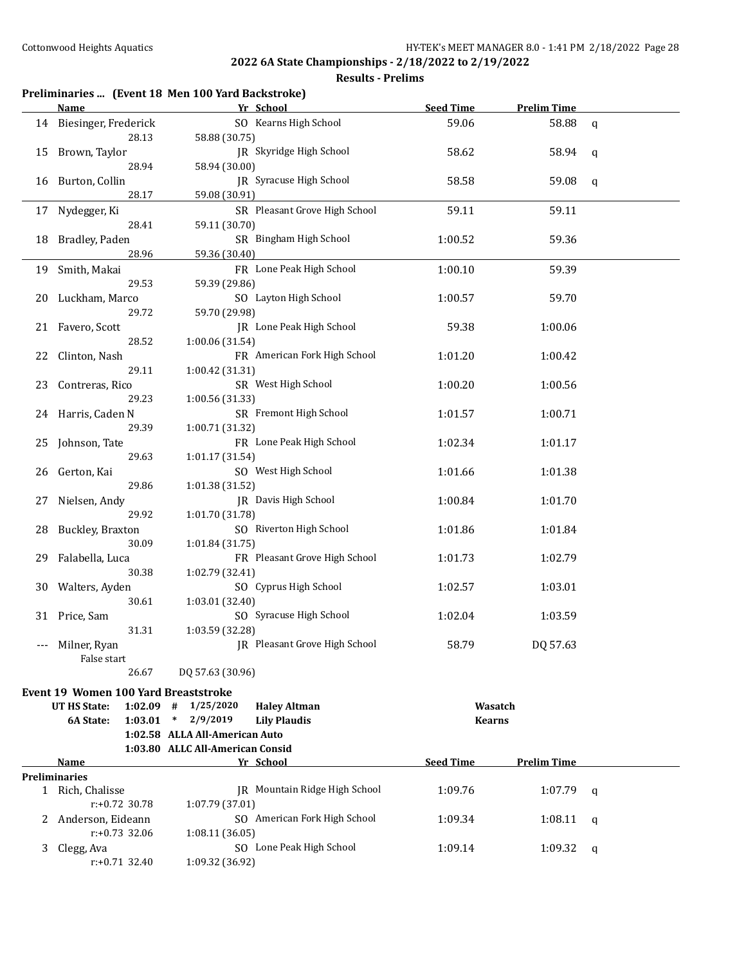|    |                                       | Preliminaries  (Event 18 Men 100 Yard Backstroke) |                                          |                    |   |
|----|---------------------------------------|---------------------------------------------------|------------------------------------------|--------------------|---|
|    | Name                                  | Yr School                                         | <b>Seed Time</b>                         | <b>Prelim Time</b> |   |
|    | 14 Biesinger, Frederick<br>28.13      | SO Kearns High School<br>58.88 (30.75)            | 59.06                                    | 58.88              | q |
|    | 15 Brown, Taylor<br>28.94             | JR Skyridge High School<br>58.94 (30.00)          | 58.62                                    | 58.94              | q |
| 16 | Burton, Collin<br>28.17               | JR Syracuse High School<br>59.08 (30.91)          | 58.58                                    | 59.08              | q |
|    | 17 Nydegger, Ki<br>28.41              | SR Pleasant Grove High School<br>59.11 (30.70)    | 59.11                                    | 59.11              |   |
| 18 | Bradley, Paden<br>28.96               | SR Bingham High School<br>59.36 (30.40)           | 1:00.52                                  | 59.36              |   |
| 19 | Smith, Makai<br>29.53                 | FR Lone Peak High School<br>59.39 (29.86)         | 1:00.10                                  | 59.39              |   |
| 20 | Luckham, Marco<br>29.72               | SO Layton High School<br>59.70 (29.98)            | 1:00.57                                  | 59.70              |   |
| 21 | Favero, Scott<br>28.52                | JR Lone Peak High School<br>1:00.06 (31.54)       | 59.38                                    | 1:00.06            |   |
| 22 | Clinton, Nash<br>29.11                | FR American Fork High School<br>1:00.42 (31.31)   | 1:01.20                                  | 1:00.42            |   |
| 23 | Contreras, Rico<br>29.23              | SR West High School<br>1:00.56 (31.33)            | 1:00.20                                  | 1:00.56            |   |
|    | 24 Harris, Caden N<br>29.39           | SR Fremont High School<br>1:00.71 (31.32)         | 1:01.57                                  | 1:00.71            |   |
| 25 | Johnson, Tate<br>29.63                | FR Lone Peak High School<br>1:01.17 (31.54)       | 1:02.34                                  | 1:01.17            |   |
| 26 | Gerton, Kai<br>29.86                  | SO West High School<br>1:01.38 (31.52)            | 1:01.66                                  | 1:01.38            |   |
| 27 | Nielsen, Andy<br>29.92                | JR Davis High School<br>1:01.70 (31.78)           | 1:00.84                                  | 1:01.70            |   |
| 28 | Buckley, Braxton<br>30.09             | SO Riverton High School<br>1:01.84 (31.75)        | 1:01.86                                  | 1:01.84            |   |
| 29 | Falabella, Luca<br>30.38              | FR Pleasant Grove High School<br>1:02.79 (32.41)  | 1:01.73                                  | 1:02.79            |   |
| 30 | Walters, Ayden<br>30.61               | SO Cyprus High School<br>1:03.01 (32.40)          | 1:02.57                                  | 1:03.01            |   |
|    | 31 Price, Sam<br>31.31                | SO Syracuse High School<br>1:03.59 (32.28)        | 1:02.04                                  | 1:03.59            |   |
|    | Milner, Ryan<br>False start           | JR Pleasant Grove High School                     | 58.79                                    | DQ 57.63           |   |
|    | 26.67                                 | DQ 57.63 (30.96)                                  |                                          |                    |   |
|    | Event 19 Women 100 Yard Breaststroke  |                                                   |                                          |                    |   |
|    | <b>UT HS State:</b><br>$1:02.09$ #    | 1/25/2020<br><b>Haley Altman</b>                  |                                          | Wasatch            |   |
|    | 1:03.01<br>6A State:                  | 2/9/2019<br>$\ast$<br><b>Lily Plaudis</b>         |                                          | <b>Kearns</b>      |   |
|    |                                       | 1:02.58 ALLA All-American Auto                    |                                          |                    |   |
|    |                                       | 1:03.80 ALLC All-American Consid                  |                                          |                    |   |
|    | Name<br><b>Preliminaries</b>          | Yr School                                         | <b>Seed Time</b>                         | <b>Prelim Time</b> |   |
|    | 1 Rich, Chalisse<br>$r: +0.72$ 30.78  | 1:07.79 (37.01)                                   | JR Mountain Ridge High School<br>1:09.76 | 1:07.79            | q |
| 2. | Anderson, Eideann<br>$r: +0.73$ 32.06 | SO American Fork High School<br>1:08.11 (36.05)   | 1:09.34                                  | 1:08.11            | q |
| 3  | Clegg, Ava<br>$r: +0.71$ 32.40        | SO Lone Peak High School<br>1:09.32 (36.92)       | 1:09.14                                  | 1:09.32            | q |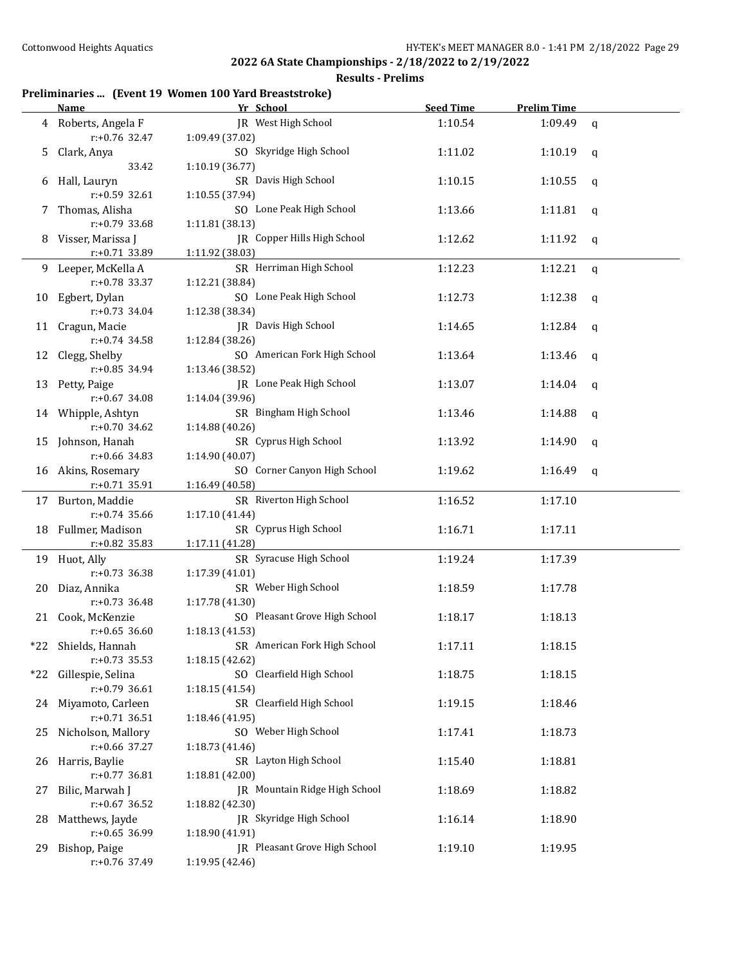#### **Results - Prelims**

## **Preliminaries ... (Event 19 Women 100 Yard Breaststroke)**

|     | <u>Name</u>                         | Yr School                                               | <b>Seed Time</b> | <b>Prelim Time</b> |             |
|-----|-------------------------------------|---------------------------------------------------------|------------------|--------------------|-------------|
| 4   | Roberts, Angela F                   | JR West High School                                     | 1:10.54          | 1:09.49            | $\mathbf q$ |
|     | $r: +0.76$ 32.47                    | 1:09.49 (37.02)                                         |                  |                    |             |
| 5   | Clark, Anya                         | SO Skyridge High School                                 | 1:11.02          | 1:10.19            | q           |
|     | 33.42                               | 1:10.19 (36.77)                                         |                  |                    |             |
| 6   | Hall, Lauryn                        | SR Davis High School                                    | 1:10.15          | 1:10.55            | q           |
|     | $r: +0.59$ 32.61                    | 1:10.55 (37.94)                                         |                  |                    |             |
| 7   | Thomas, Alisha                      | SO Lone Peak High School                                | 1:13.66          | 1:11.81            | q           |
|     | r:+0.79 33.68                       | 1:11.81 (38.13)                                         |                  |                    |             |
| 8   | Visser, Marissa J                   | JR Copper Hills High School                             | 1:12.62          | 1:11.92            | q           |
|     | r:+0.71 33.89                       | 1:11.92 (38.03)                                         |                  |                    |             |
| 9   | Leeper, McKella A                   | SR Herriman High School                                 | 1:12.23          | 1:12.21            | $\mathbf q$ |
|     | r:+0.78 33.37                       | 1:12.21 (38.84)                                         |                  |                    |             |
| 10  | Egbert, Dylan                       | SO Lone Peak High School                                | 1:12.73          | 1:12.38            | q           |
|     | $r: +0.73$ 34.04                    | 1:12.38 (38.34)                                         |                  |                    |             |
| 11  | Cragun, Macie                       | JR Davis High School                                    | 1:14.65          | 1:12.84            | q           |
|     | $r: +0.74$ 34.58                    | 1:12.84 (38.26)                                         |                  |                    |             |
| 12  | Clegg, Shelby                       | SO American Fork High School                            | 1:13.64          | 1:13.46            | q           |
|     | r:+0.85 34.94                       | 1:13.46 (38.52)                                         |                  |                    |             |
| 13  | Petty, Paige                        | JR Lone Peak High School                                | 1:13.07          | 1:14.04            | q           |
|     | $r: +0.67$ 34.08                    | 1:14.04 (39.96)                                         |                  |                    |             |
|     | 14 Whipple, Ashtyn                  | SR Bingham High School                                  | 1:13.46          | 1:14.88            | q           |
|     | r:+0.70 34.62                       | 1:14.88 (40.26)                                         |                  |                    |             |
| 15  | Johnson, Hanah                      | SR Cyprus High School                                   | 1:13.92          | 1:14.90            | q           |
|     | r:+0.66 34.83                       | 1:14.90 (40.07)                                         |                  |                    |             |
| 16  | Akins, Rosemary                     | SO Corner Canyon High School                            | 1:19.62          | 1:16.49            | q           |
|     | $r: +0.71$ 35.91                    | 1:16.49 (40.58)                                         |                  |                    |             |
| 17  | Burton, Maddie                      | SR Riverton High School                                 | 1:16.52          | 1:17.10            |             |
|     | r:+0.74 35.66                       | 1:17.10 (41.44)                                         |                  |                    |             |
| 18  | Fullmer, Madison                    | SR Cyprus High School                                   | 1:16.71          | 1:17.11            |             |
|     | r:+0.82 35.83                       | 1:17.11 (41.28)                                         |                  |                    |             |
|     | 19 Huot, Ally                       | SR Syracuse High School                                 | 1:19.24          | 1:17.39            |             |
|     | $r: +0.73$ 36.38                    | 1:17.39 (41.01)                                         |                  |                    |             |
| 20  | Diaz, Annika                        | SR Weber High School                                    | 1:18.59          | 1:17.78            |             |
|     | $r: +0.73$ 36.48                    | 1:17.78 (41.30)                                         |                  |                    |             |
|     | 21 Cook, McKenzie                   | SO Pleasant Grove High School                           | 1:18.17          | 1:18.13            |             |
|     | $r: +0.65$ 36.60                    | 1:18.13(41.53)                                          |                  |                    |             |
|     | *22 Shields, Hannah                 | SR American Fork High School                            | 1:17.11          | 1:18.15            |             |
|     | $r: +0.73$ 35.53                    | 1:18.15 (42.62)                                         |                  |                    |             |
|     | *22 Gillespie, Selina               | SO Clearfield High School                               | 1:18.75          | 1:18.15            |             |
|     | $r: +0.79$ 36.61                    | 1:18.15 (41.54)                                         |                  |                    |             |
|     | 24 Miyamoto, Carleen                | SR Clearfield High School                               | 1:19.15          | 1:18.46            |             |
|     | $r: +0.71$ 36.51                    | 1:18.46 (41.95)<br>SO Weber High School                 |                  |                    |             |
|     | 25 Nicholson, Mallory               |                                                         | 1:17.41          | 1:18.73            |             |
|     | r:+0.66 37.27                       | 1:18.73 (41.46)                                         |                  |                    |             |
|     | 26 Harris, Baylie                   | SR Layton High School                                   | 1:15.40          | 1:18.81            |             |
|     | $r: +0.77$ 36.81<br>Bilic, Marwah J | 1:18.81 (42.00)<br><b>IR</b> Mountain Ridge High School |                  |                    |             |
| 27  | $r: +0.67$ 36.52                    | 1:18.82 (42.30)                                         | 1:18.69          | 1:18.82            |             |
| 28  | Matthews, Jayde                     | JR Skyridge High School                                 | 1:16.14          | 1:18.90            |             |
|     | $r: +0.65$ 36.99                    | 1:18.90 (41.91)                                         |                  |                    |             |
| 29. | Bishop, Paige                       | <b>IR</b> Pleasant Grove High School                    | 1:19.10          | 1:19.95            |             |
|     | $r: +0.76$ 37.49                    | 1:19.95 (42.46)                                         |                  |                    |             |
|     |                                     |                                                         |                  |                    |             |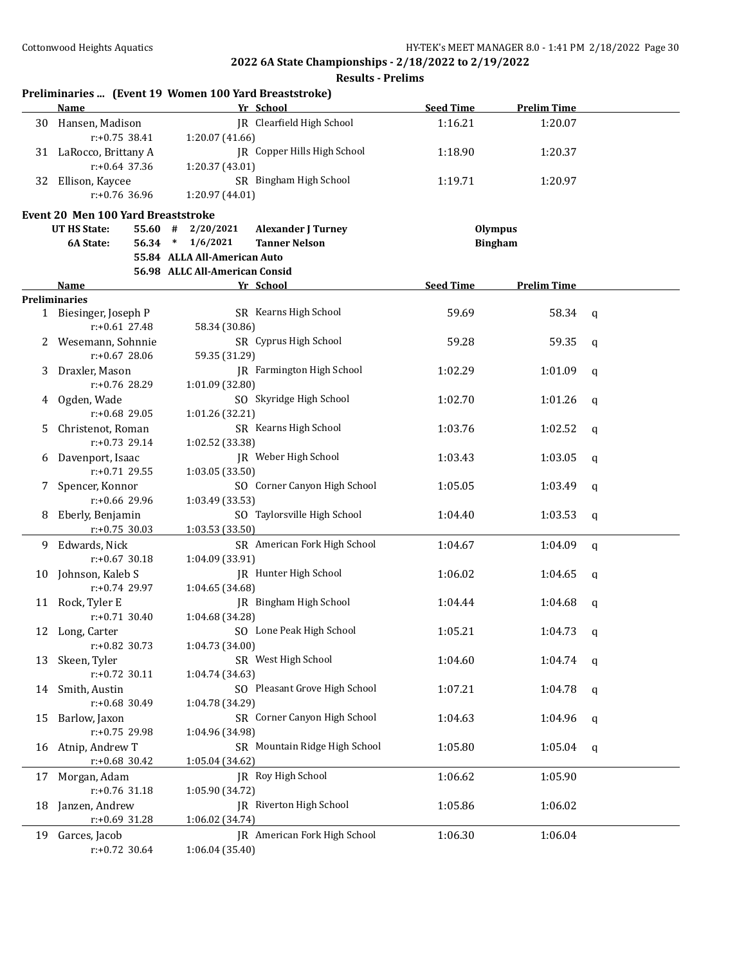|    | Preliminaries  (Event 19 Women 100 Yard Breaststroke)<br>Name |                                | Yr School                        | <b>Seed Time</b> | <b>Prelim Time</b> |              |
|----|---------------------------------------------------------------|--------------------------------|----------------------------------|------------------|--------------------|--------------|
|    | 30 Hansen, Madison<br>$r: +0.75$ 38.41                        | 1:20.07 (41.66)                | IR Clearfield High School        | 1:16.21          | 1:20.07            |              |
|    | 31 LaRocco, Brittany A                                        |                                | JR Copper Hills High School      | 1:18.90          | 1:20.37            |              |
|    | $r: +0.64$ 37.36                                              | 1:20.37 (43.01)                |                                  |                  |                    |              |
| 32 | Ellison, Kaycee                                               |                                | SR Bingham High School           | 1:19.71          | 1:20.97            |              |
|    | $r: +0.76$ 36.96                                              | 1:20.97 (44.01)                |                                  |                  |                    |              |
|    | <b>Event 20 Men 100 Yard Breaststroke</b>                     |                                |                                  |                  |                    |              |
|    | <b>UT HS State:</b>                                           | $55.60$ # $2/20/2021$          | <b>Alexander J Turney</b>        | <b>Olympus</b>   |                    |              |
|    | 6A State:                                                     | 56.34 * 1/6/2021               | <b>Tanner Nelson</b>             | <b>Bingham</b>   |                    |              |
|    |                                                               | 55.84 ALLA All-American Auto   |                                  |                  |                    |              |
|    |                                                               | 56.98 ALLC All-American Consid |                                  |                  |                    |              |
|    | Name                                                          |                                | Yr School                        | <b>Seed Time</b> | <b>Prelim Time</b> |              |
|    | <b>Preliminaries</b><br>1 Biesinger, Joseph P                 |                                | SR Kearns High School            | 59.69            | 58.34              | q            |
|    | r:+0.61 27.48                                                 | 58.34 (30.86)                  |                                  |                  |                    |              |
| 2  | Wesemann, Sohnnie                                             |                                | SR Cyprus High School            | 59.28            | 59.35              | $\mathsf{q}$ |
|    | $r: +0.67$ 28.06                                              | 59.35 (31.29)                  |                                  |                  |                    |              |
| 3  | Draxler, Mason                                                |                                | <b>IR</b> Farmington High School | 1:02.29          | 1:01.09            | q            |
|    | r:+0.76 28.29                                                 | 1:01.09 (32.80)                |                                  |                  |                    |              |
| 4  | Ogden, Wade                                                   |                                | SO Skyridge High School          | 1:02.70          | 1:01.26            | q            |
|    | r:+0.68 29.05                                                 | 1:01.26 (32.21)                |                                  |                  |                    |              |
| 5. | Christenot, Roman                                             |                                | SR Kearns High School            | 1:03.76          | 1:02.52            | q            |
|    | $r: +0.73$ 29.14                                              | 1:02.52 (33.38)                |                                  |                  |                    |              |
| 6  | Davenport, Isaac                                              |                                | JR Weber High School             | 1:03.43          | 1:03.05            | $\mathbf q$  |
|    | $r: +0.71$ 29.55                                              | 1:03.05 (33.50)                |                                  |                  |                    |              |
| 7. | Spencer, Konnor                                               |                                | SO Corner Canyon High School     | 1:05.05          | 1:03.49            | q            |
|    | $r: +0.66$ 29.96                                              | 1:03.49 (33.53)                |                                  |                  |                    |              |
| 8  | Eberly, Benjamin                                              |                                | SO Taylorsville High School      | 1:04.40          | 1:03.53            | q            |
|    | $r: +0.75$ 30.03                                              | 1:03.53 (33.50)                |                                  |                  |                    |              |
| 9. | Edwards, Nick                                                 |                                | SR American Fork High School     | 1:04.67          | 1:04.09            | $\mathbf q$  |
|    | $r: +0.67$ 30.18                                              | 1:04.09 (33.91)                |                                  |                  |                    |              |
| 10 | Johnson, Kaleb S                                              |                                | JR Hunter High School            | 1:06.02          | 1:04.65            | q            |
|    | $r: +0.74$ 29.97                                              | 1:04.65 (34.68)                |                                  |                  |                    |              |
|    | 11 Rock, Tyler E<br>$r: +0.71$ 30.40                          |                                | <b>IR</b> Bingham High School    | 1:04.44          | 1:04.68            | q            |
|    | 12 Long, Carter                                               | 1:04.68 (34.28)                | SO Lone Peak High School         | 1:05.21          |                    |              |
|    | $r: +0.82$ 30.73                                              | 1:04.73 (34.00)                |                                  |                  | 1:04.73            | q            |
| 13 | Skeen, Tyler                                                  |                                | SR West High School              | 1:04.60          | 1:04.74            | q            |
|    | $r: +0.72$ 30.11                                              | 1:04.74 (34.63)                |                                  |                  |                    |              |
| 14 | Smith, Austin                                                 |                                | SO Pleasant Grove High School    | 1:07.21          | 1:04.78            | q            |
|    | r:+0.68 30.49                                                 | 1:04.78 (34.29)                |                                  |                  |                    |              |
| 15 | Barlow, Jaxon                                                 |                                | SR Corner Canyon High School     | 1:04.63          | 1:04.96            | q            |
|    | r:+0.75 29.98                                                 | 1:04.96 (34.98)                |                                  |                  |                    |              |
| 16 | Atnip, Andrew T                                               |                                | SR Mountain Ridge High School    | 1:05.80          | 1:05.04            | q            |
|    | $r: +0.68$ 30.42                                              | 1:05.04 (34.62)                |                                  |                  |                    |              |
| 17 | Morgan, Adam                                                  |                                | JR Roy High School               | 1:06.62          | 1:05.90            |              |
|    | r:+0.76 31.18                                                 | 1:05.90 (34.72)                |                                  |                  |                    |              |
| 18 | Janzen, Andrew                                                |                                | JR Riverton High School          | 1:05.86          | 1:06.02            |              |
|    | r:+0.69 31.28                                                 | 1:06.02 (34.74)                |                                  |                  |                    |              |
| 19 | Garces, Jacob                                                 |                                | JR American Fork High School     | 1:06.30          | 1:06.04            |              |
|    | r:+0.72 30.64                                                 | 1:06.04 (35.40)                |                                  |                  |                    |              |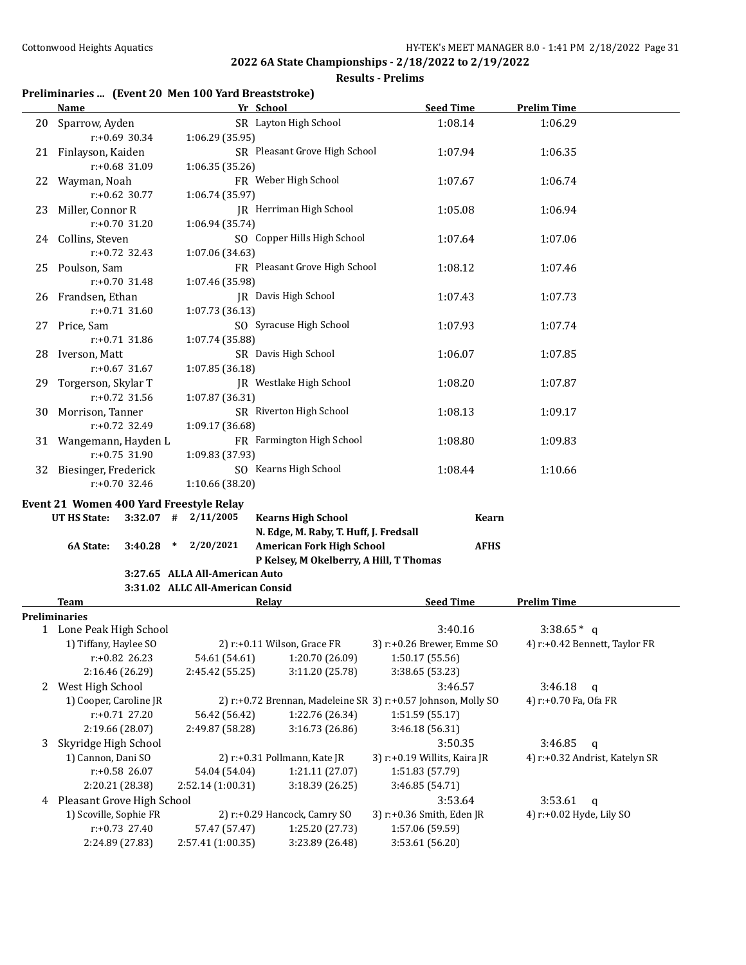#### **Results - Prelims**

### **Preliminaries ... (Event 20 Men 100 Yard Breaststroke)**

|    | Name                                             |                                  | Yr School                                      | <b>Seed Time</b>                                              | <b>Prelim Time</b>             |
|----|--------------------------------------------------|----------------------------------|------------------------------------------------|---------------------------------------------------------------|--------------------------------|
| 20 | Sparrow, Ayden                                   |                                  | SR Layton High School                          | 1:08.14                                                       | 1:06.29                        |
|    | $r: +0.69$ 30.34                                 | 1:06.29 (35.95)                  |                                                |                                                               |                                |
|    | 21 Finlayson, Kaiden                             |                                  | SR Pleasant Grove High School                  | 1:07.94                                                       | 1:06.35                        |
|    | r:+0.68 31.09                                    | 1:06.35 (35.26)                  |                                                |                                                               |                                |
| 22 | Wayman, Noah                                     |                                  | FR Weber High School                           | 1:07.67                                                       | 1:06.74                        |
|    | $r: +0.62$ 30.77                                 | 1:06.74 (35.97)                  |                                                |                                                               |                                |
| 23 | Miller, Connor R                                 |                                  | JR Herriman High School                        | 1:05.08                                                       | 1:06.94                        |
|    | r:+0.70 31.20                                    | 1:06.94 (35.74)                  |                                                |                                                               |                                |
| 24 | Collins, Steven                                  |                                  | SO Copper Hills High School                    | 1:07.64                                                       | 1:07.06                        |
|    | $r: +0.72$ 32.43                                 | 1:07.06 (34.63)                  |                                                |                                                               |                                |
| 25 | Poulson, Sam                                     |                                  | FR Pleasant Grove High School                  | 1:08.12                                                       | 1:07.46                        |
|    | r:+0.70 31.48                                    | 1:07.46 (35.98)                  |                                                |                                                               |                                |
|    | 26 Frandsen, Ethan                               |                                  | JR Davis High School                           | 1:07.43                                                       | 1:07.73                        |
|    | $r: +0.71$ 31.60                                 | 1:07.73 (36.13)                  |                                                |                                                               |                                |
| 27 | Price, Sam                                       |                                  | SO Syracuse High School                        | 1:07.93                                                       | 1:07.74                        |
|    | r:+0.71 31.86                                    | 1:07.74 (35.88)                  |                                                |                                                               |                                |
| 28 | Iverson, Matt                                    |                                  | SR Davis High School                           | 1:06.07                                                       | 1:07.85                        |
|    | $r: +0.67$ 31.67                                 | 1:07.85 (36.18)                  |                                                |                                                               |                                |
| 29 | Torgerson, Skylar T                              |                                  | JR Westlake High School                        | 1:08.20                                                       | 1:07.87                        |
|    | $r: +0.72$ 31.56                                 | 1:07.87 (36.31)                  |                                                |                                                               |                                |
| 30 | Morrison, Tanner                                 |                                  | SR Riverton High School                        | 1:08.13                                                       | 1:09.17                        |
|    | r:+0.72 32.49                                    | 1:09.17 (36.68)                  |                                                |                                                               |                                |
|    | 31 Wangemann, Hayden L                           |                                  | FR Farmington High School                      | 1:08.80                                                       | 1:09.83                        |
|    | r:+0.75 31.90                                    | 1:09.83 (37.93)                  |                                                |                                                               |                                |
| 32 | Biesinger, Frederick                             |                                  | SO Kearns High School                          | 1:08.44                                                       | 1:10.66                        |
|    | r:+0.70 32.46                                    | 1:10.66 (38.20)                  |                                                |                                                               |                                |
|    | Event 21 Women 400 Yard Freestyle Relay          |                                  |                                                |                                                               |                                |
|    | UT HS State:<br>$3:32.07$ #                      | 2/11/2005                        | <b>Kearns High School</b>                      | Kearn                                                         |                                |
|    |                                                  |                                  | N. Edge, M. Raby, T. Huff, J. Fredsall         |                                                               |                                |
|    | 6A State:<br>3:40.28<br>$\ast$                   | 2/20/2021                        | <b>American Fork High School</b>               | <b>AFHS</b>                                                   |                                |
|    |                                                  |                                  | P Kelsey, M Okelberry, A Hill, T Thomas        |                                                               |                                |
|    |                                                  | 3:27.65 ALLA All-American Auto   |                                                |                                                               |                                |
|    |                                                  | 3:31.02 ALLC All-American Consid |                                                |                                                               |                                |
|    | <b>Team</b>                                      |                                  | Relay                                          | <b>Seed Time</b>                                              | <b>Prelim Time</b>             |
|    | <b>Preliminaries</b>                             |                                  |                                                |                                                               |                                |
|    | 1 Lone Peak High School<br>1) Tiffany, Haylee SO |                                  |                                                | 3:40.16<br>3) r:+0.26 Brewer, Emme SO                         | $3:38.65*$ q                   |
|    | $r: +0.82$ 26.23                                 | 54.61 (54.61)                    | 2) r:+0.11 Wilson, Grace FR<br>1:20.70 (26.09) | 1:50.17 (55.56)                                               | 4) r:+0.42 Bennett, Taylor FR  |
|    | 2:16.46 (26.29)                                  | 2:45.42 (55.25)                  | 3:11.20 (25.78)                                | 3:38.65 (53.23)                                               |                                |
|    | 2 West High School                               |                                  |                                                | 3:46.57                                                       | 3:46.18<br>$\mathbf{q}$        |
|    | 1) Cooper, Caroline JR                           |                                  |                                                | 2) r:+0.72 Brennan, Madeleine SR 3) r:+0.57 Johnson, Molly SO | 4) r:+0.70 Fa, Ofa FR          |
|    | $r: +0.71$ 27.20                                 | 56.42 (56.42)                    | 1:22.76 (26.34)                                | 1:51.59 (55.17)                                               |                                |
|    | 2:19.66 (28.07)                                  | 2:49.87 (58.28)                  | 3:16.73 (26.86)                                | 3:46.18 (56.31)                                               |                                |
| 3  | Skyridge High School                             |                                  |                                                | 3:50.35                                                       | 3:46.85<br>$\mathbf q$         |
|    | 1) Cannon, Dani SO                               |                                  | 2) r:+0.31 Pollmann, Kate JR                   | 3) r:+0.19 Willits, Kaira JR                                  | 4) r:+0.32 Andrist, Katelyn SR |
|    | r:+0.58 26.07                                    | 54.04 (54.04)                    | 1:21.11 (27.07)                                | 1:51.83 (57.79)                                               |                                |
|    | 2:20.21 (28.38)                                  | 2:52.14 (1:00.31)                | 3:18.39(26.25)                                 | 3:46.85 (54.71)                                               |                                |
|    | 4 Pleasant Grove High School                     |                                  |                                                | 3:53.64                                                       | 3:53.61<br>$\mathsf{q}$        |
|    | 1) Scoville, Sophie FR                           |                                  | 2) r:+0.29 Hancock, Camry SO                   | 3) r:+0.36 Smith, Eden JR                                     | 4) r:+0.02 Hyde, Lily SO       |
|    | r:+0.73 27.40                                    | 57.47 (57.47)                    | 1:25.20 (27.73)                                | 1:57.06 (59.59)                                               |                                |
|    | 2:24.89 (27.83)                                  | 2:57.41 (1:00.35)                | 3:23.89 (26.48)                                | 3:53.61 (56.20)                                               |                                |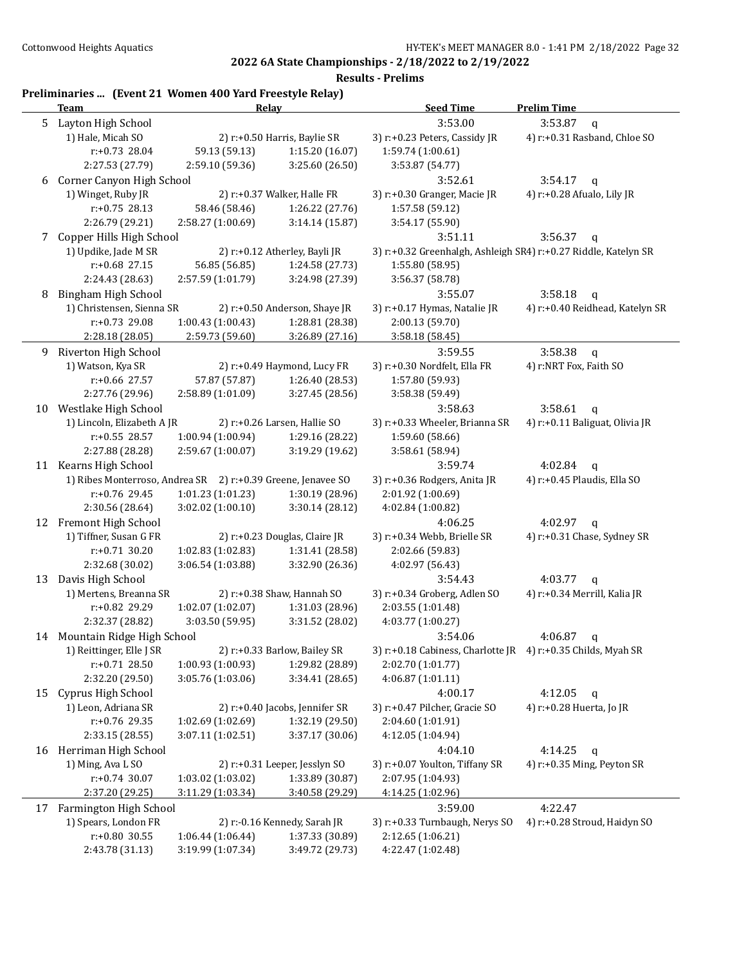|    | Preliminaries  (Event 21 Women 400 Yard Freestyle Relay)<br>Team | Relay                                |                                                 | <b>Seed Time</b>                                                | <b>Prelim Time</b>                         |
|----|------------------------------------------------------------------|--------------------------------------|-------------------------------------------------|-----------------------------------------------------------------|--------------------------------------------|
| 5  | Layton High School                                               |                                      |                                                 | 3:53.00                                                         | 3:53.87<br>$\mathbf q$                     |
|    | 1) Hale, Micah SO                                                |                                      | 2) r:+0.50 Harris, Baylie SR                    | 3) r:+0.23 Peters, Cassidy JR                                   | 4) r:+0.31 Rasband, Chloe SO               |
|    | r:+0.73 28.04                                                    | 59.13 (59.13)                        | 1:15.20 (16.07)                                 | 1:59.74 (1:00.61)                                               |                                            |
|    | 2:27.53 (27.79)                                                  | 2:59.10 (59.36)                      | 3:25.60 (26.50)                                 | 3:53.87 (54.77)                                                 |                                            |
| 6  | Corner Canyon High School                                        |                                      |                                                 | 3:52.61                                                         | 3:54.17<br>$\mathbf q$                     |
|    | 1) Winget, Ruby JR                                               |                                      | 2) r:+0.37 Walker, Halle FR                     | 3) r:+0.30 Granger, Macie JR                                    | 4) r:+0.28 Afualo, Lily JR                 |
|    | $r: +0.75$ 28.13                                                 | 58.46 (58.46)                        | 1:26.22 (27.76)                                 | 1:57.58 (59.12)                                                 |                                            |
|    | 2:26.79 (29.21)                                                  | 2:58.27 (1:00.69)                    | 3:14.14 (15.87)                                 | 3:54.17 (55.90)                                                 |                                            |
| 7  | Copper Hills High School                                         |                                      |                                                 | 3:51.11                                                         | 3:56.37<br>$\mathbf q$                     |
|    | 1) Updike, Jade M SR                                             |                                      | 2) r:+0.12 Atherley, Bayli JR                   | 3) r:+0.32 Greenhalgh, Ashleigh SR4) r:+0.27 Riddle, Katelyn SR |                                            |
|    | $r: +0.68$ 27.15                                                 | 56.85 (56.85)                        | 1:24.58 (27.73)                                 | 1:55.80 (58.95)                                                 |                                            |
|    | 2:24.43 (28.63)                                                  | 2:57.59 (1:01.79)                    | 3:24.98 (27.39)                                 | 3:56.37 (58.78)                                                 |                                            |
| 8  | Bingham High School                                              |                                      |                                                 | 3:55.07                                                         | 3:58.18<br>$\mathbf q$                     |
|    | 1) Christensen, Sienna SR                                        |                                      | 2) r:+0.50 Anderson, Shaye JR                   | 3) r:+0.17 Hymas, Natalie JR                                    | 4) r:+0.40 Reidhead, Katelyn SR            |
|    | r:+0.73 29.08                                                    | 1:00.43(1:00.43)                     | 1:28.81 (28.38)                                 | 2:00.13 (59.70)                                                 |                                            |
|    | 2:28.18 (28.05)                                                  | 2:59.73 (59.60)                      | 3:26.89 (27.16)                                 | 3:58.18 (58.45)                                                 |                                            |
| 9  | Riverton High School                                             |                                      |                                                 | 3:59.55                                                         | 3:58.38<br>$\mathbf{q}$                    |
|    | 1) Watson, Kya SR                                                |                                      | 2) r:+0.49 Haymond, Lucy FR                     | 3) r:+0.30 Nordfelt, Ella FR                                    | 4) r:NRT Fox, Faith SO                     |
|    | $r: +0.66$ 27.57                                                 | 57.87 (57.87)                        | 1:26.40 (28.53)                                 | 1:57.80 (59.93)                                                 |                                            |
|    | 2:27.76 (29.96)                                                  | 2:58.89 (1:01.09)                    | 3:27.45 (28.56)                                 | 3:58.38 (59.49)                                                 |                                            |
|    | 10 Westlake High School                                          |                                      |                                                 | 3:58.63                                                         | 3:58.61<br>$\mathbf q$                     |
|    | 1) Lincoln, Elizabeth A JR                                       |                                      | 2) r:+0.26 Larsen, Hallie SO                    | 3) r:+0.33 Wheeler, Brianna SR                                  | 4) r:+0.11 Baliguat, Olivia JR             |
|    | r:+0.55 28.57                                                    | 1:00.94 (1:00.94)                    | 1:29.16 (28.22)                                 | 1:59.60 (58.66)                                                 |                                            |
|    | 2:27.88 (28.28)                                                  | 2:59.67 (1:00.07)                    | 3:19.29 (19.62)                                 | 3:58.61 (58.94)                                                 |                                            |
|    | 11 Kearns High School                                            |                                      |                                                 | 3:59.74                                                         | 4:02.84                                    |
|    | 1) Ribes Monterroso, Andrea SR 2) r:+0.39 Greene, Jenavee SO     |                                      |                                                 | 3) r:+0.36 Rodgers, Anita JR                                    | $\mathbf q$<br>4) r:+0.45 Plaudis, Ella SO |
|    | r:+0.76 29.45                                                    | 1:01.23 (1:01.23)                    | 1:30.19 (28.96)                                 | 2:01.92 (1:00.69)                                               |                                            |
|    | 2:30.56 (28.64)                                                  | 3:02.02 (1:00.10)                    | 3:30.14(28.12)                                  | 4:02.84 (1:00.82)                                               |                                            |
|    | 12 Fremont High School                                           |                                      |                                                 | 4:06.25                                                         | 4:02.97                                    |
|    | 1) Tiffner, Susan G FR                                           |                                      | 2) r:+0.23 Douglas, Claire JR                   | 3) r:+0.34 Webb, Brielle SR                                     | q<br>4) r:+0.31 Chase, Sydney SR           |
|    | $r: +0.71$ 30.20                                                 | 1:02.83 (1:02.83)                    | 1:31.41 (28.58)                                 | 2:02.66 (59.83)                                                 |                                            |
|    | 2:32.68 (30.02)                                                  | 3:06.54 (1:03.88)                    | 3:32.90 (26.36)                                 |                                                                 |                                            |
|    | Davis High School                                                |                                      |                                                 | 4:02.97 (56.43)                                                 |                                            |
| 13 |                                                                  |                                      |                                                 | 3:54.43                                                         | 4:03.77<br>$\mathbf q$                     |
|    | 1) Mertens, Breanna SR                                           |                                      | 2) r:+0.38 Shaw, Hannah SO                      | 3) r:+0.34 Groberg, Adlen SO                                    | 4) r:+0.34 Merrill, Kalia JR               |
|    | r:+0.82 29.29<br>2:32.37 (28.82)                                 | 1:02.07 (1:02.07)<br>3:03.50 (59.95) | 1:31.03 (28.96)<br>3:31.52 (28.02)              | 2:03.55 (1:01.48)                                               |                                            |
|    |                                                                  |                                      |                                                 | 4:03.77 (1:00.27)<br>3:54.06                                    |                                            |
|    | 14 Mountain Ridge High School                                    |                                      |                                                 |                                                                 | 4:06.87<br>$\mathsf{q}$                    |
|    | 1) Reittinger, Elle J SR                                         |                                      | 2) r:+0.33 Barlow, Bailey SR<br>1:29.82 (28.89) | 3) r:+0.18 Cabiness, Charlotte JR 4) r:+0.35 Childs, Myah SR    |                                            |
|    | r:+0.71 28.50                                                    | 1:00.93 (1:00.93)                    |                                                 | 2:02.70 (1:01.77)                                               |                                            |
|    | 2:32.20 (29.50)                                                  | 3:05.76 (1:03.06)                    | 3:34.41 (28.65)                                 | 4:06.87 (1:01.11)                                               |                                            |
| 15 | Cyprus High School                                               |                                      |                                                 | 4:00.17                                                         | 4:12.05<br>$\mathbf q$                     |
|    | 1) Leon, Adriana SR                                              |                                      | 2) r:+0.40 Jacobs, Jennifer SR                  | 3) r:+0.47 Pilcher, Gracie SO                                   | 4) r:+0.28 Huerta, Jo JR                   |
|    | r:+0.76 29.35                                                    | 1:02.69 (1:02.69)                    | 1:32.19 (29.50)                                 | 2:04.60 (1:01.91)                                               |                                            |
|    | 2:33.15 (28.55)                                                  | 3:07.11 (1:02.51)                    | 3:37.17 (30.06)                                 | 4:12.05 (1:04.94)                                               |                                            |
|    | 16 Herriman High School                                          |                                      |                                                 | 4:04.10                                                         | 4:14.25<br>q                               |
|    | 1) Ming, Ava L SO                                                |                                      | 2) r:+0.31 Leeper, Jesslyn SO                   | 3) r:+0.07 Youlton, Tiffany SR                                  | 4) r:+0.35 Ming, Peyton SR                 |
|    | $r: +0.74$ 30.07                                                 | 1:03.02 (1:03.02)                    | 1:33.89 (30.87)                                 | 2:07.95 (1:04.93)                                               |                                            |
|    | 2:37.20 (29.25)                                                  | 3:11.29 (1:03.34)                    | 3:40.58 (29.29)                                 | 4:14.25 (1:02.96)                                               |                                            |
|    | 17 Farmington High School                                        |                                      |                                                 | 3:59.00                                                         | 4:22.47                                    |
|    | 1) Spears, London FR                                             |                                      | 2) r:-0.16 Kennedy, Sarah JR                    | 3) r:+0.33 Turnbaugh, Nerys SO                                  | 4) r:+0.28 Stroud, Haidyn SO               |
|    | r:+0.80 30.55                                                    | 1:06.44 (1:06.44)                    | 1:37.33 (30.89)                                 | 2:12.65 (1:06.21)                                               |                                            |
|    | 2:43.78 (31.13)                                                  | 3:19.99 (1:07.34)                    | 3:49.72 (29.73)                                 | 4:22.47 (1:02.48)                                               |                                            |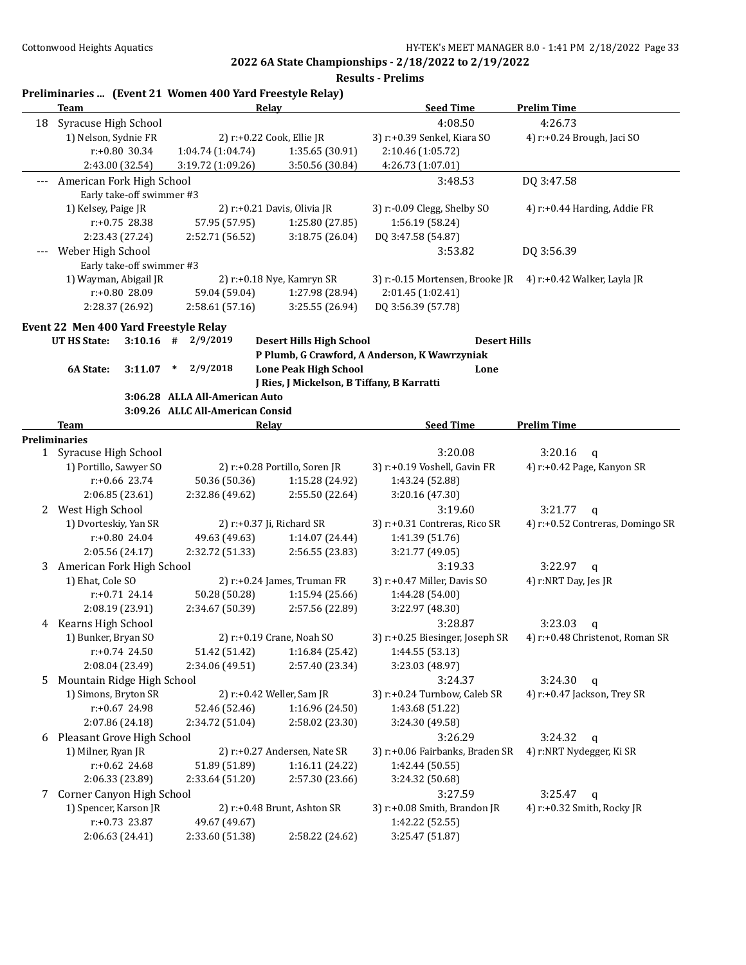|       | <b>Team</b>                |                           | Preliminaries  (Event 21 Women 400 Yard Freestyle Relay)<br>Relay |                                            | <b>Seed Time</b>                              | <b>Prelim Time</b>               |
|-------|----------------------------|---------------------------|-------------------------------------------------------------------|--------------------------------------------|-----------------------------------------------|----------------------------------|
| 18    | Syracuse High School       |                           |                                                                   |                                            | 4:08.50                                       | 4:26.73                          |
|       | 1) Nelson, Sydnie FR       |                           |                                                                   | 2) r:+0.22 Cook, Ellie JR                  | 3) r:+0.39 Senkel, Kiara SO                   | 4) r:+0.24 Brough, Jaci SO       |
|       |                            | $r: +0.80$ 30.34          | 1:04.74 (1:04.74)                                                 | 1:35.65 (30.91)                            | 2:10.46 (1:05.72)                             |                                  |
|       |                            | 2:43.00 (32.54)           | 3:19.72 (1:09.26)                                                 | 3:50.56 (30.84)                            | 4:26.73 (1:07.01)                             |                                  |
| ---   | American Fork High School  |                           |                                                                   |                                            | 3:48.53                                       | DQ 3:47.58                       |
|       |                            | Early take-off swimmer #3 |                                                                   |                                            |                                               |                                  |
|       | 1) Kelsey, Paige JR        |                           |                                                                   | 2) r:+0.21 Davis, Olivia JR                | 3) r:-0.09 Clegg, Shelby SO                   | 4) $r: +0.44$ Harding, Addie FR  |
|       |                            | r:+0.75 28.38             | 57.95 (57.95)                                                     | 1:25.80 (27.85)                            | 1:56.19 (58.24)                               |                                  |
|       |                            | 2:23.43 (27.24)           | 2:52.71 (56.52)                                                   | 3:18.75 (26.04)                            | DQ 3:47.58 (54.87)                            |                                  |
|       | Weber High School          |                           |                                                                   |                                            | 3:53.82                                       | DQ 3:56.39                       |
| $---$ |                            | Early take-off swimmer #3 |                                                                   |                                            |                                               |                                  |
|       |                            | 1) Wayman, Abigail JR     |                                                                   | 2) r:+0.18 Nye, Kamryn SR                  | 3) r:-0.15 Mortensen, Brooke JR               | 4) r:+0.42 Walker, Layla JR      |
|       |                            | r:+0.80 28.09             | 59.04 (59.04)                                                     | 1:27.98 (28.94)                            | 2:01.45 (1:02.41)                             |                                  |
|       |                            | 2:28.37 (26.92)           | 2:58.61 (57.16)                                                   | 3:25.55 (26.94)                            | DQ 3:56.39 (57.78)                            |                                  |
|       |                            |                           |                                                                   |                                            |                                               |                                  |
|       |                            |                           | Event 22 Men 400 Yard Freestyle Relay                             |                                            |                                               |                                  |
|       | <b>UT HS State:</b>        |                           | $3:10.16$ # 2/9/2019                                              | <b>Desert Hills High School</b>            | <b>Desert Hills</b>                           |                                  |
|       |                            |                           |                                                                   |                                            | P Plumb, G Crawford, A Anderson, K Wawrzyniak |                                  |
|       | 6A State:                  | 3:11.07                   | 2/9/2018<br>$\ast$                                                | <b>Lone Peak High School</b>               | Lone                                          |                                  |
|       |                            |                           |                                                                   | J Ries, J Mickelson, B Tiffany, B Karratti |                                               |                                  |
|       |                            |                           | 3:06.28 ALLA All-American Auto                                    |                                            |                                               |                                  |
|       |                            |                           | 3:09.26 ALLC All-American Consid                                  |                                            |                                               |                                  |
|       | Team                       |                           | Relay                                                             |                                            | <b>Seed Time</b>                              | <b>Prelim Time</b>               |
|       | <b>Preliminaries</b>       |                           |                                                                   |                                            |                                               |                                  |
|       | 1 Syracuse High School     |                           |                                                                   |                                            | 3:20.08                                       | 3:20.16<br>$\mathsf{q}$          |
|       |                            | 1) Portillo, Sawyer SO    |                                                                   | 2) r:+0.28 Portillo, Soren JR              | 3) r:+0.19 Voshell, Gavin FR                  | 4) r:+0.42 Page, Kanyon SR       |
|       |                            | $r: +0.66$ 23.74          | 50.36 (50.36)                                                     | 1:15.28 (24.92)                            | 1:43.24 (52.88)                               |                                  |
|       |                            | 2:06.85 (23.61)           | 2:32.86 (49.62)                                                   | 2:55.50 (22.64)                            | 3:20.16 (47.30)                               |                                  |
| 2     | West High School           |                           |                                                                   |                                            | 3:19.60                                       | 3:21.77<br>$\mathbf q$           |
|       |                            | 1) Dvorteskiy, Yan SR     |                                                                   | 2) r:+0.37 Ji, Richard SR                  | 3) r:+0.31 Contreras, Rico SR                 | 4) r:+0.52 Contreras, Domingo SR |
|       |                            | r:+0.80 24.04             | 49.63 (49.63)                                                     | 1:14.07 (24.44)                            | 1:41.39 (51.76)                               |                                  |
|       |                            | 2:05.56 (24.17)           | 2:32.72 (51.33)                                                   | 2:56.55 (23.83)                            | 3:21.77 (49.05)                               |                                  |
| 3     | American Fork High School  |                           |                                                                   |                                            | 3:19.33                                       | 3:22.97<br>$\mathbf{q}$          |
|       | 1) Ehat, Cole SO           |                           |                                                                   | 2) r:+0.24 James, Truman FR                | 3) r:+0.47 Miller, Davis SO                   | 4) r:NRT Day, Jes JR             |
|       |                            | r:+0.71 24.14             | 50.28 (50.28)                                                     | 1:15.94 (25.66)                            | 1:44.28 (54.00)                               |                                  |
|       |                            | 2:08.19 (23.91)           | 2:34.67 (50.39)                                                   | 2:57.56 (22.89)                            | 3:22.97 (48.30)                               |                                  |
|       | 4 Kearns High School       |                           |                                                                   |                                            | 3:28.87                                       | 3:23.03<br>q                     |
|       | 1) Bunker, Bryan SO        |                           |                                                                   | 2) r:+0.19 Crane, Noah SO                  | 3) r:+0.25 Biesinger, Joseph SR               | 4) r:+0.48 Christenot, Roman SR  |
|       |                            | $r: +0.74$ 24.50          | 51.42 (51.42)                                                     | 1:16.84 (25.42)                            | 1:44.55 (53.13)                               |                                  |
|       |                            | 2:08.04 (23.49)           | 2:34.06 (49.51)                                                   | 2:57.40 (23.34)                            | 3:23.03 (48.97)                               |                                  |
| 5.    | Mountain Ridge High School |                           |                                                                   |                                            | 3:24.37                                       | 3:24.30<br>$\mathsf{q}$          |
|       |                            | 1) Simons, Bryton SR      |                                                                   | 2) r:+0.42 Weller, Sam JR                  | 3) r:+0.24 Turnbow, Caleb SR                  | 4) r:+0.47 Jackson, Trey SR      |
|       |                            | r:+0.67 24.98             | 52.46 (52.46)                                                     | 1:16.96 (24.50)                            | 1:43.68 (51.22)                               |                                  |
|       |                            | 2:07.86 (24.18)           | 2:34.72 (51.04)                                                   | 2:58.02 (23.30)                            | 3:24.30 (49.58)                               |                                  |
| 6     | Pleasant Grove High School |                           |                                                                   |                                            | 3:26.29                                       | 3:24.32<br>$\mathbf q$           |
|       | 1) Milner, Ryan JR         |                           |                                                                   | 2) r:+0.27 Andersen, Nate SR               | 3) r:+0.06 Fairbanks, Braden SR               | 4) r:NRT Nydegger, Ki SR         |
|       |                            | $r: +0.62$ 24.68          | 51.89 (51.89)                                                     | 1:16.11 (24.22)                            | 1:42.44 (50.55)                               |                                  |
|       |                            |                           |                                                                   |                                            |                                               |                                  |
|       |                            | 2:06.33 (23.89)           | 2:33.64 (51.20)                                                   | 2:57.30 (23.66)                            | 3:24.32 (50.68)                               |                                  |
| 7     | Corner Canyon High School  |                           |                                                                   |                                            | 3:27.59                                       | 3:25.47<br>q                     |
|       |                            | 1) Spencer, Karson JR     |                                                                   | 2) r:+0.48 Brunt, Ashton SR                | 3) r:+0.08 Smith, Brandon JR                  | 4) r:+0.32 Smith, Rocky JR       |
|       |                            | r:+0.73 23.87             | 49.67 (49.67)                                                     |                                            | 1:42.22 (52.55)                               |                                  |